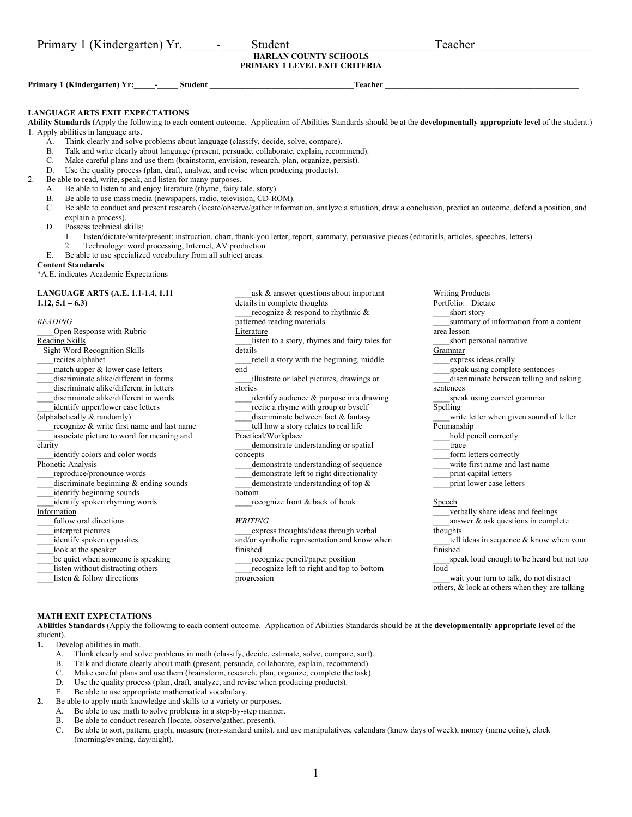| Primary 1 (Kindergarten) Yr.<br>$\overline{\phantom{a}}$ | Student                                                              | Teacher |
|----------------------------------------------------------|----------------------------------------------------------------------|---------|
|                                                          | <b>HARLAN COUNTY SCHOOLS</b><br><b>PRIMARY 1 LEVEL EXIT CRITERIA</b> |         |
| Primary 1 (Kindergarten) Yr:<br>Student                  | Teacher                                                              |         |
|                                                          |                                                                      |         |

## **LANGUAGE ARTS EXIT EXPECTATIONS**

**Ability Standards** (Apply the following to each content outcome. Application of Abilities Standards should be at the **developmentally appropriate level** of the student.) 1. Apply abilities in language arts.

- Think clearly and solve problems about language (classify, decide, solve, compare).
- B. Talk and write clearly about language (present, persuade, collaborate, explain, recommend).
- C. Make careful plans and use them (brainstorm, envision, research, plan, organize, persist).<br>D. Use the quality process (plan, draft, analyze, and revise when producing products).
- Use the quality process (plan, draft, analyze, and revise when producing products).
- 2. Be able to read, write, speak, and listen for many purposes.
	- A. Be able to listen to and enjoy literature (rhyme, fairy tale, story).
	- B. Be able to use mass media (newspapers, radio, television, CD-ROM).
	- C. Be able to conduct and present research (locate/observe/gather information, analyze a situation, draw a conclusion, predict an outcome, defend a position, and explain a process).
	- D. Possess technical skills:
		- 1. listen/dictate/write/present: instruction, chart, thank-you letter, report, summary, persuasive pieces (editorials, articles, speeches, letters).
		- 2. Technology: word processing, Internet, AV production
	- E. Be able to use specialized vocabulary from all subject areas.

## **Content Standards**

\*A.E. indicates Academic Expectations

## **LANGUAGE ARTS (A.E. 1.1-1.4, 1.11 – 1.12, 5.1 – 6.3)**

### *READING*

\_\_\_\_Open Response with Rubric Reading Skills

Sight Word Recognition Skills

- \_\_\_\_recites alphabet
- \_\_\_\_match upper & lower case letters
- discriminate alike/different in forms
- discriminate alike/different in letters
- \_\_\_\_discriminate alike/different in words
- identify upper/lower case letters
- (alphabetically & randomly)
- 
- recognize & write first name and last name associate picture to word for meaning and
- clarity
- \_\_\_\_identify colors and color words

#### Phonetic Analysis

- \_\_\_\_reproduce/pronounce words
- $dis$ ciiscriminate beginning  $\&$  ending sounds
- identify beginning sounds
- identify spoken rhyming words

## Information

- follow oral directions
- \_\_\_\_interpret pictures
- identify spoken opposites
- look at the speaker
- 
- be quiet when someone is speaking
- listen without distracting others
- listen & follow directions

details in complete thoughts recognize  $\&$  respond to rhythmic  $\&$ patterned reading materials Literature

ask & answer questions about important

- \_\_\_\_listen to a story, rhymes and fairy tales for details
- \_\_\_\_retell a story with the beginning, middle end
- \_\_\_\_illustrate or label pictures, drawings or stories
- identify audience & purpose in a drawing recite a rhyme with group or byself
- discriminate between fact & fantasy
- tell how a story relates to real life

## Practical/Workplace

\_\_\_\_demonstrate understanding or spatial concepts

- \_\_\_\_demonstrate understanding of sequence demonstrate left to right directionality
- demonstrate understanding of top  $\&$
- bottom
- recognize front & back of book

#### *WRITING*

\_\_\_\_express thoughts/ideas through verbal and/or symbolic representation and know when finished

\_\_\_\_recognize pencil/paper position \_\_\_\_recognize left to right and top to bottom progression

- Portfolio: Dictate short story summary of information from a content area lesson short personal narrative Grammar express ideas orally
- \_\_\_\_speak using complete sentences
- discriminate between telling and asking sentences
- \_\_\_\_speak using correct grammar
- Spelling

Writing Products

- write letter when given sound of letter **Penmanship**
- hold pencil correctly
- trace
- form letters correctly
- write first name and last name
- print capital letters
- \_\_\_\_print lower case letters
- Speech

\_\_\_\_verbally share ideas and feelings answer  $\&$  ask questions in complete

thoughts

tell ideas in sequence & know when your finished

speak loud enough to be heard but not too loud

wait your turn to talk, do not distract others, & look at others when they are talking

### **MATH EXIT EXPECTATIONS**

**Abilities Standards** (Apply the following to each content outcome. Application of Abilities Standards should be at the **developmentally appropriate level** of the student).

- **1.** Develop abilities in math.
	- A. Think clearly and solve problems in math (classify, decide, estimate, solve, compare, sort).
	- B. Talk and dictate clearly about math (present, persuade, collaborate, explain, recommend).
	- C. Make careful plans and use them (brainstorm, research, plan, organize, complete the task).
	- D. Use the quality process (plan, draft, analyze, and revise when producing products).
	- E. Be able to use appropriate mathematical vocabulary.
- **2.** Be able to apply math knowledge and skills to a variety or purposes.
	- A. Be able to use math to solve problems in a step-by-step manner.
		- B. Be able to conduct research (locate, observe/gather, present).
		- C. Be able to sort, pattern, graph, measure (non-standard units), and use manipulatives, calendars (know days of week), money (name coins), clock (morning/evening, day/night).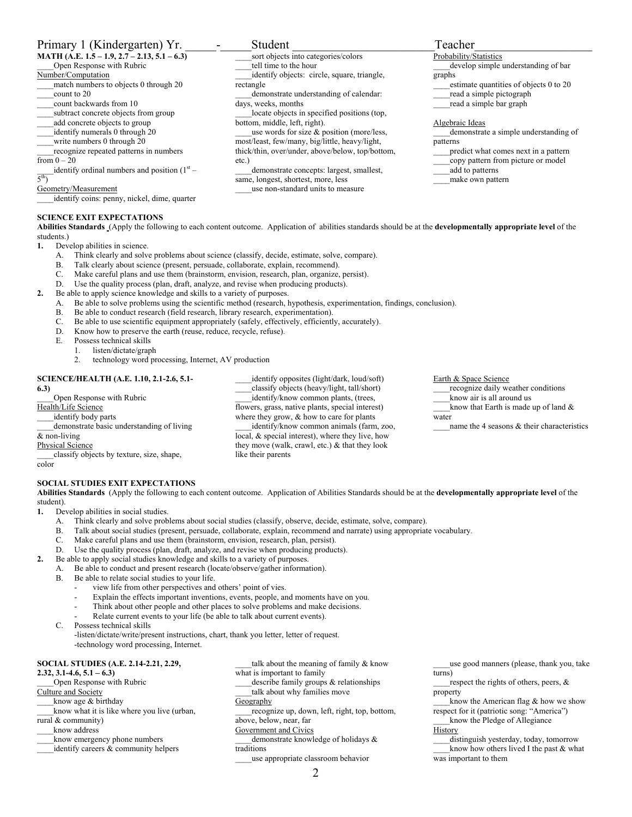## Primary 1 (Kindergarten) Yr. \_\_\_\_\_-\_\_\_\_\_Student \_\_\_\_\_\_\_\_\_\_\_\_\_\_\_\_\_\_\_\_\_\_\_Teacher\_\_\_\_\_\_\_\_\_\_\_\_\_\_\_\_\_\_\_

**MATH (A.E. 1.5 – 1.9, 2.7 – 2.13, 5.1 – 6.3)** 

- \_\_\_\_Open Response with Rubric
- Number/Computation
- match numbers to objects 0 through 20
- \_\_\_\_count to 20
- count backwards from 10
- \_\_\_\_subtract concrete objects from group
- \_\_\_\_add concrete objects to group
- \_\_\_\_identify numerals 0 through 20
- write numbers 0 through 20
- \_\_\_\_recognize repeated patterns in numbers from  $0 - 20$

identify ordinal numbers and position  $(1<sup>st</sup> –$  $\overline{5^{th}}$ 

Geometry/Measurement

\_\_\_\_identify coins: penny, nickel, dime, quarter

## **SCIENCE EXIT EXPECTATIONS**

**Abilities Standards** (Apply the following to each content outcome. Application of abilities standards should be at the **developmentally appropriate level** of the students.)

tell time to the hour

days, weeks, months

bottom, middle, left, right).

same, longest, shortest, more, less

rectangle

etc.)

- **1.** Develop abilities in science.
	- A. Think clearly and solve problems about science (classify, decide, estimate, solve, compare).
	- B. Talk clearly about science (present, persuade, collaborate, explain, recommend).
	- C. Make careful plans and use them (brainstorm, envision, research, plan, organize, persist).<br>D. Use the quality process (plan, draft, analyze, and revise when producing products).
	- Use the quality process (plan, draft, analyze, and revise when producing products).
- **2.** Be able to apply science knowledge and skills to a variety of purposes.
	- A. Be able to solve problems using the scientific method (research, hypothesis, experimentation, findings, conclusion).
	- B. Be able to conduct research (field research, library research, experimentation).
	- C. Be able to use scientific equipment appropriately (safely, effectively, efficiently, accurately).
	- D. Know how to preserve the earth (reuse, reduce, recycle, refuse).
	- E. Possess technical skills<br>1. listen/dictate/grap
		- listen/dictate/graph
		- 2. technology word processing, Internet, AV production

## **SCIENCE/HEALTH (A.E. 1.10, 2.1-2.6, 5.1-**

## **6.3)**

\_\_\_\_Open Response with Rubric Health/Life Science identify body parts demonstrate basic understanding of living & non-living Physical Science \_\_\_\_classify objects by texture, size, shape, color

**SOCIAL STUDIES EXIT EXPECTATIONS** 

**Abilities Standards** (Apply the following to each content outcome. Application of Abilities Standards should be at the **developmentally appropriate level** of the student).

\_\_\_\_identify opposites (light/dark, loud/soft) classify objects (heavy/light, tall/short) identify/know common plants, (trees, flowers, grass, native plants, special interest) where they grow,  $&$  how to care for plants identify/know common animals (farm, zoo, local, & special interest), where they live, how they move (walk, crawl, etc.) & that they look

**1.** Develop abilities in social studies.

- A. Think clearly and solve problems about social studies (classify, observe, decide, estimate, solve, compare).
- B. Talk about social studies (present, persuade, collaborate, explain, recommend and narrate) using appropriate vocabulary.

like their parents

- C. Make careful plans and use them (brainstorm, envision, research, plan, persist).
- D. Use the quality process (plan, draft, analyze, and revise when producing products).
- **2.** Be able to apply social studies knowledge and skills to a variety of purposes.
	- A. Be able to conduct and present research (locate/observe/gather information).
	- B. Be able to relate social studies to your life.
		- view life from other perspectives and others' point of vies.
		- Explain the effects important inventions, events, people, and moments have on you.
		- Think about other people and other places to solve problems and make decisions.
		- Relate current events to your life (be able to talk about current events).
	- C. Possess technical skills

-listen/dictate/write/present instructions, chart, thank you letter, letter of request. -technology word processing, Internet.

## **SOCIAL STUDIES (A.E. 2.14-2.21, 2.29,**

**2.32, 3.1-4.6, 5.1 – 6.3)** 

\_\_\_\_Open Response with Rubric

## Culture and Society

know age & birthday know what it is like where you live (urban,

rural & community)

- know address
- know emergency phone numbers
- identify careers & community helpers

talk about the meaning of family & know what is important to family describe family groups & relationships talk about why families move **Geography** 

\_\_\_\_recognize up, down, left, right, top, bottom, above, below, near, far

Government and Civics

demonstrate knowledge of holidays & traditions

\_\_\_\_use appropriate classroom behavior

respect the rights of others, peers,  $\&$ property

know the American flag  $&$  how we show respect for it (patriotic song: "America")

\_\_\_\_know the Pledge of Allegiance **History** 

\_\_\_\_distinguish yesterday, today, tomorrow know how others lived I the past  $&$  what was important to them

sort objects into categories/colors identify objects: circle, square, triangle, demonstrate understanding of calendar: \_\_\_\_locate objects in specified positions (top, use words for size & position (more/less, most/least, few/many, big/little, heavy/light, thick/thin, over/under, above/below, top/bottom, demonstrate concepts: largest, smallest, \_\_\_\_use non-standard units to measure Probability/Statistics develop simple understanding of bar graphs estimate quantities of objects 0 to 20 \_\_\_\_read a simple pictograph read a simple bar graph Algebraic Ideas \_\_\_\_demonstrate a simple understanding of patterns \_\_\_\_predict what comes next in a pattern \_\_\_\_copy pattern from picture or model \_\_\_\_add to patterns make own pattern

Earth & Space Science

\_\_\_\_recognize daily weather conditions know air is all around us

know that Earth is made up of land  $&$ water

name the 4 seasons  $\&$  their characteristics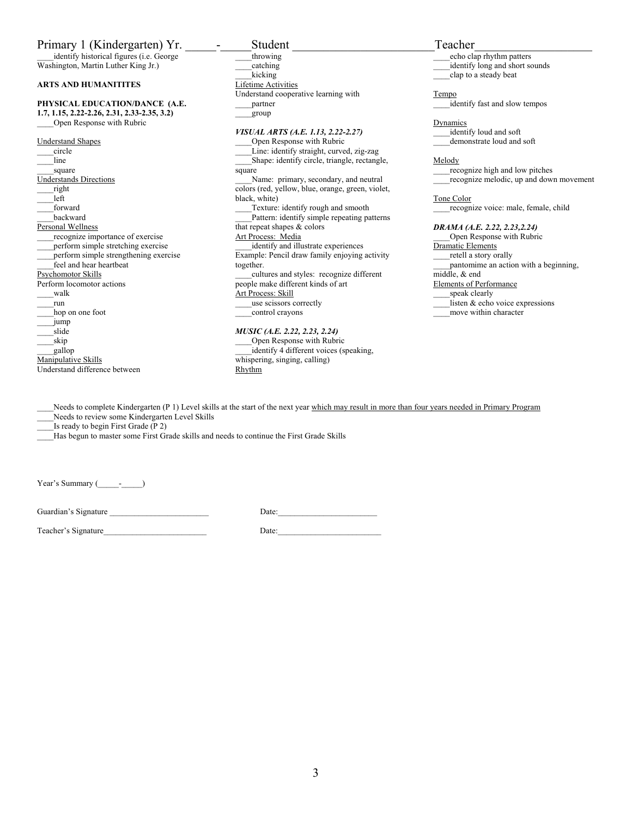## Primary 1 (Kindergarten) Yr. - Student Teacher

identify historical figures (i.e. George Washington, Martin Luther King Jr.)

## **ARTS AND HUMANITITES**

#### **PHYSICAL EDUCATION/DANCE (A.E. 1.7, 1.15, 2.22-2.26, 2.31, 2.33-2.35, 3.2)**  \_\_\_\_Open Response with Rubric

Understand Shapes circle -<br>line square Understands Directions \_\_\_\_right left \_\_\_\_forward \_\_\_\_backward Personal Wellness \_\_\_\_recognize importance of exercise perform simple stretching exercise \_\_\_\_perform simple strengthening exercise feel and hear heartbeat Psychomotor Skills Perform locomotor actions \_\_\_\_walk \_\_\_\_run hop on one foot  $\_\_j$ ump \_\_\_\_slide  $\bar{g}$ skip \_\_\_\_gallop Manipulative Skills Understand difference between

throwing catching kicking Lifetime Activities Understand cooperative learning with \_\_\_\_partner \_\_\_\_group *VISUAL ARTS (A.E. 1.13, 2.22-2.27)*  Open Response with Rubric

## \_\_\_\_Line: identify straight, curved, zig-zag Shape: identify circle, triangle, rectangle, square Name: primary, secondary, and neutral colors (red, yellow, blue, orange, green, violet, black, white) Texture: identify rough and smooth Pattern: identify simple repeating patterns that repeat shapes  $\&$  colors Art Process: Media identify and illustrate experiences Example: Pencil draw family enjoying activity together. \_\_\_\_cultures and styles: recognize different people make different kinds of art Art Process: Skill use scissors correctly

\_\_\_\_control crayons

## *MUSIC (A.E. 2.22, 2.23, 2.24)*

\_\_\_\_Open Response with Rubric identify 4 different voices (speaking, whispering, singing, calling) Rhythm

echo clap rhythm patters \_\_\_\_identify long and short sounds clap to a steady beat

**Tempo** 

identify fast and slow tempos

Dynamics

identify loud and soft demonstrate loud and soft

#### Melody

\_\_\_\_recognize high and low pitches recognize melodic, up and down movement

Tone Color

recognize voice: male, female, child

## *DRAMA (A.E. 2.22, 2.23,2.24)*

\_\_\_\_Open Response with Rubric Dramatic Elements \_\_\_\_retell a story orally \_\_\_\_pantomime an action with a beginning, middle, & end Elements of Performance \_\_\_\_speak clearly listen  $&$  echo voice expressions

move within character

Needs to complete Kindergarten (P 1) Level skills at the start of the next year which may result in more than four years needed in Primary Program Needs to review some Kindergarten Level Skills

Is ready to begin First Grade  $(P 2)$ 

Has begun to master some First Grade skills and needs to continue the First Grade Skills

Year's Summary (\_\_\_\_\_\_\_\_\_)

Guardian's Signature **Example 2018** Date:

Teacher's Signature Date: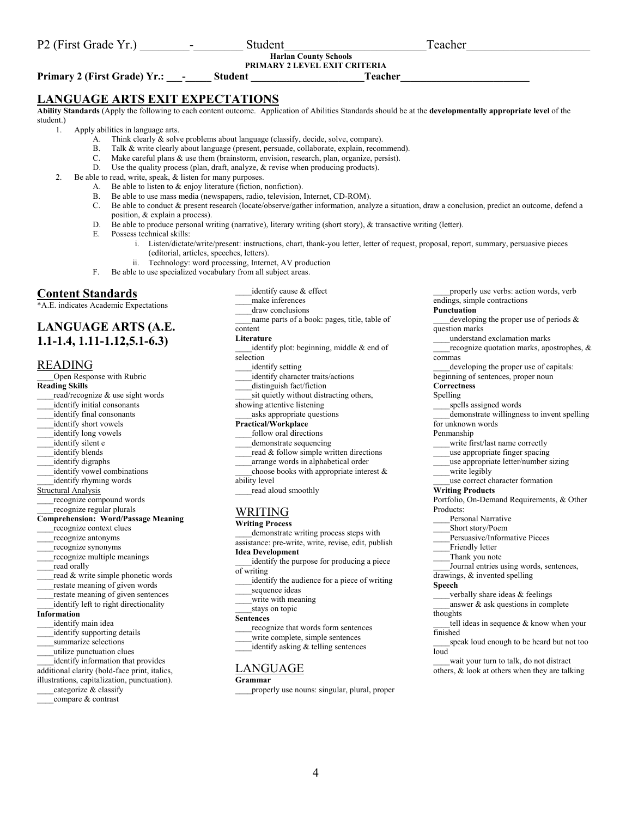## **Harlan County Schools**

**PRIMARY 2 LEVEL EXIT CRITERIA** 

**Primary 2 (First Grade) Yr.: -** Student **Fundally Student Teacher** 

## **LANGUAGE ARTS EXIT EXPECTATIONS**

**Ability Standards** (Apply the following to each content outcome. Application of Abilities Standards should be at the **developmentally appropriate level** of the student.)

1. Apply abilities in language arts.

- A. Think clearly & solve problems about language (classify, decide, solve, compare).
- B. Talk & write clearly about language (present, persuade, collaborate, explain, recommend).
- C. Make careful plans & use them (brainstorm, envision, research, plan, organize, persist).
- D. Use the quality process (plan, draft, analyze, & revise when producing products).
- 2. Be able to read, write, speak, & listen for many purposes.
	- A. Be able to listen to & enjoy literature (fiction, nonfiction).
	- B. Be able to use mass media (newspapers, radio, television, Internet, CD-ROM).
	- C. Be able to conduct & present research (locate/observe/gather information, analyze a situation, draw a conclusion, predict an outcome, defend a
	- D. Be able to produce personal writing (narrative), literary writing (short story), & transactive writing (letter).
	- - i. Listen/dictate/write/present: instructions, chart, thank-you letter, letter of request, proposal, report, summary, persuasive pieces (editorial, articles, speeches, letters).
		- ii. Technology: word processing, Internet, AV production
	- F. Be able to use specialized vocabulary from all subject areas.

## **Content Standards**

\*A.E. indicates Academic Expectations

## **LANGUAGE ARTS (A.E. 1.1-1.4, 1.11-1.12,5.1-6.3)**

## READING

\_\_\_\_Open Response with Rubric **Reading Skills**  read/recognize & use sight words identify initial consonants \_\_\_\_identify final consonants identify short vowels identify long vowels identify silent e identify blends \_\_\_\_identify digraphs identify vowel combinations \_\_\_\_identify rhyming words Structural Analysis \_\_\_\_recognize compound words recognize regular plurals **Comprehension: Word/Passage Meaning**  \_\_\_\_recognize context clues \_\_\_\_recognize antonyms \_\_\_\_recognize synonyms recognize multiple meanings read orally read & write simple phonetic words \_\_\_\_restate meaning of given words restate meaning of given sentences identify left to right directionality **Information**  identify main idea \_\_\_\_identify supporting details \_\_\_\_summarize selections \_\_\_\_utilize punctuation clues identify information that provides additional clarity (bold-face print, italics,

- illustrations, capitalization, punctuation).
- categorize & classify
- compare & contrast
- identify cause & effect \_\_\_\_make inferences \_\_\_\_draw conclusions name parts of a book: pages, title, table of content **Literature**  identify plot: beginning, middle  $&$  end of selection identify setting identify character traits/actions distinguish fact/fiction sit quietly without distracting others, showing attentive listening \_\_\_\_asks appropriate questions **Practical/Workplace**  follow oral directions
- demonstrate sequencing
- read & follow simple written directions
- \_\_\_\_arrange words in alphabetical order
- choose books with appropriate interest  $\&$
- ability level
- read aloud smoothly

## WRITING

- **Writing Process**
- demonstrate writing process steps with
- assistance: pre-write, write, revise, edit, publish **Idea Development**
- identify the purpose for producing a piece of writing
- identify the audience for a piece of writing sequence ideas
- write with meaning
- stays on topic

#### **Sentences**

- \_\_\_\_recognize that words form sentences
- write complete, simple sentences
- identify asking & telling sentences

## LANGUAGE

## **Grammar**

\_\_\_\_properly use nouns: singular, plural, proper

properly use verbs: action words, verb endings, simple contractions

## **Punctuation**

- developing the proper use of periods  $\&$ question marks
	- \_\_\_\_understand exclamation marks
- recognize quotation marks, apostrophes,  $\&$ commas
- developing the proper use of capitals:
- beginning of sentences, proper noun
- **Correctness**
- Spelling
- spells assigned words
- \_\_\_\_demonstrate willingness to invent spelling for unknown words

- Penmanship
- \_\_\_\_write first/last name correctly
- \_\_\_\_use appropriate finger spacing
- \_\_\_\_use appropriate letter/number sizing
- write legibly

## \_\_\_\_use correct character formation

- **Writing Products**
- Portfolio, On-Demand Requirements, & Other Products:
- Personal Narrative
- \_\_\_\_Short story/Poem
- \_\_\_\_Persuasive/Informative Pieces
- Friendly letter
- Thank you note
- Journal entries using words, sentences,
- drawings, & invented spelling
- **Speech**
- verbally share ideas & feelings
- answer  $\&$  ask questions in complete
- thoughts
- tell ideas in sequence & know when your finished
- speak loud enough to be heard but not too loud
- wait your turn to talk, do not distract others, & look at others when they are talking
- 
- E. Possess technical skills:

# position, & explain a process).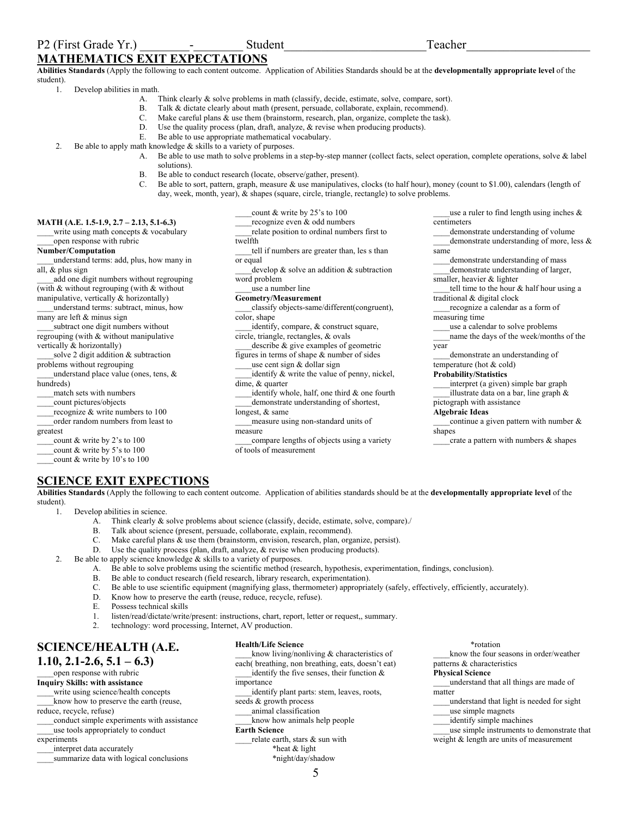## **MATHEMATICS EXIT EXPECTATIONS**

**Abilities Standards** (Apply the following to each content outcome. Application of Abilities Standards should be at the **developmentally appropriate level** of the student).

1. Develop abilities in math.

- A. Think clearly & solve problems in math (classify, decide, estimate, solve, compare, sort).
- B. Talk & dictate clearly about math (present, persuade, collaborate, explain, recommend).
	- C. Make careful plans & use them (brainstorm, research, plan, organize, complete the task).
	- D. Use the quality process (plan, draft, analyze,  $\&$  revise when producing products).<br>E. Be able to use appropriate mathematical vocabulary
- Be able to use appropriate mathematical vocabulary.
- 2. Be able to apply math knowledge  $&$  skills to a variety of purposes.
	- A. Be able to use math to solve problems in a step-by-step manner (collect facts, select operation, complete operations, solve & label solutions).
	- B. Be able to conduct research (locate, observe/gather, present).
	- C. Be able to sort, pattern, graph, measure & use manipulatives, clocks (to half hour), money (count to \$1.00), calendars (length of day, week, month, year), & shapes (square, circle, triangle, rectangle) to solve problems.

## **MATH (A.E. 1.5-1.9, 2.7 – 2.13, 5.1-6.3)**

write using math concepts  $&$  vocabulary open response with rubric

#### **Number/Computation**

\_\_\_\_understand terms: add, plus, how many in all, & plus sign

add one digit numbers without regrouping (with & without regrouping (with & without manipulative, vertically & horizontally)

\_\_\_\_understand terms: subtract, minus, how many are left & minus sign

subtract one digit numbers without regrouping (with & without manipulative vertically & horizontally)

\_\_\_\_solve 2 digit addition & subtraction problems without regrouping

\_\_\_\_understand place value (ones, tens, & hundreds)

\_\_\_\_match sets with numbers

\_\_\_\_count pictures/objects

- recognize & write numbers to 100
- \_\_\_\_order random numbers from least to greatest
- \_\_\_\_count & write by 2's to 100

count & write by 5's to 100

count & write by 10's to 100

\_\_\_\_recognize even & odd numbers \_\_\_\_relate position to ordinal numbers first to

count & write by 25's to 100

twelfth

\_\_\_\_tell if numbers are greater than, les s than or equal

- develop  $\&$  solve an addition  $\&$  subtraction word problem
- use a number line
- **Geometry/Measurement**

\_\_\_\_classify objects-same/different(congruent), color, shape

identify, compare, & construct square, circle, triangle, rectangles, & ovals describe & give examples of geometric

figures in terms of shape & number of sides use cent sign  $&$  dollar sign

identify & write the value of penny, nickel,

dime, & quarter

identify whole, half, one third  $&$  one fourth \_\_\_\_demonstrate understanding of shortest,

longest, & same

- \_\_\_\_measure using non-standard units of measure
- \_\_\_\_compare lengths of objects using a variety of tools of measurement

use a ruler to find length using inches  $\&$ centimeters demonstrate understanding of volume demonstrate understanding of more, less & same demonstrate understanding of mass \_\_\_\_demonstrate understanding of larger, smaller, heavier & lighter tell time to the hour  $&$  half hour using a traditional & digital clock \_\_\_\_recognize a calendar as a form of measuring time use a calendar to solve problems \_\_\_\_name the days of the week/months of the year demonstrate an understanding of temperature (hot & cold) **Probability/Statistics**  \_\_\_\_interpret (a given) simple bar graph \_\_\_\_illustrate data on a bar, line graph & pictograph with assistance **Algebraic Ideas**  continue a given pattern with number  $\&$ shapes

 $c$  crate a pattern with numbers  $\&$  shapes

## **SCIENCE EXIT EXPECTIONS**

**Abilities Standards** (Apply the following to each content outcome. Application of abilities standards should be at the **developmentally appropriate level** of the student).

- 1. Develop abilities in science.
	- A. Think clearly & solve problems about science (classify, decide, estimate, solve, compare)./
	- B. Talk about science (present, persuade, collaborate, explain, recommend).
	- C. Make careful plans & use them (brainstorm, envision, research, plan, organize, persist).
	- D. Use the quality process (plan, draft, analyze, & revise when producing products).
- 2. Be able to apply science knowledge & skills to a variety of purposes.
	- A. Be able to solve problems using the scientific method (research, hypothesis, experimentation, findings, conclusion).
	- B. Be able to conduct research (field research, library research, experimentation).
	- C. Be able to use scientific equipment (magnifying glass, thermometer) appropriately (safely, effectively, efficiently, accurately).
	- D. Know how to preserve the earth (reuse, reduce, recycle, refuse).
	- E. Possess technical skills
	- 1. listen/read/dictate/write/present: instructions, chart, report, letter or request,, summary.
	- 2. technology: word processing, Internet, AV production.

## **SCIENCE/HEALTH (A.E. 1.10, 2.1-2.6, 5.1 – 6.3)**

## open response with rubric

## **Inquiry Skills: with assistance**

write using science/health concepts \_\_\_\_know how to preserve the earth (reuse,

reduce, recycle, refuse)

\_\_\_\_conduct simple experiments with assistance \_\_\_\_use tools appropriately to conduct

## experiments

- interpret data accurately
- \_\_\_\_summarize data with logical conclusions

## **Health/Life Science**

- know living/nonliving  $&$  characteristics of each( breathing, non breathing, eats, doesn't eat) identify the five senses, their function  $\&$
- importance
- identify plant parts: stem, leaves, roots,
- seeds & growth process
- \_\_\_\_animal classification

#### \_\_\_\_know how animals help people **Earth Science**

- \_\_\_\_relate earth, stars & sun with \*heat & light
	- \*night/day/shadow

\*rotation

know the four seasons in order/weather patterns & characteristics

#### **Physical Science**

- \_\_\_\_understand that all things are made of matter
- \_\_\_\_understand that light is needed for sight \_\_\_\_use simple magnets
- \_\_\_\_identify simple machines
- use simple instruments to demonstrate that weight & length are units of measurement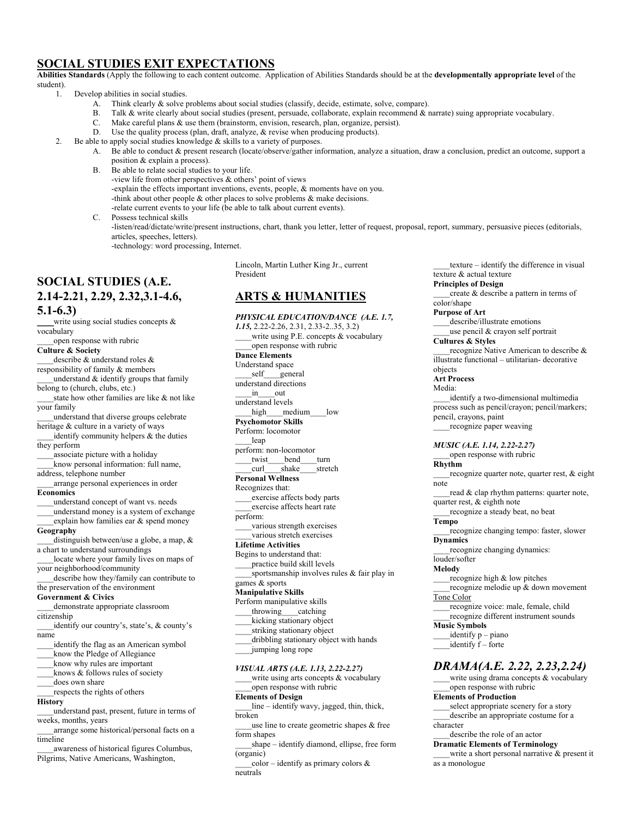## **SOCIAL STUDIES EXIT EXPECTATIONS**

**Abilities Standards** (Apply the following to each content outcome. Application of Abilities Standards should be at the **developmentally appropriate level** of the student).

- 1. Develop abilities in social studies.
	- A. Think clearly & solve problems about social studies (classify, decide, estimate, solve, compare).
	- B. Talk & write clearly about social studies (present, persuade, collaborate, explain recommend & narrate) suing appropriate vocabulary.
		- C. Make careful plans & use them (brainstorm, envision, research, plan, organize, persist).
	- D. Use the quality process (plan, draft, analyze, & revise when producing products).
	- 2. Be able to apply social studies knowledge & skills to a variety of purposes.
		- A. Be able to conduct & present research (locate/observe/gather information, analyze a situation, draw a conclusion, predict an outcome, support a position & explain a process).
		- B. Be able to relate social studies to your life.
			- -view life from other perspectives & others' point of views
				- -explain the effects important inventions, events, people, & moments have on you.
			- -think about other people & other places to solve problems & make decisions.
			- -relate current events to your life (be able to talk about current events).
		- C. Possess technical skills
			- -listen/read/dictate/write/present instructions, chart, thank you letter, letter of request, proposal, report, summary, persuasive pieces (editorials, articles, speeches, letters).

-technology: word processing, Internet.

## **SOCIAL STUDIES (A.E. 2.14-2.21, 2.29, 2.32,3.1-4.6, 5.1-6.3)**

write using social studies concepts & vocabulary

open response with rubric **Culture & Society** 

describe & understand roles &

responsibility of family & members understand  $&$  identify groups that family

belong to (church, clubs, etc.) state how other families are like & not like

your family

\_\_\_\_understand that diverse groups celebrate heritage & culture in a variety of ways

identify community helpers  $\&$  the duties they perform

\_\_\_\_associate picture with a holiday \_\_\_\_know personal information: full name,

address, telephone number

\_\_\_\_arrange personal experiences in order **Economics** 

\_\_\_\_understand concept of want vs. needs

\_\_\_\_understand money is a system of exchange explain how families ear & spend money

**Geography** 

\_\_\_\_distinguish between/use a globe, a map, & a chart to understand surroundings

locate where your family lives on maps of your neighborhood/community

\_\_\_\_describe how they/family can contribute to the preservation of the environment

## **Government & Civics**

\_\_\_\_demonstrate appropriate classroom

citizenship

identify our country's, state's, & county's name

identify the flag as an American symbol

know the Pledge of Allegiance

\_\_\_\_know why rules are important

knows & follows rules of society

does own share

\_\_\_\_respects the rights of others

**History** 

\_\_\_\_understand past, present, future in terms of weeks, months, years

\_\_\_\_arrange some historical/personal facts on a timeline

awareness of historical figures Columbus, Pilgrims, Native Americans, Washington,

Lincoln, Martin Luther King Jr., current President

## **ARTS & HUMANITIES**

*PHYSICAL EDUCATION/DANCE (A.E. 1.7, 1.15,* 2.22-2.26, 2.31, 2.33-2..35, 3.2) \_\_\_\_write using P.E. concepts & vocabulary \_\_\_\_open response with rubric **Dance Elements**  Understand space \_self\_\_\_general understand directions \_\_\_\_in\_\_\_\_out understand levels high medium low **Psychomotor Skills**  Perform: locomotor \_\_\_\_leap perform: non-locomotor twist bend turn curl shake stretch **Personal Wellness**  Recognizes that: \_\_\_\_exercise affects body parts \_\_\_\_exercise affects heart rate perform: various strength exercises various stretch exercises **Lifetime Activities**  Begins to understand that: practice build skill levels \_\_\_\_sportsmanship involves rules & fair play in games & sports **Manipulative Skills**  Perform manipulative skills \_\_\_\_throwing\_\_\_\_catching \_\_\_\_kicking stationary object \_\_\_\_striking stationary object dribbling stationary object with hands \_\_\_\_jumping long rope *VISUAL ARTS (A.E. 1.13, 2.22-2.27)*  write using arts concepts  $&$  vocabulary \_\_\_\_open response with rubric **Elements of Design** 

\_\_\_\_line – identify wavy, jagged, thin, thick, broken

use line to create geometric shapes & free form shapes

shape – identify diamond, ellipse, free form (organic)

 $color - identity$  as primary colors & neutrals

texture – identify the difference in visual texture & actual texture **Principles of Design**  create & describe a pattern in terms of color/shape

**Purpose of Art** 

describe/illustrate emotions use pencil  $&$  crayon self portrait

**Cultures & Styles** 

recognize Native American to describe & illustrate functional – utilitarian- decorative objects

**Art Process**  Media:

identify a two-dimensional multimedia process such as pencil/crayon; pencil/markers; pencil, crayons, paint \_\_\_\_recognize paper weaving

*MUSIC (A.E. 1.14, 2.22-2.27)*  \_\_\_\_open response with rubric

**Rhythm** 

recognize quarter note, quarter rest,  $\&$  eight note

read & clap rhythm patterns: quarter note, quarter rest, & eighth note

\_\_\_\_recognize a steady beat, no beat

**Tempo** 

recognize changing tempo: faster, slower **Dynamics** 

\_\_\_\_recognize changing dynamics: louder/softer

**Melody** 

\_\_\_\_recognize high & low pitches recognize melodie up & down movement Tone Color

\_\_\_\_recognize voice: male, female, child \_\_\_\_recognize different instrument sounds **Music Symbols** 

 $identify p - piano$ 

identify f – forte

*DRAMA(A.E. 2.22, 2.23,2.24)* 

write using drama concepts  $&$  vocabulary open response with rubric

**Elements of Production** 

\_\_\_\_select appropriate scenery for a story \_\_\_\_describe an appropriate costume for a character

describe the role of an actor

**Dramatic Elements of Terminology** 

write a short personal narrative & present it as a monologue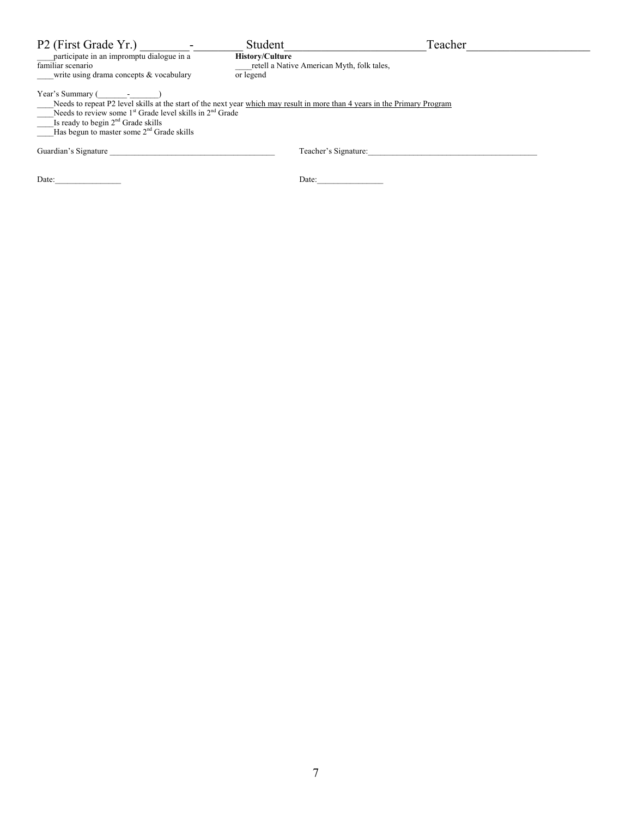| P2 (First Grade Yr.)                                                                                                                                                                                                                                                                                                                                                                                                                                                                                               | Student                             | Teacher                                    |  |
|--------------------------------------------------------------------------------------------------------------------------------------------------------------------------------------------------------------------------------------------------------------------------------------------------------------------------------------------------------------------------------------------------------------------------------------------------------------------------------------------------------------------|-------------------------------------|--------------------------------------------|--|
| participate in an impromptu dialogue in a<br>familiar scenario<br>write using drama concepts & vocabulary                                                                                                                                                                                                                                                                                                                                                                                                          | <b>History/Culture</b><br>or legend | retell a Native American Myth, folk tales, |  |
| Year's Summary ( Fig. 2.1 and 2.1 and 2.1 and 2.1 and 2.1 and 2.1 and 2.1 and 2.1 and 2.1 and 2.1 and 2.1 and 2.1 and 2.1 and 2.1 and 2.1 and 2.1 and 2.1 and 2.1 and 2.1 and 2.1 and 2.1 and 2.1 and 2.1 and 2.1 and 2.1 and<br>Needs to repeat P2 level skills at the start of the next year which may result in more than 4 years in the Primary Program<br>Needs to review some $1st$ Grade level skills in $2nd$ Grade<br>Is ready to begin $2nd$ Grade skills<br>Has begun to master some $2nd$ Grade skills |                                     |                                            |  |
| Guardian's Signature                                                                                                                                                                                                                                                                                                                                                                                                                                                                                               |                                     | Teacher's Signature:                       |  |
| Date:                                                                                                                                                                                                                                                                                                                                                                                                                                                                                                              |                                     | Date:                                      |  |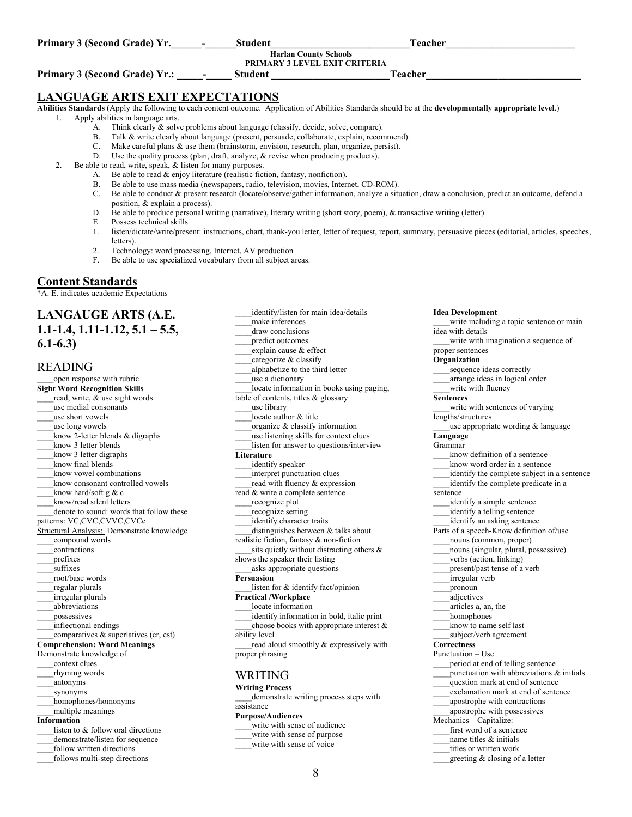| Primary 3 (Second Grade) Yr. | Student | Teacher                              |
|------------------------------|---------|--------------------------------------|
|                              |         | <b>Harlan County Schools</b>         |
|                              |         | <b>PRIMARY 3 LEVEL EXIT CRITERIA</b> |

**Primary 3 (Second Grade) Yr.: \_\_\_\_\_-\_\_\_\_\_ Student \_\_\_\_\_\_\_\_\_\_\_\_\_\_\_\_\_\_\_\_\_\_\_Teacher\_\_\_\_\_\_\_\_\_\_\_\_\_\_\_\_\_\_\_\_\_\_\_\_\_\_\_\_\_\_** 

## **LANGUAGE ARTS EXIT EXPECTATIONS**

**Abilities Standards** (Apply the following to each content outcome. Application of Abilities Standards should be at the **developmentally appropriate level**.)

- 1. Apply abilities in language arts.
	- A. Think clearly  $\&$  solve problems about language (classify, decide, solve, compare).<br>B. Talk  $\&$  write clearly about language (present persuade, collaborate, explain, recor
	- Talk & write clearly about language (present, persuade, collaborate, explain, recommend).
	- C. Make careful plans & use them (brainstorm, envision, research, plan, organize, persist).
	- D. Use the quality process (plan, draft, analyze,  $\&$  revise when producing products).
- 2. Be able to read, write, speak, & listen for many purposes.
	- A. Be able to read  $\&$  enjoy literature (realistic fiction, fantasy, nonfiction).
	- B. Be able to use mass media (newspapers, radio, television, movies, Internet, CD-ROM).
	- C. Be able to conduct & present research (locate/observe/gather information, analyze a situation, draw a conclusion, predict an outcome, defend a position, & explain a process).
	- D. Be able to produce personal writing (narrative), literary writing (short story, poem), & transactive writing (letter).
	- E. Possess technical skills
	- 1. listen/dictate/write/present: instructions, chart, thank-you letter, letter of request, report, summary, persuasive pieces (editorial, articles, speeches, letters).
	- 2. Technology: word processing, Internet, AV production
	- F. Be able to use specialized vocabulary from all subject areas.

## **Content Standards**

\*A. E. indicates academic Expectations

## **LANGAUGE ARTS (A.E. 1.1-1.4, 1.11-1.12, 5.1 – 5.5, 6.1-6.3)**

## READING

open response with rubric **Sight Word Recognition Skills**  read, write, & use sight words \_\_\_\_use medial consonants \_\_\_\_use short vowels use long vowels know 2-letter blends & digraphs know 3 letter blends \_\_\_\_know 3 letter digraphs \_\_\_\_know final blends \_\_\_\_know vowel combinations \_\_\_\_know consonant controlled vowels know hard/soft g  $& c$ \_\_\_\_know/read silent letters denote to sound: words that follow these patterns: VC,CVC,CVVC,CVCe Structural Analysis: Demonstrate knowledge \_\_\_\_compound words \_\_\_\_contractions \_\_\_\_prefixes suffixes \_\_\_\_root/base words \_\_\_\_regular plurals \_\_\_\_irregular plurals \_\_\_\_abbreviations \_\_\_\_possessives \_\_\_\_inflectional endings comparatives  $&$  superlatives (er, est) **Comprehension: Word Meanings**  Demonstrate knowledge of \_\_\_\_context clues \_\_\_\_rhyming words \_\_\_\_antonyms \_\_\_\_synonyms \_\_\_\_homophones/homonyms \_\_\_\_multiple meanings **Information**  listen to & follow oral directions demonstrate/listen for sequence \_\_\_\_follow written directions \_\_\_\_follows multi-step directions

identify/listen for main idea/details \_\_\_\_make inferences draw conclusions predict outcomes \_\_\_\_explain cause & effect categorize & classify \_\_\_\_alphabetize to the third letter use a dictionary locate information in books using paging, table of contents, titles & glossary \_\_\_\_use library locate author & title organize & classify information use listening skills for context clues listen for answer to questions/interview **Literature**  \_\_\_\_identify speaker \_\_\_\_interpret punctuation clues read with fluency & expression read & write a complete sentence \_\_\_\_recognize plot \_\_\_\_recognize setting identify character traits distinguishes between  $&$  talks about realistic fiction, fantasy & non-fiction sits quietly without distracting others & shows the speaker their listing \_\_\_\_asks appropriate questions **Persuasion**  \_\_\_\_listen for & identify fact/opinion **Practical /Workplace**  locate information \_\_\_\_identify information in bold, italic print choose books with appropriate interest  $\&$ ability level read aloud smoothly & expressively with proper phrasing WRITING

## **Writing Process**

demonstrate writing process steps with assistance

#### **Purpose/Audiences**

write with sense of audience

- write with sense of purpose
- write with sense of voice

**Idea Development**  write including a topic sentence or main idea with details \_\_\_\_write with imagination a sequence of proper sentences **Organization**  \_\_\_\_sequence ideas correctly \_\_\_\_arrange ideas in logical order write with fluency **Sentences**  write with sentences of varying lengths/structures use appropriate wording  $&$  language **Language**  Grammar know definition of a sentence know word order in a sentence identify the complete subject in a sentence identify the complete predicate in a sentence \_\_\_\_identify a simple sentence identify a telling sentence identify an asking sentence Parts of a speech-Know definition of/use \_\_\_\_nouns (common, proper) \_\_\_\_nouns (singular, plural, possessive) \_\_\_\_verbs (action, linking) present/past tense of a verb \_\_\_\_irregular verb \_\_\_\_pronoun \_\_\_\_adjectives \_\_\_\_articles a, an, the homophones \_\_\_\_know to name self last \_\_\_\_subject/verb agreement **Correctness**  Punctuation – Use \_\_\_\_period at end of telling sentence punctuation with abbreviations  $\&$  initials question mark at end of sentence \_\_\_\_exclamation mark at end of sentence \_\_\_\_apostrophe with contractions \_\_\_\_apostrophe with possessives Mechanics – Capitalize: first word of a sentence name titles & initials

- titles or written work
- \_\_\_\_greeting & closing of a letter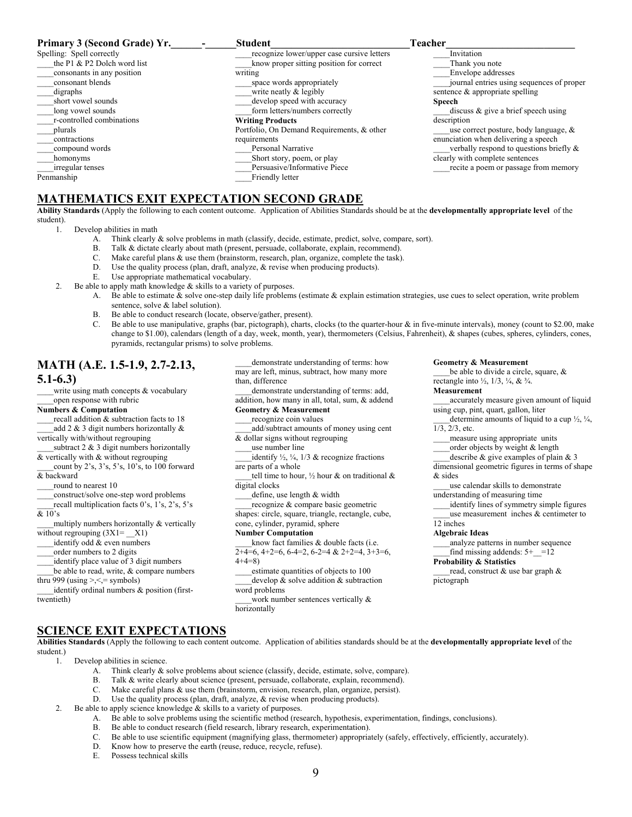| Primary 3 (Second Grade) Yr. | <b>Student</b>                             | Teacher                                    |
|------------------------------|--------------------------------------------|--------------------------------------------|
| Spelling: Spell correctly    | recognize lower/upper case cursive letters | Invitation                                 |
| the P1 & P2 Dolch word list  | know proper sitting position for correct   | Thank you note                             |
| consonants in any position   | writing                                    | Envelope addresses                         |
| consonant blends             | space words appropriately                  | journal entries using sequences of proper  |
| digraphs                     | write neatly & legibly                     | sentence $\&$ appropriate spelling         |
| short vowel sounds           | develop speed with accuracy                | <b>Speech</b>                              |
| long vowel sounds            | form letters/numbers correctly             | discuss $\&$ give a brief speech using     |
| r-controlled combinations    | <b>Writing Products</b>                    | description                                |
| plurals                      | Portfolio, On Demand Requirements, & other | use correct posture, body language, $\&$   |
| contractions                 | requirements                               | enunciation when delivering a speech       |
| compound words               | Personal Narrative                         | verbally respond to questions briefly $\&$ |
| homonyms                     | Short story, poem, or play                 | clearly with complete sentences            |
| irregular tenses             | Persuasive/Informative Piece               | recite a poem or passage from memory       |
| Penmanship                   | Friendly letter                            |                                            |

## **MATHEMATICS EXIT EXPECTATION SECOND GRADE**

**Ability Standards** (Apply the following to each content outcome. Application of Abilities Standards should be at the **developmentally appropriate level** of the student).

1. Develop abilities in math

- A. Think clearly & solve problems in math (classify, decide, estimate, predict, solve, compare, sort).<br>B. Talk & dictate clearly about math (present, persuade, collaborate, explain, recommend).
- Talk & dictate clearly about math (present, persuade, collaborate, explain, recommend).
- C. Make careful plans & use them (brainstorm, research, plan, organize, complete the task).
- D. Use the quality process (plan, draft, analyze,  $\&$  revise when producing products).
- E. Use appropriate mathematical vocabulary.
- 2. Be able to apply math knowledge  $&$  skills to a variety of purposes.
	- A. Be able to estimate & solve one-step daily life problems (estimate & explain estimation strategies, use cues to select operation, write problem sentence, solve & label solution).
		- B. Be able to conduct research (locate, observe/gather, present).
		- C. Be able to use manipulative, graphs (bar, pictograph), charts, clocks (to the quarter-hour  $\&$  in five-minute intervals), money (count to \$2.00, make change to \$1.00), calendars (length of a day, week, month, year), thermometers (Celsius, Fahrenheit), & shapes (cubes, spheres, cylinders, cones, pyramids, rectangular prisms) to solve problems.

## **MATH (A.E. 1.5-1.9, 2.7-2.13, 5.1-6.3)**

write using math concepts  $&$  vocabulary

## open response with rubric

**Numbers & Computation**  recall addition & subtraction facts to 18 add 2  $\&$  3 digit numbers horizontally  $\&$ 

vertically with/without regrouping subtract  $2 \& 3$  digit numbers horizontally

& vertically with & without regrouping

\_\_\_\_count by 2's, 3's, 5's, 10's, to 100 forward & backward

\_\_\_\_round to nearest 10

construct/solve one-step word problems

- recall multiplication facts  $0's$ ,  $1's$ ,  $2's$ ,  $5's$  $& 10's$
- multiply numbers horizontally  $&$  vertically without regrouping  $(3X1 = X1)$

identify odd & even numbers

order numbers to 2 digits

identify place value of 3 digit numbers

be able to read, write, & compare numbers thru 999 (using  $\geq$   $\leq$  = symbols)

identify ordinal numbers & position (first-

twentieth)

demonstrate understanding of terms: how may are left, minus, subtract, how many more than, difference

demonstrate understanding of terms: add, addition, how many in all, total, sum, & addend

## **Geometry & Measurement**

\_\_\_\_recognize coin values

\_\_\_\_add/subtract amounts of money using cent & dollar signs without regrouping

use number line

identify  $\frac{1}{2}$ ,  $\frac{1}{4}$ ,  $\frac{1}{3}$  & recognize fractions are parts of a whole

tell time to hour,  $\frac{1}{2}$  hour & on traditional & digital clocks

define, use length & width

recognize & compare basic geometric shapes: circle, square, triangle, rectangle, cube, cone, cylinder, pyramid, sphere

## **Number Computation**

\_\_\_\_know fact families & double facts (i.e.  $2+4=6$ ,  $4+2=6$ ,  $6-4=2$ ,  $6-2=4$  &  $2+2=4$ ,  $3+3=6$ ,  $4+4=8$ 

\_\_\_\_estimate quantities of objects to 100 develop  $\&$  solve addition  $\&$  subtraction word problems

work number sentences vertically & horizontally

#### **Geometry & Measurement**

be able to divide a circle, square, & rectangle into  $\frac{1}{2}$ ,  $\frac{1}{3}$ ,  $\frac{1}{4}$ , &  $\frac{3}{4}$ .

#### **Measurement**

accurately measure given amount of liquid using cup, pint, quart, gallon, liter

determine amounts of liquid to a cup  $\frac{1}{2}$ ,  $\frac{1}{4}$ , 1/3, 2/3, etc.

\_\_\_\_measure using appropriate units

order objects by weight & length

describe  $&$  give examples of plain  $&$  3 dimensional geometric figures in terms of shape & sides

\_\_\_\_use calendar skills to demonstrate understanding of measuring time

identify lines of symmetry simple figures use measurement inches & centimeter to 12 inches

#### **Algebraic Ideas**

\_\_\_\_analyze patterns in number sequence find missing addends:  $5+$  = 12

## **Probability & Statistics**

read, construct & use bar graph & pictograph

## **SCIENCE EXIT EXPECTATIONS**

**Abilities Standards** (Apply the following to each content outcome. Application of abilities standards should be at the **developmentally appropriate level** of the student.)

1. Develop abilities in science.

- A. Think clearly & solve problems about science (classify, decide, estimate, solve, compare).
- B. Talk & write clearly about science (present, persuade, collaborate, explain, recommend).
- C. Make careful plans & use them (brainstorm, envision, research, plan, organize, persist).
- D. Use the quality process (plan, draft, analyze, & revise when producing products).
- 2. Be able to apply science knowledge & skills to a variety of purposes.
	- A. Be able to solve problems using the scientific method (research, hypothesis, experimentation, findings, conclusions).
	- B. Be able to conduct research (field research, library research, experimentation).
	- C. Be able to use scientific equipment (magnifying glass, thermometer) appropriately (safely, effectively, efficiently, accurately).
	- D. Know how to preserve the earth (reuse, reduce, recycle, refuse).
	- E. Possess technical skills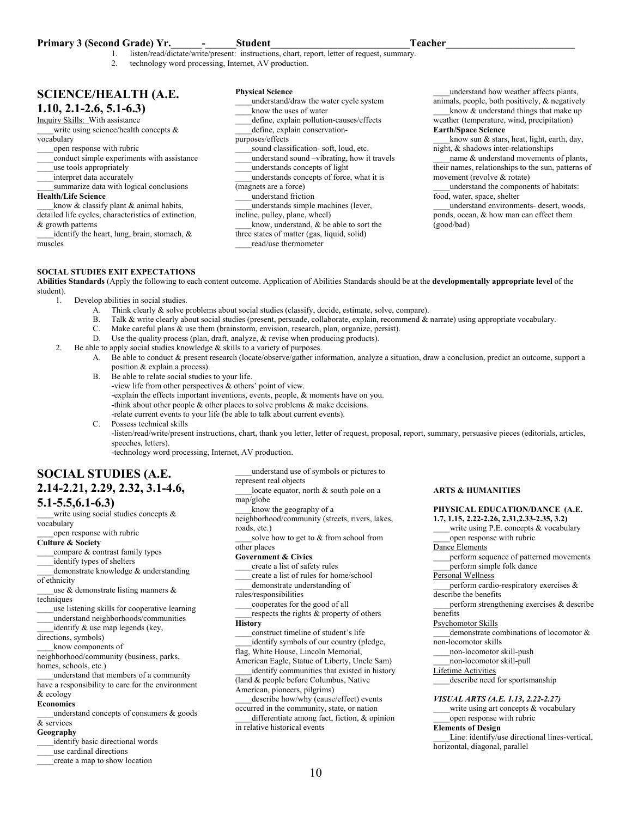## **Primary 3 (Second Grade) Yr.** The student of the student of the student of the student of the student of the student of the student of the student of the student of the student of the student of the student of the student

- listen/read/dictate/write/present: instructions, chart, report, letter of request, summary.
- 2. technology word processing, Internet, AV production.

## **SCIENCE/HEALTH (A.E. 1.10, 2.1-2.6, 5.1-6.3)**

## Inquiry Skills: With assistance

write using science/health concepts &

### vocabulary

- \_\_\_\_open response with rubric
- \_\_\_\_conduct simple experiments with assistance
- \_\_\_\_use tools appropriately
- interpret data accurately
- \_\_\_\_summarize data with logical conclusions **Health/Life Science**

know  $&$  classify plant  $&$  animal habits, detailed life cycles, characteristics of extinction, & growth patterns

identify the heart, lung, brain, stomach,  $\&$ muscles

**Physical Science**  \_\_\_\_understand/draw the water cycle system know the uses of water define, explain pollution-causes/effects define, explain conservationpurposes/effects \_\_\_\_sound classification- soft, loud, etc. \_\_\_\_understand sound –vibrating, how it travels \_\_\_\_understands concepts of light \_\_\_\_understands concepts of force, what it is (magnets are a force) \_\_\_\_understand friction \_\_\_\_understands simple machines (lever, incline, pulley, plane, wheel) know, understand, & be able to sort the three states of matter (gas, liquid, solid) \_\_\_\_read/use thermometer

\_\_\_\_understand how weather affects plants, animals, people, both positively, & negatively know  $&$  understand things that make up

weather (temperature, wind, precipitation) **Earth/Space Science** 

know sun  $\&$  stars, heat, light, earth, day, night, & shadows inter-relationships

name  $&$  understand movements of plants, their names, relationships to the sun, patterns of movement (revolve & rotate)

\_\_\_\_understand the components of habitats: food, water, space, shelter

\_\_\_\_understand environments- desert, woods, ponds, ocean, & how man can effect them (good/bad)

## **SOCIAL STUDIES EXIT EXPECTATIONS**

**Abilities Standards** (Apply the following to each content outcome. Application of Abilities Standards should be at the **developmentally appropriate level** of the student).

1. Develop abilities in social studies.

- A. Think clearly & solve problems about social studies (classify, decide, estimate, solve, compare).
- B. Talk & write clearly about social studies (present, persuade, collaborate, explain, recommend & narrate) using appropriate vocabulary.
- C. Make careful plans & use them (brainstorm, envision, research, plan, organize, persist).
- D. Use the quality process (plan, draft, analyze, & revise when producing products).
- 2. Be able to apply social studies knowledge & skills to a variety of purposes.
	- A. Be able to conduct & present research (locate/observe/gather information, analyze a situation, draw a conclusion, predict an outcome, support a position & explain a process).
	- B. Be able to relate social studies to your life. -view life from other perspectives & others' point of view. -explain the effects important inventions, events, people, & moments have on you. -think about other people & other places to solve problems & make decisions. -relate current events to your life (be able to talk about current events).
	- C. Possess technical skills -listen/read/write/present instructions, chart, thank you letter, letter of request, proposal, report, summary, persuasive pieces (editorials, articles, speeches, letters).

-technology word processing, Internet, AV production.

## **SOCIAL STUDIES (A.E. 2.14-2.21, 2.29, 2.32, 3.1-4.6,**

## **5.1-5.5,6.1-6.3)**

write using social studies concepts  $\&$ vocabulary

open response with rubric **Culture & Society** 

compare & contrast family types

\_\_\_\_identify types of shelters

demonstrate knowledge & understanding of ethnicity

use  $\&$  demonstrate listing manners  $\&$ techniques

\_\_\_\_use listening skills for cooperative learning \_\_\_\_understand neighborhoods/communities

identify & use map legends (key,

directions, symbols)

\_\_\_\_know components of

neighborhood/community (business, parks, homes, schools, etc.)

\_\_\_\_understand that members of a community have a responsibility to care for the environment

#### & ecology **Economics**

understand concepts of consumers  $\&$  goods & services

## **Geography**

- \_\_\_\_identify basic directional words
- \_\_\_\_use cardinal directions
- \_\_\_\_create a map to show location

\_\_\_\_understand use of symbols or pictures to represent real objects locate equator, north  $&$  south pole on a map/globe

know the geography of a

neighborhood/community (streets, rivers, lakes, roads, etc.)

solve how to get to & from school from other places

**Government & Civics** 

\_\_\_\_create a list of safety rules

\_\_\_\_create a list of rules for home/school

\_\_\_\_demonstrate understanding of

rules/responsibilities

\_\_\_\_cooperates for the good of all respects the rights & property of others

**History** 

\_\_\_\_construct timeline of student's life identify symbols of our country (pledge, flag, White House, Lincoln Memorial,

American Eagle, Statue of Liberty, Uncle Sam) identify communities that existed in history

(land & people before Columbus, Native American, pioneers, pilgrims)

describe how/why (cause/effect) events occurred in the community, state, or nation

\_\_\_\_differentiate among fact, fiction, & opinion in relative historical events

#### **ARTS & HUMANITIES**

## **PHYSICAL EDUCATION/DANCE (A.E. 1.7, 1.15, 2.22-2.26, 2.31,2.33-2.35, 3.2)**

write using P.E. concepts  $&$  vocabulary \_\_\_\_open response with rubric Dance Elements \_\_\_\_perform sequence of patterned movements perform simple folk dance Personal Wellness perform cardio-respiratory exercises & describe the benefits perform strengthening exercises  $\&$  describe benefits Psychomotor Skills

demonstrate combinations of locomotor & non-locomotor skills \_\_\_\_non-locomotor skill-push

\_\_\_\_non-locomotor skill-pull

Lifetime Activities

\_\_\_\_describe need for sportsmanship

*VISUAL ARTS (A.E. 1.13, 2.22-2.27)* 

write using art concepts & vocabulary \_\_\_\_open response with rubric

**Elements of Design** 

Line: identify/use directional lines-vertical, horizontal, diagonal, parallel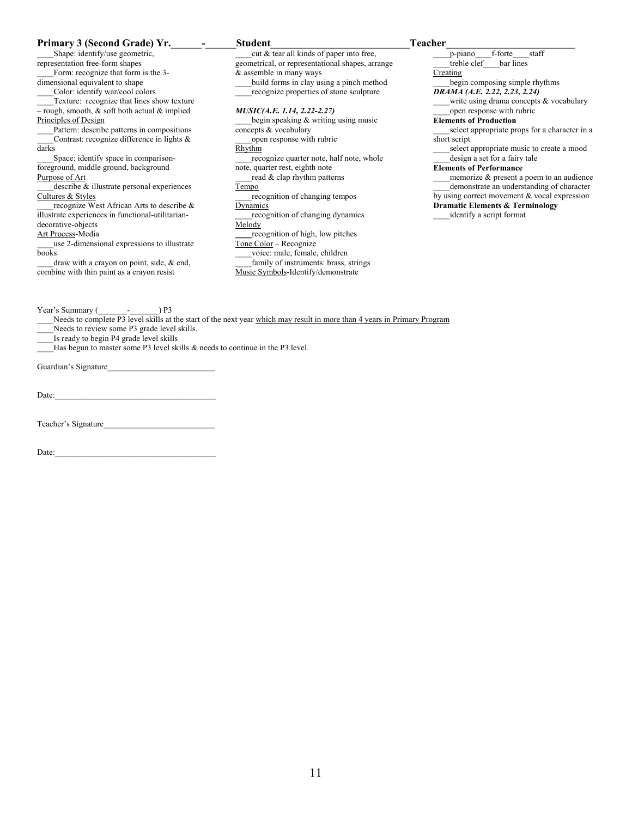| Primary 3 (Second Grade) Yr.                          | <b>Student</b>                                   | <b>Teacher</b>                             |
|-------------------------------------------------------|--------------------------------------------------|--------------------------------------------|
| Shape: identify/use geometric,                        | cut & tear all kinds of paper into free,         | staff<br>f-forte<br>p-piano                |
| representation free-form shapes                       | geometrical, or representational shapes, arrange | treble clef bar lines                      |
| Form: recognize that form is the 3-                   | & assemble in many ways                          | Creating                                   |
| dimensional equivalent to shape                       | build forms in clay using a pinch method         | begin composing simple rhythms             |
| Color: identify war/cool colors                       | recognize properties of stone sculpture          | DRAMA (A.E. 2.22, 2.23, 2.24)              |
| Texture: recognize that lines show texture            |                                                  | write using drama concepts & vocabul       |
| $-$ rough, smooth, $\&$ soft both actual $\&$ implied | <i>MUSIC(A.E. 1.14, 2.22-2.27)</i>               | open response with rubric                  |
| Principles of Design                                  | begin speaking & writing using music             | <b>Elements of Production</b>              |
| Pattern: describe patterns in compositions            | concepts & vocabulary                            | select appropriate props for a character   |
| Contrast: recognize difference in lights $\&$         | open response with rubric                        | short script                               |
| darks                                                 | Rhythm                                           | select appropriate music to create a mo    |
| Space: identify space in comparison-                  | recognize quarter note, half note, whole         | design a set for a fairy tale              |
| foreground, middle ground, background                 | note, quarter rest, eighth note                  | <b>Elements of Performance</b>             |
| Purpose of Art                                        | read & clap rhythm patterns                      | memorize & present a poem to an audi       |
| describe & illustrate personal experiences            | Tempo                                            | demonstrate an understanding of chara      |
| Cultures & Styles                                     | recognition of changing tempos                   | by using correct movement & vocal express  |
| recognize West African Arts to describe &             | Dynamics                                         | <b>Dramatic Elements &amp; Terminology</b> |
| illustrate experiences in functional-utilitarian-     | recognition of changing dynamics                 | identify a script format                   |
| decorative-objects                                    | Melody                                           |                                            |
| Art Process-Media                                     | recognition of high, low pitches                 |                                            |
| use 2-dimensional expressions to illustrate           | Tone Color – Recognize                           |                                            |
| books                                                 | voice: male, female, children                    |                                            |
| draw with a crayon on point, side, $\&$ end,          | family of instruments: brass, strings            |                                            |
| combine with thin paint as a crayon resist            | Music Symbols-Identify/demonstrate               |                                            |
|                                                       |                                                  |                                            |
|                                                       |                                                  |                                            |
| Year's Summary (<br>P3                                |                                                  |                                            |

Needs to complete P3 level skills at the start of the next year which may result in more than 4 years in Primary Program

Needs to review some P3 grade level skills.

\_\_\_\_Is ready to begin P4 grade level skills

Has begun to master some P3 level skills & needs to continue in the P3 level.

Guardian's Signature\_\_\_\_\_\_\_\_\_\_\_\_\_\_\_\_\_\_\_\_\_\_\_\_\_\_

 $Date:$ 

Teacher's Signature\_\_\_\_\_\_\_\_\_\_\_\_\_\_\_\_\_\_\_\_\_\_\_\_\_\_\_

Date:

iano\_\_\_\_f-forte\_\_\_\_staff ble clef bar lines begin composing simple rhythms *DRAMA (A.E. 2.22, 2.23, 2.24)* te using drama concepts & vocabulary en response with rubric **Elements of Production**  ect appropriate props for a character in a ipt ect appropriate music to create a mood ign a set for a fairy tale **Elements of Performance**  morize  $\&$  present a poem to an audience nonstrate an understanding of character correct movement & vocal expression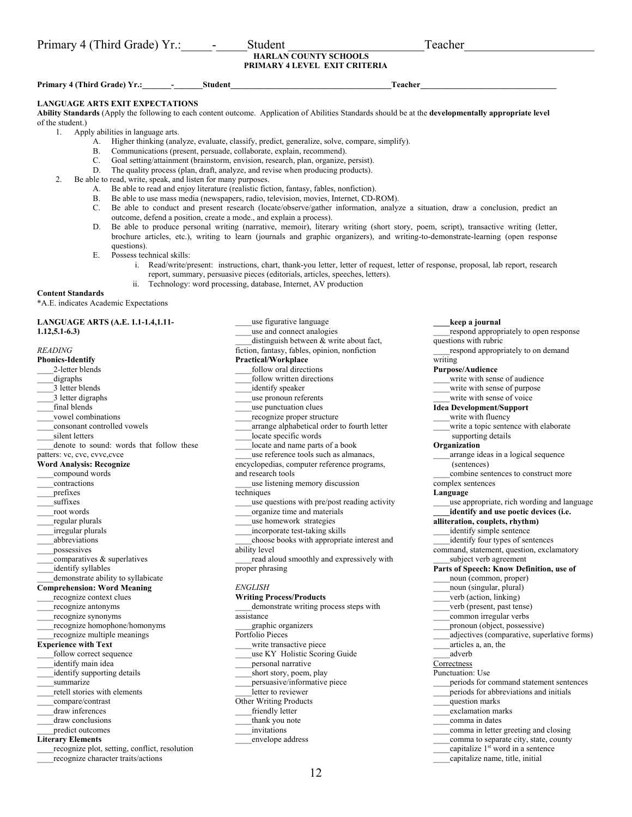| Primary 4 (Third Grade) Yr.: | student | reacher |
|------------------------------|---------|---------|
|                              |         |         |

## **HARLAN COUNTY SCHOOLS PRIMARY 4 LEVEL EXIT CRITERIA**

Primary 4 (Third Grade) Yr.: The student student of the student of the student of the student of the student of the student of the student of the student of the student of the student of the student of the student of the s

### **LANGUAGE ARTS EXIT EXPECTATIONS**

**Ability Standards** (Apply the following to each content outcome. Application of Abilities Standards should be at the **developmentally appropriate level** of the student.)

1. Apply abilities in language arts.

- A. Higher thinking (analyze, evaluate, classify, predict, generalize, solve, compare, simplify).
- B. Communications (present, persuade, collaborate, explain, recommend).
- C. Goal setting/attainment (brainstorm, envision, research, plan, organize, persist).
- The quality process (plan, draft, analyze, and revise when producing products).
- 2. Be able to read, write, speak, and listen for many purposes.
	- A. Be able to read and enjoy literature (realistic fiction, fantasy, fables, nonfiction).
	- B. Be able to use mass media (newspapers, radio, television, movies, Internet, CD-ROM).<br>C. Be able to conduct and present research (locate/observe/gather information, analys
	- Be able to conduct and present research (locate/observe/gather information, analyze a situation, draw a conclusion, predict an outcome, defend a position, create a mode., and explain a process).
	- D. Be able to produce personal writing (narrative, memoir), literary writing (short story, poem, script), transactive writing (letter, brochure articles, etc.), writing to learn (journals and graphic organizers), and writing-to-demonstrate-learning (open response questions).
	- E. Possess technical skills:
		- i. Read/write/present: instructions, chart, thank-you letter, letter of request, letter of response, proposal, lab report, research report, summary, persuasive pieces (editorials, articles, speeches, letters).
			- Technology: word processing, database, Internet, AV production

#### **Content Standards**

\*A.E. indicates Academic Expectations

**LANGUAGE ARTS (A.E. 1.1-1.4,1.11- 1.12,5.1-6.3)** 

*READING*  **Phonics-Identify**  2-letter blends \_\_\_\_digraphs \_\_\_\_3 letter blends 3 letter digraphs final blends \_\_\_\_vowel combinations \_\_\_\_consonant controlled vowels silent letters denote to sound: words that follow these patters: vc, cvc, cvvc, cvce **Word Analysis: Recognize**  \_\_\_\_compound words \_\_\_\_contractions \_\_\_\_prefixes suffixes \_\_\_\_root words regular plurals \_\_\_\_irregular plurals \_\_\_\_abbreviations possessives comparatives & superlatives identify syllables demonstrate ability to syllabicate **Comprehension: Word Meaning**  recognize context clues \_\_\_\_recognize antonyms \_\_\_\_recognize synonyms \_\_\_\_recognize homophone/homonyms \_\_\_\_recognize multiple meanings **Experience with Text**  follow correct sequence \_\_\_\_identify main idea identify supporting details summarize \_\_\_\_retell stories with elements \_\_\_\_compare/contrast \_\_\_\_draw inferences draw conclusions predict outcomes **Literary Elements**  recognize plot, setting, conflict, resolution \_\_\_\_recognize character traits/actions

\_\_\_\_use figurative language \_\_\_\_use and connect analogies distinguish between  $&$  write about fact, fiction, fantasy, fables, opinion, nonfiction **Practical/Workplace**  follow oral directions follow written directions identify speaker use pronoun referents use punctuation clues \_\_\_\_recognize proper structure arrange alphabetical order to fourth letter locate specific words locate and name parts of a book \_\_\_\_use reference tools such as almanacs, encyclopedias, computer reference programs, and research tools \_\_\_\_use listening memory discussion techniques \_\_\_\_use questions with pre/post reading activity \_\_\_\_organize time and materials use homework strategies \_\_\_\_incorporate test-taking skills \_\_\_\_choose books with appropriate interest and ability level read aloud smoothly and expressively with proper phrasing *ENGLISH*  **Writing Process/Products**  \_\_\_\_demonstrate writing process steps with assistance \_\_\_\_graphic organizers Portfolio Pieces write transactive piece use KY Holistic Scoring Guide \_\_\_\_personal narrative short story, poem, play \_\_\_\_persuasive/informative piece exter to reviewer Other Writing Products friendly letter

**\_\_\_\_keep a journal**  respond appropriately to open response questions with rubric respond appropriately to on demand writing **Purpose/Audience**  write with sense of audience write with sense of purpose write with sense of voice **Idea Development/Support**  write with fluency write a topic sentence with elaborate supporting details **Organization**  \_\_\_\_arrange ideas in a logical sequence (sentences) \_\_\_\_combine sentences to construct more complex sentences **Language**  use appropriate, rich wording and language **\_\_\_\_identify and use poetic devices (i.e. alliteration, couplets, rhythm)**  identify simple sentence \_\_\_\_identify four types of sentences command, statement, question, exclamatory subject verb agreement **Parts of Speech: Know Definition, use of**  noun (common, proper) \_\_\_\_noun (singular, plural) verb (action, linking) \_\_\_\_verb (present, past tense) \_\_\_\_common irregular verbs \_\_\_\_pronoun (object, possessive) \_\_\_\_adjectives (comparative, superlative forms) \_\_\_\_articles a, an, the \_\_\_\_adverb **Correctness** Punctuation: Use periods for command statement sentences periods for abbreviations and initials \_\_\_\_question marks \_\_\_\_exclamation marks

- \_\_\_\_comma in dates
- \_\_\_\_comma in letter greeting and closing
- comma to separate city, state, county
- capitalize 1<sup>st</sup> word in a sentence
- \_\_\_\_capitalize name, title, initial

thank you note \_\_\_\_invitations \_\_\_\_envelope address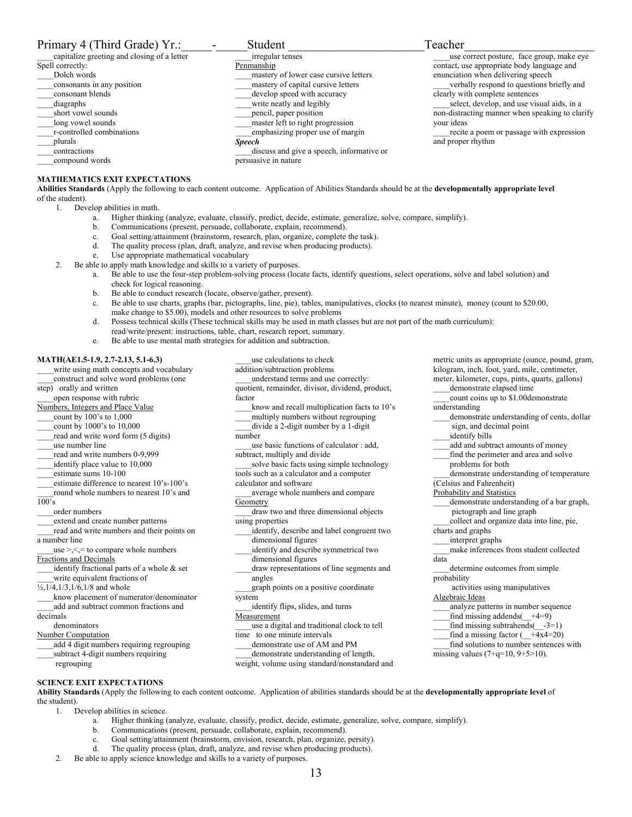| Primary 4 (Third Grade) Yr.:                | Student                                   | Teacher                                         |
|---------------------------------------------|-------------------------------------------|-------------------------------------------------|
| capitalize greeting and closing of a letter | irregular tenses                          | use correct posture, face group, make eye       |
| Spell correctly:                            | Penmanship                                | contact, use appropriate body language and      |
| Dolch words                                 | mastery of lower case cursive letters     | enunciation when delivering speech              |
| consonants in any position                  | mastery of capital cursive letters        | verbally respond to questions briefly and       |
| consonant blends                            | develop speed with accuracy               | clearly with complete sentences                 |
| diagraphs                                   | write neatly and legibly                  | select, develop, and use visual aids, in a      |
| short vowel sounds                          | pencil, paper position                    | non-distracting manner when speaking to clarify |
| long vowel sounds                           | master left to right progression          | vour ideas                                      |
| r-controlled combinations                   | emphasizing proper use of margin          | recite a poem or passage with expression        |
| plurals                                     | <b>Speech</b>                             | and proper rhythm                               |
| contractions                                | discuss and give a speech, informative or |                                                 |

#### **MATHEMATICS EXIT EXPECTATIONS**

**Abilities Standards** (Apply the following to each content outcome. Application of Abilities Standards should be at the **developmentally appropriate level** of the student).

1. Develop abilities in math.

\_\_\_\_compound words

a. Higher thinking (analyze, evaluate, classify, predict, decide, estimate, generalize, solve, compare, simplify).

persuasive in nature

- b. Communications (present, persuade, collaborate, explain, recommend).
- c. Goal setting/attainment (brainstorm, research, plan, organize, complete the task).
- d. The quality process (plan, draft, analyze, and revise when producing products).
- e. Use appropriate mathematical vocabulary
- 2. Be able to apply math knowledge and skills to a variety of purposes.
	- a. Be able to use the four-step problem-solving process (locate facts, identify questions, select operations, solve and label solution) and check for logical reasoning.
	- b. Be able to conduct research (locate, observe/gather, present).
	- c. Be able to use charts, graphs (bar, pictographs, line, pie), tables, manipulatives, clocks (to nearest minute), money (count to \$20.00, make change to \$5.00), models and other resources to solve problems
	- d. Possess technical skills (These technical skills may be used in math classes but are not part of the math curriculum): read/write/present: instructions, table, chart, research report, summary.
	- e. Be able to use mental math strategies for addition and subtraction.

#### **MATH(AE1.5-1.9, 2.7-2.13, 5.1-6.3)**

\_\_\_\_write using math concepts and vocabulary construct and solve word problems (one step) orally and written open response with rubric Numbers, Integers and Place Value count by  $100$ 's to  $1,000$ \_\_\_\_count by 1000's to 10,000 read and write word form (5 digits) \_\_\_\_use number line \_\_\_\_read and write numbers 0-9,999 \_\_\_\_identify place value to 10,000 estimate sums 10-100 \_\_\_\_estimate difference to nearest 10's-100's round whole numbers to nearest 10's and 100's \_\_\_\_order numbers \_\_\_\_extend and create number patterns \_\_\_\_read and write numbers and their points on a number line  $_{use}$  >,  $\le$ ,  $=$  to compare whole numbers Fractions and Decimals identify fractional parts of a whole  $&$  set write equivalent fractions of  $\frac{1}{2}$ , 1/4, 1/3, 1/6, 1/8 and whole \_\_\_\_know placement of numerator/denominator add and subtract common fractions and decimals denominators Number Computation \_\_\_\_add 4 digit numbers requiring regrouping subtract 4-digit numbers requiring regrouping **SCIENCE EXIT EXPECTATIONS** 

\_\_\_\_use calculations to check addition/subtraction problems \_\_\_\_understand terms and use correctly: quotient, remainder, divisor, dividend, product, factor \_\_\_\_know and recall multiplication facts to 10's multiply numbers without regrouping \_\_\_\_divide a 2-digit number by a 1-digit number use basic functions of calculator : add, subtract, multiply and divide solve basic facts using simple technology tools such as a calculator and a computer calculator and software average whole numbers and compare **Geometry** \_\_\_\_draw two and three dimensional objects using properties identify, describe and label congruent two dimensional figures identify and describe symmetrical two dimensional figures draw representations of line segments and angles \_\_\_\_graph points on a positive coordinate system \_\_\_\_identify flips, slides, and turns **Measurement** \_\_\_\_use a digital and traditional clock to tell time to one minute intervals demonstrate use of AM and PM demonstrate understanding of length, weight, volume using standard/nonstandard and

metric units as appropriate (ounce, pound, gram, kilogram, inch, foot, yard, mile, centimeter, meter, kilometer, cups, pints, quarts, gallons) demonstrate elapsed time count coins up to \$1.00demonstrate understanding demonstrate understanding of cents, dollar sign, and decimal point identify bills add and subtract amounts of money find the perimeter and area and solve problems for both demonstrate understanding of temperature (Celsius and Fahrenheit) Probability and Statistics \_\_\_\_demonstrate understanding of a bar graph, pictograph and line graph \_\_\_\_collect and organize data into line, pie, charts and graphs \_\_\_\_interpret graphs \_\_\_\_make inferences from student collected data determine outcomes from simple probability activities using manipulatives Algebraic Ideas \_\_\_\_analyze patterns in number sequence find missing addends( $\_+4=9$ ) find missing subtrahends( $-3=1$ ) find a missing factor ( $\overline{+4x4}=20$ ) find solutions to number sentences with missing values  $(7+q=10, 9+5>10)$ .

**Ability Standards** (Apply the following to each content outcome. Application of abilities standards should be at the **developmentally appropriate level** of the student).

- 1. Develop abilities in science.
	- a. Higher thinking (analyze, evaluate, classify, predict, decide, estimate, generalize, solve, compare, simplify).
	- b. Communications (present, persuade, collaborate, explain, recommend).
	- c. Goal setting/attainment (brainstorm, envision, research, plan, organize, persity).
	- d. The quality process (plan, draft, analyze, and revise when producing products).
- 2. Be able to apply science knowledge and skills to a variety of purposes.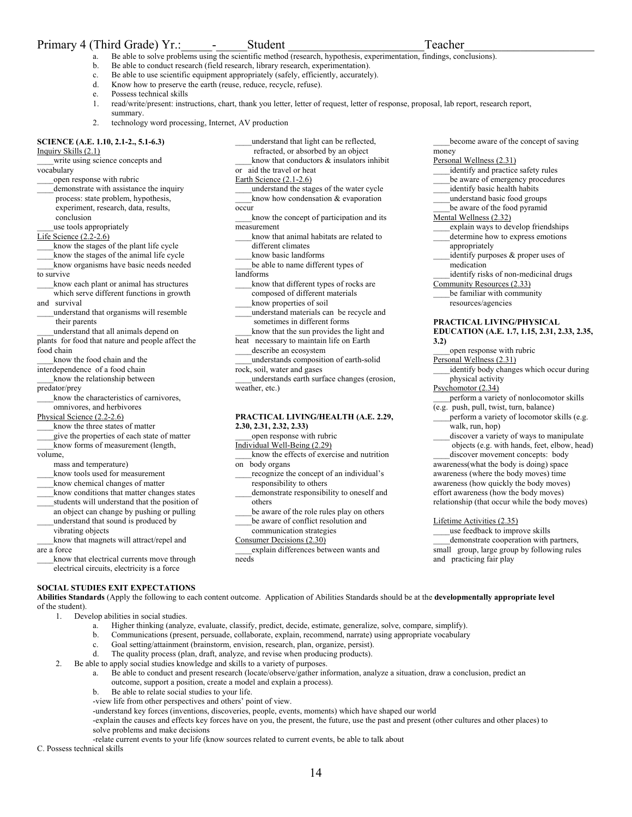## Primary 4 (Third Grade) Yr.: careful Student Teacher

or aid the travel or heat Earth Science (2.1-2.6)

different climates

rock, soil, water and gases

**2.30, 2.31, 2.32, 2.33)** 

on body organs

others

open response with rubric Individual Well-Being (2.29)

responsibility to others

weather, etc.)

money

Personal Wellness (2.31)

- Be able to solve problems using the scientific method (research, hypothesis, experimentation, findings, conclusions).
- b. Be able to conduct research (field research, library research, experimentation).
- c. Be able to use scientific equipment appropriately (safely, efficiently, accurately).

occur

measurement

landforms

- d. Know how to preserve the earth (reuse, reduce, recycle, refuse).
- e. Possess technical skills
- 1. read/write/present: instructions, chart, thank you letter, letter of request, letter of response, proposal, lab report, research report, summary.

\_\_\_\_understand that light can be reflected, refracted, or absorbed by an object know that conductors  $\&$  insulators inhibit

know that different types of rocks are composed of different materials know properties of soil

\_\_\_\_understand materials can be recycle and sometimes in different forms know that the sun provides the light and heat necessary to maintain life on Earth describe an ecosystem

\_\_\_\_understands composition of earth-solid

**PRACTICAL LIVING/HEALTH (A.E. 2.29,** 

\_\_\_\_know the effects of exercise and nutrition

recognize the concept of an individual's

demonstrate responsibility to oneself and

be aware of the role rules play on others be aware of conflict resolution and communication strategies

\_\_\_\_understands earth surface changes (erosion,

2. technology word processing, Internet, AV production

## **SCIENCE (A.E. 1.10, 2.1-2., 5.1-6.3)**

Inquiry Skills (2.1)

write using science concepts and vocabulary

- open response with rubric
- demonstrate with assistance the inquiry process: state problem, hypothesis, experiment, research, data, results, conclusion
- use tools appropriately
- Life Science (2.2-2.6)
- know the stages of the plant life cycle
- \_\_\_\_know the stages of the animal life cycle \_\_\_\_know organisms have basic needs needed
- to survive
- know each plant or animal has structures which serve different functions in growth
- and survival \_\_\_\_understand that organisms will resemble
- their parents
- \_\_\_\_understand that all animals depend on plants for food that nature and people affect the food chain

\_\_\_\_know the food chain and the

interdependence of a food chain

know the relationship between

predator/prey

know the characteristics of carnivores, omnivores, and herbivores

Physical Science (2.2-2.6)

- know the three states of matter
- \_\_\_\_give the properties of each state of matter know forms of measurement (length,

volume,

- mass and temperature)
- know tools used for measurement
- \_\_\_\_know chemical changes of matter
- \_\_\_\_know conditions that matter changes states students will understand that the position of
- an object can change by pushing or pulling
- \_\_\_\_understand that sound is produced by vibrating objects

\_\_\_\_know that magnets will attract/repel and are a force

know that electrical currents move through electrical circuits, electricity is a force

## **SOCIAL STUDIES EXIT EXPECTATIONS**

**Abilities Standards** (Apply the following to each content outcome. Application of Abilities Standards should be at the **developmentally appropriate level** of the student).

- 1. Develop abilities in social studies.
	- a. Higher thinking (analyze, evaluate, classify, predict, decide, estimate, generalize, solve, compare, simplify).
	- b. Communications (present, persuade, collaborate, explain, recommend, narrate) using appropriate vocabulary
	- c. Goal setting/attainment (brainstorm, envision, research, plan, organize, persist).
	- d. The quality process (plan, draft, analyze, and revise when producing products).
- 2. Be able to apply social studies knowledge and skills to a variety of purposes.
	- a. Be able to conduct and present research (locate/observe/gather information, analyze a situation, draw a conclusion, predict an outcome, support a position, create a model and explain a process).
		- b. Be able to relate social studies to your life.

-view life from other perspectives and others' point of view.

-understand key forces (inventions, discoveries, people, events, moments) which have shaped our world

-explain the causes and effects key forces have on you, the present, the future, use the past and present (other cultures and other places) to solve problems and make decisions

-relate current events to your life (know sources related to current events, be able to talk about C. Possess technical skills

\_\_\_\_understand the stages of the water cycle know how condensation & evaporation \_\_\_\_know the concept of participation and its know that animal habitats are related to know basic landforms be able to name different types of identify and practice safety rules be aware of emergency procedures identify basic health habits \_\_\_\_understand basic food groups be aware of the food pyramid Mental Wellness (2.32) \_\_\_\_explain ways to develop friendships determine how to express emotions appropriately identify purposes & proper uses of medication

- \_\_\_\_identify risks of non-medicinal drugs Community Resources (2.33)
	- be familiar with community resources/agencies
	- **PRACTICAL LIVING/PHYSICAL EDUCATION (A.E. 1.7, 1.15, 2.31, 2.33, 2.35, 3.2)**

become aware of the concept of saving

open response with rubric Personal Wellness (2.31)

\_\_\_\_identify body changes which occur during physical activity

Psychomotor (2.34)

\_\_\_\_perform a variety of nonlocomotor skills (e.g. push, pull, twist, turn, balance)

perform a variety of locomotor skills (e.g. walk, run, hop)

discover a variety of ways to manipulate objects (e.g. with hands, feet, elbow, head) discover movement concepts: body

awareness(what the body is doing) space awareness (where the body moves) time awareness (how quickly the body moves) effort awareness (how the body moves) relationship (that occur while the body moves)

Lifetime Activities (2.35)

use feedback to improve skills \_\_\_\_demonstrate cooperation with partners, small group, large group by following rules and practicing fair play

Consumer Decisions (2.30) \_\_\_\_explain differences between wants and needs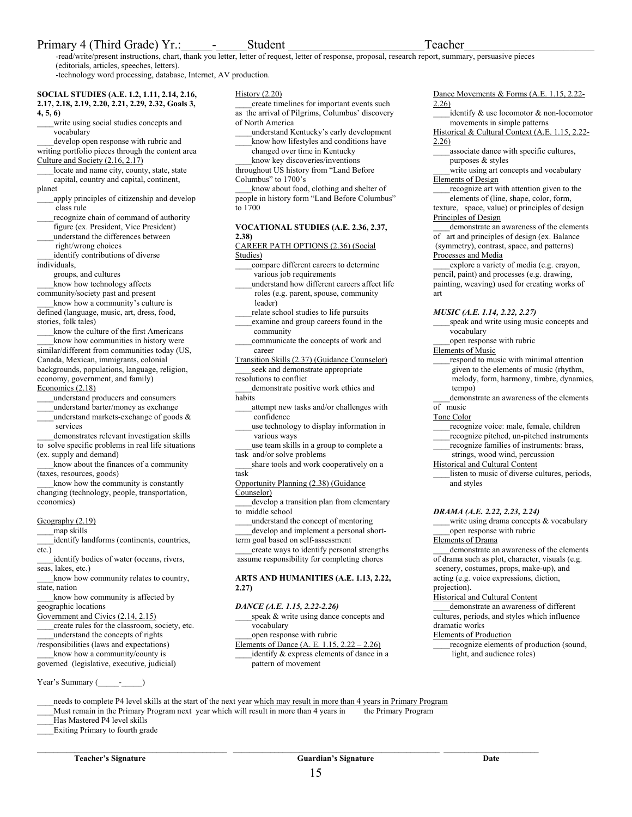## Primary 4 (Third Grade) Yr.: careful and Student Teacher

-read/write/present instructions, chart, thank you letter, letter of request, letter of response, proposal, research report, summary, persuasive pieces (editorials, articles, speeches, letters).

-technology word processing, database, Internet, AV production.

**SOCIAL STUDIES (A.E. 1.2, 1.11, 2.14, 2.16, 2.17, 2.18, 2.19, 2.20, 2.21, 2.29, 2.32, Goals 3,** 

**4, 5, 6)** 

write using social studies concepts and vocabulary

develop open response with rubric and writing portfolio pieces through the content area Culture and Society (2.16, 2.17)

locate and name city, county, state, state capital, country and capital, continent,

planet

- apply principles of citizenship and develop class rule
- recognize chain of command of authority figure (ex. President, Vice President) \_\_\_\_understand the differences between

 right/wrong choices identify contributions of diverse

individuals,

groups, and cultures

know how technology affects

community/society past and present know how a community's culture is

defined (language, music, art, dress, food, stories, folk tales)

know the culture of the first Americans know how communities in history were similar/different from communities today (US, Canada, Mexican, immigrants, colonial backgrounds, populations, language, religion, economy, government, and family) Economics (2.18)

\_\_\_\_understand producers and consumers

\_\_\_\_understand barter/money as exchange understand markets-exchange of goods  $\&$ 

 services demonstrates relevant investigation skills

to solve specific problems in real life situations (ex. supply and demand)

\_\_\_\_know about the finances of a community (taxes, resources, goods)

\_\_\_\_know how the community is constantly changing (technology, people, transportation, economics)

Geography (2.19)

\_\_\_\_map skills

\_\_\_\_identify landforms (continents, countries, etc.)

identify bodies of water (oceans, rivers, seas, lakes, etc.)

know how community relates to country, state, nation

know how community is affected by geographic locations

Government and Civics (2.14, 2.15)

\_\_\_\_create rules for the classroom, society, etc. \_\_\_\_understand the concepts of rights

/responsibilities (laws and expectations) know how a community/county is

governed (legislative, executive, judicial)

Year's Summary (

### History (2.20)

create timelines for important events such as the arrival of Pilgrims, Columbus' discovery of North America

\_\_\_\_understand Kentucky's early development know how lifestyles and conditions have

changed over time in Kentucky

know key discoveries/inventions throughout US history from "Land Before Columbus" to 1700's

know about food, clothing and shelter of people in history form "Land Before Columbus" to 1700

### **VOCATIONAL STUDIES (A.E. 2.36, 2.37, 2.38)**

CAREER PATH OPTIONS (2.36) (Social Studies)

\_\_\_\_compare different careers to determine various job requirements

\_\_\_\_understand how different careers affect life roles (e.g. parent, spouse, community leader)

- relate school studies to life pursuits \_\_\_\_examine and group careers found in the
- community

\_\_\_\_communicate the concepts of work and career

Transition Skills (2.37) (Guidance Counselor) \_\_\_\_seek and demonstrate appropriate

resolutions to conflict demonstrate positive work ethics and

habits

\_\_\_\_attempt new tasks and/or challenges with confidence

\_\_\_\_use technology to display information in various ways

- \_\_\_\_use team skills in a group to complete a task and/or solve problems
- share tools and work cooperatively on a task
- Opportunity Planning (2.38) (Guidance
- Counselor)

\_\_\_\_develop a transition plan from elementary to middle school

\_\_\_\_understand the concept of mentoring develop and implement a personal short-

term goal based on self-assessment \_\_\_\_create ways to identify personal strengths

assume responsibility for completing chores

## **ARTS AND HUMANITIES (A.E. 1.13, 2.22, 2.27)**

## *DANCE (A.E. 1.15, 2.22-2.26)*

speak & write using dance concepts and vocabulary

open response with rubric

 $\_$  ,  $\_$  ,  $\_$  ,  $\_$  ,  $\_$  ,  $\_$  ,  $\_$  ,  $\_$  ,  $\_$  ,  $\_$  ,  $\_$  ,  $\_$  ,  $\_$  ,  $\_$  ,  $\_$  ,  $\_$  ,  $\_$  ,  $\_$  ,  $\_$  ,  $\_$  ,  $\_$  ,  $\_$  ,  $\_$  ,  $\_$  ,  $\_$  ,  $\_$  ,  $\_$  ,  $\_$  ,  $\_$  ,  $\_$  ,  $\_$  ,  $\_$  ,  $\_$  ,  $\_$  ,  $\_$  ,  $\_$  ,  $\_$  ,

Elements of Dance (A. E. 1.15, 2.22 – 2.26) identify & express elements of dance in a pattern of movement

15

Dance Movements & Forms (A.E. 1.15, 2.22-2.26)

\_\_\_\_identify & use locomotor & non-locomotor movements in simple patterns

Historical & Cultural Context (A.E. 1.15, 2.22- 2.26)

\_\_\_\_associate dance with specific cultures, purposes & styles

write using art concepts and vocabulary Elements of Design

recognize art with attention given to the elements of (line, shape, color, form, texture, space, value) or principles of design Principles of Design

\_\_\_\_demonstrate an awareness of the elements of art and principles of design (ex. Balance (symmetry), contrast, space, and patterns) Processes and Media

explore a variety of media (e.g. crayon, pencil, paint) and processes (e.g. drawing, painting, weaving) used for creating works of art

*MUSIC (A.E. 1.14, 2.22, 2.27)* 

\_\_\_\_speak and write using music concepts and vocabulary

\_\_\_\_open response with rubric

- Elements of Music
- respond to music with minimal attention given to the elements of music (rhythm, melody, form, harmony, timbre, dynamics, tempo)

demonstrate an awareness of the elements of music

Tone Color

recognize voice: male, female, children

- \_\_\_\_recognize pitched, un-pitched instruments
- \_\_\_\_recognize families of instruments: brass, strings, wood wind, percussion
- Historical and Cultural Content

listen to music of diverse cultures, periods, and styles

*DRAMA (A.E. 2.22, 2.23, 2.24)* 

write using drama concepts & vocabulary \_\_\_\_open response with rubric

Elements of Drama

\_\_\_\_demonstrate an awareness of the elements of drama such as plot, character, visuals (e.g. scenery, costumes, props, make-up), and acting (e.g. voice expressions, diction, projection).

Historical and Cultural Content

\_\_\_\_demonstrate an awareness of different cultures, periods, and styles which influence dramatic works

## Elements of Production

\_\_\_\_recognize elements of production (sound, light, and audience roles)

needs to complete P4 level skills at the start of the next year which may result in more than 4 years in Primary Program \_\_\_\_Must remain in the Primary Program next year which will result in more than 4 years in the Primary Program

\_\_\_\_Has Mastered P4 level skills

\_\_\_\_Exiting Primary to fourth grade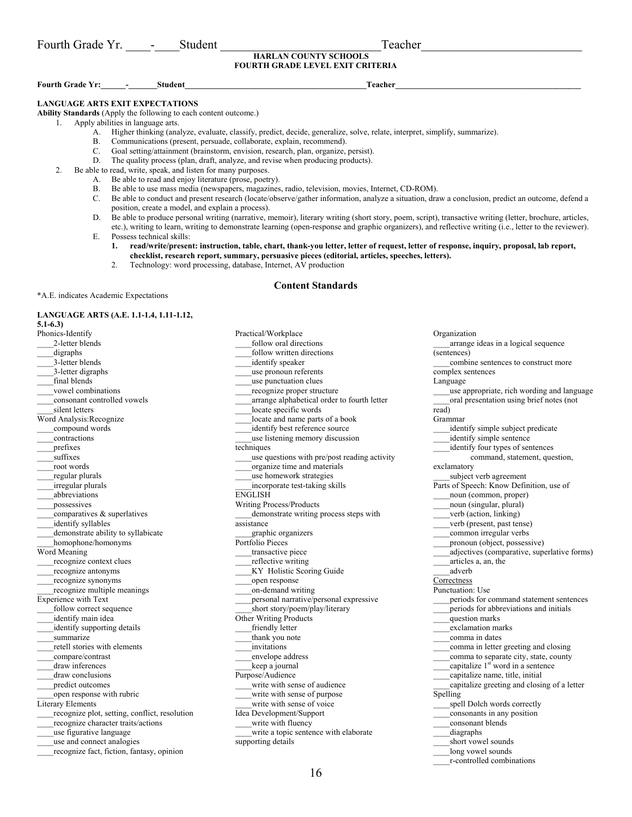| T.<br>Fourth (<br>. rrade<br>$\sim$<br>. | $.1 \Delta r$<br>≧πiaen. | . eacher |
|------------------------------------------|--------------------------|----------|
|                                          |                          |          |

## **HARLAN COUNTY SCHOOLS FOURTH GRADE LEVEL EXIT CRITERIA**

**Fourth Grade Yr:** The student that the student of the student of the student of the student of the student of the student of the student of the student of the student of the student of the student of the student of the st

**LANGUAGE ARTS EXIT EXPECTATIONS** 

**Ability Standards** (Apply the following to each content outcome.)

1. Apply abilities in language arts.

- A. Higher thinking (analyze, evaluate, classify, predict, decide, generalize, solve, relate, interpret, simplify, summarize).
- B. Communications (present, persuade, collaborate, explain, recommend).
- C. Goal setting/attainment (brainstorm, envision, research, plan, organize, persist).
- D. The quality process (plan, draft, analyze, and revise when producing products).
- 2. Be able to read, write, speak, and listen for many purposes.
	- A. Be able to read and enjoy literature (prose, poetry).
	- B. Be able to use mass media (newspapers, magazines, radio, television, movies, Internet, CD-ROM).
	- C. Be able to conduct and present research (locate/observe/gather information, analyze a situation, draw a conclusion, predict an outcome, defend a position, create a model, and explain a process).
	- D. Be able to produce personal writing (narrative, memoir), literary writing (short story, poem, script), transactive writing (letter, brochure, articles, etc.), writing to learn, writing to demonstrate learning (open-response and graphic organizers), and reflective writing (i.e., letter to the reviewer).

E. Possess technical skills:

- **1. read/write/present: instruction, table, chart, thank-you letter, letter of request, letter of response, inquiry, proposal, lab report, checklist, research report, summary, persuasive pieces (editorial, articles, speeches, letters).**
- 2. Technology: word processing, database, Internet, AV production

#### **Content Standards**

\*A.E. indicates Academic Expectations

### **LANGUAGE ARTS (A.E. 1.1-1.4, 1.11-1.12,**

**5.1-6.3)**  Phonics-Identify \_\_\_\_2-letter blends \_\_\_\_digraphs 3-letter blends \_\_\_\_3-letter digraphs final blends -<br>vowel combinations \_\_\_\_consonant controlled vowels silent letters Word Analysis:Recognize \_\_\_\_compound words \_\_\_\_contractions \_\_\_\_prefixes suffixes \_\_\_\_root words \_\_\_\_regular plurals \_\_\_\_irregular plurals \_\_\_\_abbreviations \_\_\_\_possessives comparatives & superlatives \_\_\_\_identify syllables demonstrate ability to syllabicate \_\_\_\_homophone/homonyms Word Meaning recognize context clues \_\_\_\_recognize antonyms \_\_\_\_recognize synonyms \_\_\_\_recognize multiple meanings Experience with Text follow correct sequence identify main idea \_\_\_\_identify supporting details summarize \_\_\_\_retell stories with elements \_\_\_\_compare/contrast draw inferences \_\_\_\_draw conclusions \_\_\_\_predict outcomes open response with rubric Literary Elements recognize plot, setting, conflict, resolution \_\_\_\_recognize character traits/actions \_\_\_\_use figurative language \_\_\_\_use and connect analogies \_\_\_\_recognize fact, fiction, fantasy, opinion

Practical/Workplace follow oral directions \_\_\_\_follow written directions \_\_\_\_identify speaker \_\_\_\_use pronoun referents \_\_\_\_use punctuation clues \_\_\_\_recognize proper structure \_\_\_\_arrange alphabetical order to fourth letter locate specific words locate and name parts of a book identify best reference source use listening memory discussion techniques use questions with pre/post reading activity \_\_\_\_organize time and materials \_\_\_\_use homework strategies \_\_\_\_incorporate test-taking skills ENGLISH Writing Process/Products \_\_\_\_demonstrate writing process steps with assistance \_\_\_\_graphic organizers Portfolio Pieces transactive piece \_\_\_\_reflective writing \_\_\_\_KY Holistic Scoring Guide \_\_\_\_open response \_\_\_\_on-demand writing personal narrative/personal expressive \_\_\_\_short story/poem/play/literary Other Writing Products friendly letter thank you note \_\_\_\_invitations \_\_\_\_envelope address keep a journal Purpose/Audience write with sense of audience write with sense of purpose write with sense of voice Idea Development/Support write with fluency \_\_\_\_write a topic sentence with elaborate supporting details

Organization \_\_\_\_arrange ideas in a logical sequence (sentences) combine sentences to construct more complex sentences Language  $\epsilon$  use appropriate, rich wording and language oral presentation using brief notes (not read) Grammar \_\_\_\_identify simple subject predicate identify simple sentence identify four types of sentences command, statement, question, exclamatory \_\_\_\_subject verb agreement Parts of Speech: Know Definition, use of \_\_\_\_noun (common, proper) noun (singular, plural) \_\_\_\_verb (action, linking) \_\_\_\_verb (present, past tense) \_\_\_\_common irregular verbs \_\_\_\_pronoun (object, possessive) \_\_\_\_adjectives (comparative, superlative forms) \_\_\_\_articles a, an, the \_\_\_\_adverb Correctness Punctuation: Use periods for command statement sentences periods for abbreviations and initials \_\_\_\_question marks \_\_\_\_exclamation marks \_\_\_\_comma in dates \_\_\_\_comma in letter greeting and closing \_\_\_\_comma to separate city, state, county capitalize  $1<sup>st</sup>$  word in a sentence \_\_\_\_capitalize name, title, initial \_\_\_\_capitalize greeting and closing of a letter Spelling spell Dolch words correctly \_\_\_\_consonants in any position \_\_\_\_consonant blends \_\_\_\_diagraphs short vowel sounds long vowel sounds \_\_\_\_r-controlled combinations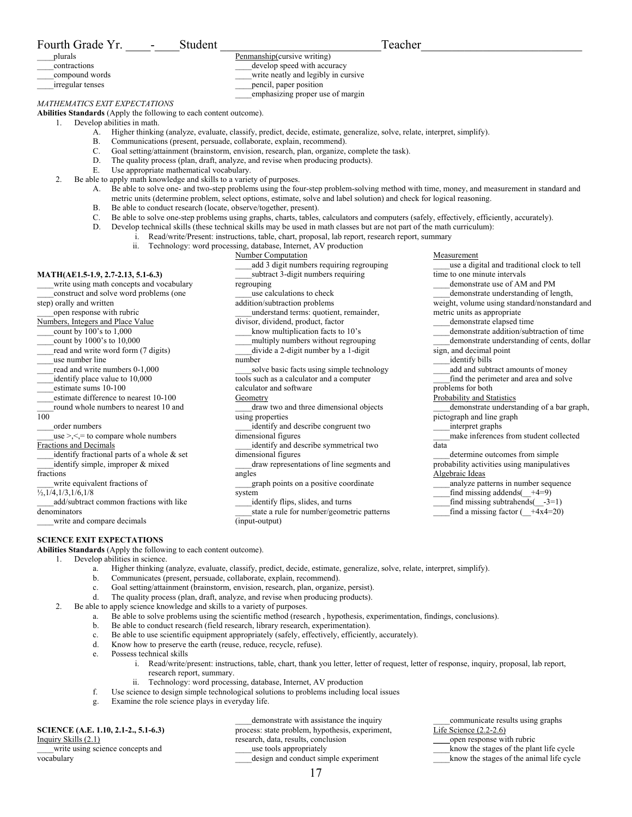| Fourth Grade Yr.                                                           | Student                                  | Teacher                                                                                                                                                                                                                     |                                                                      |
|----------------------------------------------------------------------------|------------------------------------------|-----------------------------------------------------------------------------------------------------------------------------------------------------------------------------------------------------------------------------|----------------------------------------------------------------------|
| plurals                                                                    |                                          | Penmanship(cursive writing)                                                                                                                                                                                                 |                                                                      |
| contractions                                                               |                                          | develop speed with accuracy                                                                                                                                                                                                 |                                                                      |
| compound words                                                             |                                          | write neatly and legibly in cursive                                                                                                                                                                                         |                                                                      |
| irregular tenses                                                           |                                          | pencil, paper position                                                                                                                                                                                                      |                                                                      |
|                                                                            |                                          | emphasizing proper use of margin                                                                                                                                                                                            |                                                                      |
| MATHEMATICS EXIT EXPECTATIONS                                              |                                          |                                                                                                                                                                                                                             |                                                                      |
| Abilities Standards (Apply the following to each content outcome).         |                                          |                                                                                                                                                                                                                             |                                                                      |
| Develop abilities in math.<br>1.                                           |                                          | Higher thinking (analyze, evaluate, classify, predict, decide, estimate, generalize, solve, relate, interpret, simplify).                                                                                                   |                                                                      |
| А.<br>В.                                                                   |                                          | Communications (present, persuade, collaborate, explain, recommend).                                                                                                                                                        |                                                                      |
| C.                                                                         |                                          | Goal setting/attainment (brainstorm, envision, research, plan, organize, complete the task).                                                                                                                                |                                                                      |
| D.                                                                         |                                          | The quality process (plan, draft, analyze, and revise when producing products).                                                                                                                                             |                                                                      |
| Е.                                                                         | Use appropriate mathematical vocabulary. |                                                                                                                                                                                                                             |                                                                      |
| 2.<br>Be able to apply math knowledge and skills to a variety of purposes. |                                          |                                                                                                                                                                                                                             |                                                                      |
| А.                                                                         |                                          | Be able to solve one- and two-step problems using the four-step problem-solving method with time, money, and measurement in standard and                                                                                    |                                                                      |
|                                                                            |                                          | metric units (determine problem, select options, estimate, solve and label solution) and check for logical reasoning.                                                                                                       |                                                                      |
| В.                                                                         |                                          | Be able to conduct research (locate, observe/together, present).                                                                                                                                                            |                                                                      |
| C.                                                                         |                                          | Be able to solve one-step problems using graphs, charts, tables, calculators and computers (safely, effectively, efficiently, accurately).                                                                                  |                                                                      |
| D.                                                                         |                                          | Develop technical skills (these technical skills may be used in math classes but are not part of the math curriculum):<br>i. Read/write/Present: instructions, table, chart, proposal, lab report, research report, summary |                                                                      |
| ii.                                                                        |                                          | Technology: word processing, database, Internet, AV production                                                                                                                                                              |                                                                      |
|                                                                            |                                          | Number Computation                                                                                                                                                                                                          | Measurement                                                          |
|                                                                            |                                          | add 3 digit numbers requiring regrouping                                                                                                                                                                                    | use a digital and traditional clock to tell                          |
| MATH(AE1.5-1.9, 2.7-2.13, 5.1-6.3)                                         |                                          | subtract 3-digit numbers requiring                                                                                                                                                                                          | time to one minute intervals                                         |
| write using math concepts and vocabulary                                   |                                          | regrouping                                                                                                                                                                                                                  | demonstrate use of AM and PM                                         |
| construct and solve word problems (one                                     |                                          | use calculations to check                                                                                                                                                                                                   | demonstrate understanding of length,                                 |
| step) orally and written                                                   |                                          | addition/subtraction problems                                                                                                                                                                                               | weight, volume using standard/nonstandard and                        |
| open response with rubric                                                  |                                          | understand terms: quotient, remainder,                                                                                                                                                                                      | metric units as appropriate                                          |
| Numbers, Integers and Place Value<br>count by 100's to 1,000               |                                          | divisor, dividend, product, factor                                                                                                                                                                                          | demonstrate elapsed time<br>demonstrate addition/subtraction of time |
| count by 1000's to 10,000                                                  |                                          | know multiplication facts to 10's<br>multiply numbers without regrouping                                                                                                                                                    | demonstrate understanding of cents, dollar                           |
| read and write word form (7 digits)                                        |                                          | divide a 2-digit number by a 1-digit                                                                                                                                                                                        | sign, and decimal point                                              |
| use number line                                                            |                                          | number                                                                                                                                                                                                                      | identify bills                                                       |
| read and write numbers 0-1,000                                             |                                          | solve basic facts using simple technology                                                                                                                                                                                   | add and subtract amounts of money                                    |
| identify place value to 10,000                                             |                                          | tools such as a calculator and a computer                                                                                                                                                                                   | find the perimeter and area and solve                                |
| estimate sums 10-100                                                       |                                          | calculator and software                                                                                                                                                                                                     | problems for both                                                    |
| estimate difference to nearest 10-100                                      |                                          | Geometry                                                                                                                                                                                                                    | Probability and Statistics                                           |
| round whole numbers to nearest 10 and<br>100                               |                                          | draw two and three dimensional objects                                                                                                                                                                                      | demonstrate understanding of a bar graph,                            |
| order numbers                                                              |                                          | using properties<br>identify and describe congruent two                                                                                                                                                                     | pictograph and line graph<br>interpret graphs                        |
| use $\geq$ , $\leq$ = to compare whole numbers                             |                                          | dimensional figures                                                                                                                                                                                                         | make inferences from student collected                               |
| Fractions and Decimals                                                     |                                          | identify and describe symmetrical two                                                                                                                                                                                       | data                                                                 |
| identify fractional parts of a whole & set                                 |                                          | dimensional figures                                                                                                                                                                                                         | determine outcomes from simple                                       |
| identify simple, improper & mixed                                          |                                          | draw representations of line segments and                                                                                                                                                                                   | probability activities using manipulatives                           |
| fractions                                                                  |                                          | angles                                                                                                                                                                                                                      | Algebraic Ideas                                                      |
| write equivalent fractions of                                              |                                          | graph points on a positive coordinate                                                                                                                                                                                       | analyze patterns in number sequence                                  |
| $\frac{1}{2}$ , 1/4, 1/3, 1/6, 1/8                                         |                                          | system                                                                                                                                                                                                                      | find missing addends $(\_\$ +4=9)                                    |
| add/subtract common fractions with like                                    |                                          | identify flips, slides, and turns                                                                                                                                                                                           | find missing subtrahends( $\_\_3=1$ )                                |
| denominators<br>write and compare decimals                                 |                                          | state a rule for number/geometric patterns<br>(input-output)                                                                                                                                                                | find a missing factor $(-+4x4=20)$                                   |
|                                                                            |                                          |                                                                                                                                                                                                                             |                                                                      |
| <b>SCIENCE EXIT EXPECTATIONS</b>                                           |                                          |                                                                                                                                                                                                                             |                                                                      |
| Abilities Standards (Apply the following to each content outcome).         |                                          |                                                                                                                                                                                                                             |                                                                      |
| Develop abilities in science.                                              |                                          |                                                                                                                                                                                                                             |                                                                      |
| a.                                                                         |                                          | Higher thinking (analyze, evaluate, classify, predict, decide, estimate, generalize, solve, relate, interpret, simplify).                                                                                                   |                                                                      |
| b.                                                                         |                                          | Communicates (present, persuade, collaborate, explain, recommend).                                                                                                                                                          |                                                                      |
| c.                                                                         |                                          | Goal setting/attainment (brainstorm, envision, research, plan, organize, persist).<br>The quality process (plan, draft, analyze, and revise when producing products).                                                       |                                                                      |
| d.                                                                         |                                          |                                                                                                                                                                                                                             |                                                                      |

2. Be able to apply science knowledge and skills to a variety of purposes.

- a. Be able to solve problems using the scientific method (research , hypothesis, experimentation, findings, conclusions).
- b. Be able to conduct research (field research, library research, experimentation).
- c. Be able to use scientific equipment appropriately (safely, effectively, efficiently, accurately).
- d. Know how to preserve the earth (reuse, reduce, recycle, refuse).
- e. Possess technical skills
	- i. Read/write/present: instructions, table, chart, thank you letter, letter of request, letter of response, inquiry, proposal, lab report, research report, summary.
	- ii. Technology: word processing, database, Internet, AV production
- f. Use science to design simple technological solutions to problems including local issues
- g. Examine the role science plays in everyday life.

**SCIENCE (A.E. 1.10, 2.1-2., 5.1-6.3)**  Inquiry Skills (2.1) \_\_\_\_write using science concepts and vocabulary

\_\_\_\_demonstrate with assistance the inquiry process: state problem, hypothesis, experiment, research, data, results, conclusion use tools appropriately \_\_\_\_design and conduct simple experiment

\_\_\_\_communicate results using graphs Life Science (2.2-2.6)

\_\_\_\_open response with rubric

\_\_\_\_know the stages of the plant life cycle

\_\_\_\_know the stages of the animal life cycle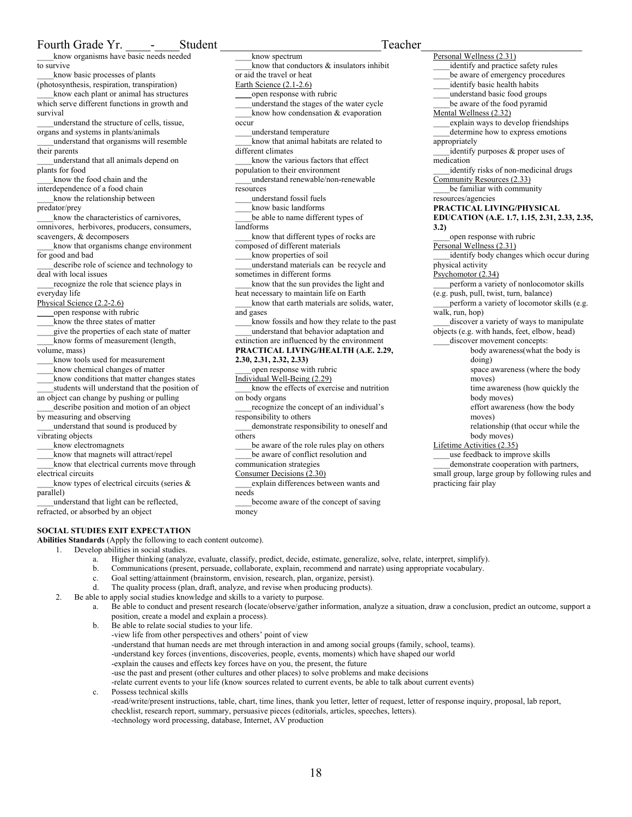\_\_\_\_know organisms have basic needs needed to survive

- \_\_\_\_know basic processes of plants (photosynthesis, respiration, transpiration) \_\_\_\_know each plant or animal has structures
- which serve different functions in growth and survival
- \_\_\_\_understand the structure of cells, tissue, organs and systems in plants/animals

\_\_\_\_understand that organisms will resemble their parents

\_\_\_\_understand that all animals depend on plants for food

know the food chain and the interdependence of a food chain

\_\_\_\_know the relationship between predator/prey

know the characteristics of carnivores, omnivores, herbivores, producers, consumers, scavengers, & decomposers

know that organisms change environment for good and bad

describe role of science and technology to deal with local issues

recognize the role that science plays in everyday life

Physical Science (2.2-2.6)

\_\_\_\_open response with rubric

know the three states of matter

- \_\_\_\_give the properties of each state of matter
- know forms of measurement (length, volume, mass)

know tools used for measurement

- \_\_\_\_know chemical changes of matter
- \_\_\_\_know conditions that matter changes states students will understand that the position of
- an object can change by pushing or pulling

describe position and motion of an object by measuring and observing

\_\_\_\_understand that sound is produced by vibrating objects

- know electromagnets
- \_\_\_\_know that magnets will attract/repel \_\_\_\_know that electrical currents move through
- electrical circuits

\_\_\_\_know types of electrical circuits (series & parallel)

\_\_\_\_understand that light can be reflected, refracted, or absorbed by an object

## **SOCIAL STUDIES EXIT EXPECTATION**

**Abilities Standards** (Apply the following to each content outcome).

- 1. Develop abilities in social studies.
	- a. Higher thinking (analyze, evaluate, classify, predict, decide, estimate, generalize, solve, relate, interpret, simplify).
	- b. Communications (present, persuade, collaborate, explain, recommend and narrate) using appropriate vocabulary.

\_\_\_\_know spectrum

or aid the travel or heat Earth Science (2.1-2.6)

different climates

occur

resources

landforms

and gases

\_\_\_\_open response with rubric

\_\_\_\_understand temperature

population to their environment

\_\_\_\_understand fossil fuels \_\_\_\_know basic landforms

composed of different materials \_\_\_\_know properties of soil

sometimes in different forms

**2.30, 2.31, 2.32, 2.33)** 

responsibility to others

communication strategies Consumer Decisions (2.30)

on body organs

others

needs

money

\_\_\_\_open response with rubric Individual Well-Being (2.29)

know that conductors  $\&$  insulators inhibit

\_\_\_\_understand the stages of the water cycle \_\_\_\_know how condensation & evaporation

\_\_\_\_know that animal habitats are related to

know the various factors that effect

\_\_\_\_understand renewable/non-renewable

be able to name different types of

\_\_\_\_know that different types of rocks are

\_\_\_\_understand materials can be recycle and

know that the sun provides the light and heat necessary to maintain life on Earth

know that earth materials are solids, water,

\_\_\_\_know fossils and how they relate to the past \_\_\_\_understand that behavior adaptation and extinction are influenced by the environment **PRACTICAL LIVING/HEALTH (A.E. 2.29,** 

\_\_\_\_know the effects of exercise and nutrition

\_\_\_\_recognize the concept of an individual's

demonstrate responsibility to oneself and

be aware of the role rules play on others be aware of conflict resolution and

\_\_\_\_explain differences between wants and

\_\_\_\_become aware of the concept of saving

- c. Goal setting/attainment (brainstorm, envision, research, plan, organize, persist).
- d. The quality process (plan, draft, analyze, and revise when producing products).
- 2. Be able to apply social studies knowledge and skills to a variety to purpose.
	- a. Be able to conduct and present research (locate/observe/gather information, analyze a situation, draw a conclusion, predict an outcome, support a position, create a model and explain a process).
		- b. Be able to relate social studies to your life. -view life from other perspectives and others' point of view -understand that human needs are met through interaction in and among social groups (family, school, teams). -understand key forces (inventions, discoveries, people, events, moments) which have shaped our world -explain the causes and effects key forces have on you, the present, the future -use the past and present (other cultures and other places) to solve problems and make decisions -relate current events to your life (know sources related to current events, be able to talk about current events) c. Possess technical skills

-read/write/present instructions, table, chart, time lines, thank you letter, letter of request, letter of response inquiry, proposal, lab report, checklist, research report, summary, persuasive pieces (editorials, articles, speeches, letters). -technology word processing, database, Internet, AV production

Personal Wellness (2.31) identify and practice safety rules be aware of emergency procedures identify basic health habits \_\_\_\_understand basic food groups be aware of the food pyramid Mental Wellness (2.32) explain ways to develop friendships determine how to express emotions appropriately identify purposes & proper uses of medication identify risks of non-medicinal drugs Community Resources (2.33) be familiar with community resources/agencies **PRACTICAL LIVING/PHYSICAL EDUCATION (A.E. 1.7, 1.15, 2.31, 2.33, 2.35, 3.2)**  open response with rubric Personal Wellness (2.31) identify body changes which occur during physical activity Psychomotor (2.34) perform a variety of nonlocomotor skills (e.g. push, pull, twist, turn, balance) \_\_\_\_perform a variety of locomotor skills (e.g. walk, run, hop) \_\_\_\_discover a variety of ways to manipulate objects (e.g. with hands, feet, elbow, head) discover movement concepts: body awareness(what the body is doing) space awareness (where the body moves) time awareness (how quickly the body moves) effort awareness (how the body moves) relationship (that occur while the body moves) Lifetime Activities (2.35) \_\_\_\_use feedback to improve skills \_\_\_\_demonstrate cooperation with partners, small group, large group by following rules and practicing fair play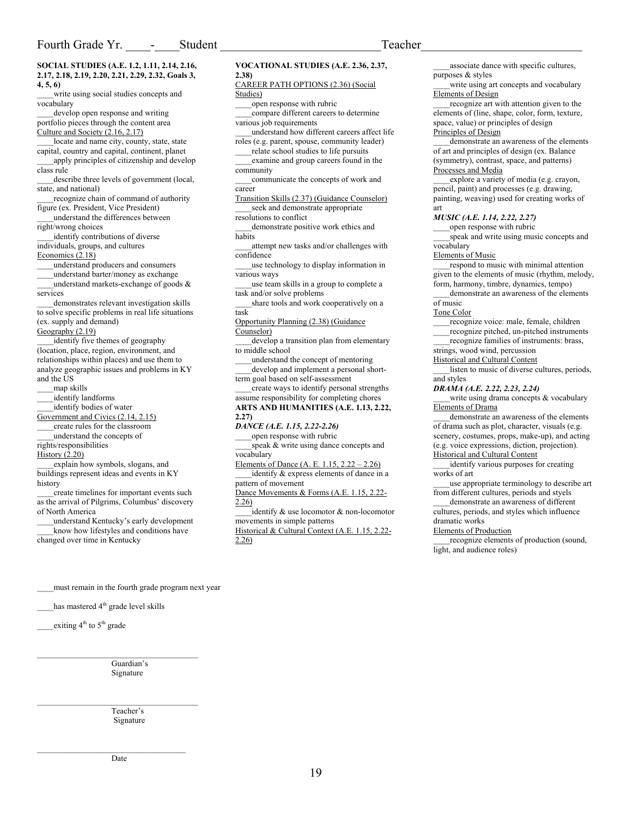**SOCIAL STUDIES (A.E. 1.2, 1.11, 2.14, 2.16, 2.17, 2.18, 2.19, 2.20, 2.21, 2.29, 2.32, Goals 3, 4, 5, 6)**  write using social studies concepts and vocabulary

develop open response and writing portfolio pieces through the content area Culture and Society (2.16, 2.17)

locate and name city, county, state, state capital, country and capital, continent, planet

apply principles of citizenship and develop class rule

describe three levels of government (local, state, and national)

\_\_\_\_recognize chain of command of authority figure (ex. President, Vice President)

\_\_\_\_understand the differences between right/wrong choices

identify contributions of diverse individuals, groups, and cultures

Economics (2.18)

\_\_\_\_understand producers and consumers

\_\_\_\_understand barter/money as exchange understand markets-exchange of goods  $\&$ 

services

\_\_\_\_demonstrates relevant investigation skills to solve specific problems in real life situations (ex. supply and demand)

Geography (2.19)

identify five themes of geography (location, place, region, environment, and relationships within places) and use them to analyze geographic issues and problems in KY and the US

\_\_\_\_map skills

\_\_\_\_identify landforms

\_\_\_\_identify bodies of water

Government and Civics (2.14, 2.15)

\_\_\_\_create rules for the classroom \_\_\_\_understand the concepts of

rights/responsibilities

History (2.20)

\_\_\_\_explain how symbols, slogans, and buildings represent ideas and events in KY history

create timelines for important events such as the arrival of Pilgrims, Columbus' discovery of North America

\_\_\_\_understand Kentucky's early development know how lifestyles and conditions have changed over time in Kentucky

**VOCATIONAL STUDIES (A.E. 2.36, 2.37, 2.38)** 

### CAREER PATH OPTIONS (2.36) (Social Studies)

open response with rubric

- \_\_\_\_compare different careers to determine various job requirements
- \_\_\_\_understand how different careers affect life roles (e.g. parent, spouse, community leader)
- relate school studies to life pursuits examine and group careers found in the
- community \_\_\_\_communicate the concepts of work and

career Transition Skills (2.37) (Guidance Counselor) seek and demonstrate appropriate

resolutions to conflict

demonstrate positive work ethics and habits

attempt new tasks and/or challenges with confidence

- use technology to display information in various ways
- use team skills in a group to complete a task and/or solve problems
- share tools and work cooperatively on a task

Opportunity Planning (2.38) (Guidance Counselor)

develop a transition plan from elementary to middle school

\_\_\_\_understand the concept of mentoring develop and implement a personal shortterm goal based on self-assessment

\_\_\_\_create ways to identify personal strengths assume responsibility for completing chores

**ARTS AND HUMANITIES (A.E. 1.13, 2.22, 2.27)** 

*DANCE (A.E. 1.15, 2.22-2.26)* 

open response with rubric speak & write using dance concepts and vocabulary

Elements of Dance (A. E. 1.15, 2.22 – 2.26) identify & express elements of dance in a pattern of movement

Dance Movements & Forms (A.E. 1.15, 2.22- 2.26)

\_\_\_\_identify & use locomotor & non-locomotor movements in simple patterns Historical & Cultural Context (A.E. 1.15, 2.22-

2.26)

associate dance with specific cultures, purposes & styles

write using art concepts and vocabulary Elements of Design

recognize art with attention given to the elements of (line, shape, color, form, texture, space, value) or principles of design Principles of Design

demonstrate an awareness of the elements of art and principles of design (ex. Balance (symmetry), contrast, space, and patterns) Processes and Media

explore a variety of media (e.g. crayon, pencil, paint) and processes (e.g. drawing, painting, weaving) used for creating works of art

#### *MUSIC (A.E. 1.14, 2.22, 2.27)*

open response with rubric speak and write using music concepts and vocabulary

#### Elements of Music

\_\_\_\_respond to music with minimal attention given to the elements of music (rhythm, melody, form, harmony, timbre, dynamics, tempo)

demonstrate an awareness of the elements of music

Tone Color

recognize voice: male, female, children

\_\_\_\_recognize pitched, un-pitched instruments

\_\_\_\_recognize families of instruments: brass,

strings, wood wind, percussion Historical and Cultural Content

\_\_\_\_listen to music of diverse cultures, periods, and styles

*DRAMA (A.E. 2.22, 2.23, 2.24)* 

write using drama concepts & vocabulary Elements of Drama

demonstrate an awareness of the elements of drama such as plot, character, visuals (e.g. scenery, costumes, props, make-up), and acting (e.g. voice expressions, diction, projection). Historical and Cultural Content

identify various purposes for creating works of art

\_\_\_\_use appropriate terminology to describe art from different cultures, periods and styels

\_\_\_\_demonstrate an awareness of different cultures, periods, and styles which influence dramatic works

Elements of Production

recognize elements of production (sound, light, and audience roles)

must remain in the fourth grade program next year

has mastered 4<sup>th</sup> grade level skills

\_exiting  $4<sup>th</sup>$  to  $5<sup>th</sup>$  grade

Guardian's Signature

 $\mathcal{L}_\text{max}$ 

 $\mathcal{L}_\text{max}$  and  $\mathcal{L}_\text{max}$  and  $\mathcal{L}_\text{max}$  and  $\mathcal{L}_\text{max}$ 

Teacher's Signature

 $\mathcal{L}_\text{max}$  and  $\mathcal{L}_\text{max}$  and  $\mathcal{L}_\text{max}$  and  $\mathcal{L}_\text{max}$ Date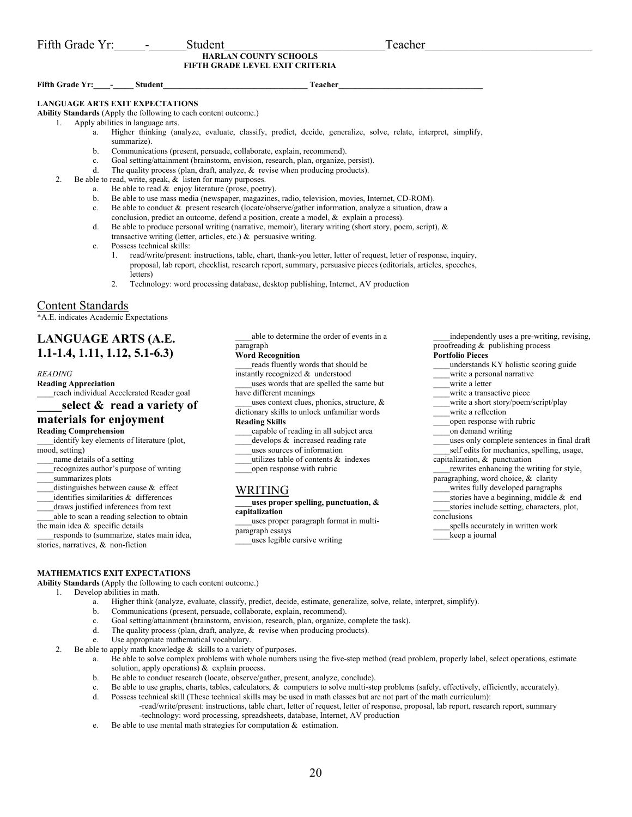**HARLAN COUNTY SCHOOLS FIFTH GRADE LEVEL EXIT CRITERIA** 

## Fifth Grade Yr: - Student Teacher

## **LANGUAGE ARTS EXIT EXPECTATIONS**

**Ability Standards** (Apply the following to each content outcome.)

1. Apply abilities in language arts.

- a. Higher thinking (analyze, evaluate, classify, predict, decide, generalize, solve, relate, interpret, simplify, summarize).
- b. Communications (present, persuade, collaborate, explain, recommend).
- c. Goal setting/attainment (brainstorm, envision, research, plan, organize, persist).<br>d. The quality process (plan, draft, analyze,  $\&$  revise when producing products).
- The quality process (plan, draft, analyze,  $\&$  revise when producing products).
- 2. Be able to read, write, speak, & listen for many purposes.
	- a. Be able to read & enjoy literature (prose, poetry).
	- b. Be able to use mass media (newspaper, magazines, radio, television, movies, Internet, CD-ROM).
	- c. Be able to conduct & present research (locate/observe/gather information, analyze a situation, draw a
	- conclusion, predict an outcome, defend a position, create a model, & explain a process).
	- d. Be able to produce personal writing (narrative, memoir), literary writing (short story, poem, script), & transactive writing (letter, articles, etc.) & persuasive writing.
	- e. Possess technical skills:
		- 1. read/write/present: instructions, table, chart, thank-you letter, letter of request, letter of response, inquiry, proposal, lab report, checklist, research report, summary, persuasive pieces (editorials, articles, speeches, letters)
		- 2. Technology: word processing database, desktop publishing, Internet, AV production

## Content Standards

\*A.E. indicates Academic Expectations

## **LANGUAGE ARTS (A.E. 1.1-1.4, 1.11, 1.12, 5.1-6.3)**

## *READING*

**Reading Appreciation**  \_\_\_\_reach individual Accelerated Reader goal

**\_\_\_\_select & read a variety of** 

## **materials for enjoyment**

## **Reading Comprehension**

identify key elements of literature (plot, mood, setting)

name details of a setting

recognizes author's purpose of writing

- summarizes plots
- distinguishes between cause  $\&$  effect
- identifies similarities & differences
- draws justified inferences from text
- able to scan a reading selection to obtain
- the main idea  $\&$  specific details

\_\_\_\_responds to (summarize, states main idea, stories, narratives, & non-fiction

\_\_\_\_able to determine the order of events in a paragraph

## **Word Recognition**

reads fluently words that should be instantly recognized & understood

- uses words that are spelled the same but have different meanings
- \_\_\_\_uses context clues, phonics, structure, & dictionary skills to unlock unfamiliar words

## **Reading Skills**

\_\_\_\_capable of reading in all subject area develops  $\&$  increased reading rate

- 
- \_\_\_\_uses sources of information
- utilizes table of contents & indexes open response with rubric

## WRITING

**\_\_\_\_uses proper spelling, punctuation, & capitalization** 

\_\_\_\_uses proper paragraph format in multiparagraph essays

\_\_\_\_uses legible cursive writing

\_\_\_\_independently uses a pre-writing, revising, proofreading & publishing process

## **Portfolio Pieces**

- \_\_\_\_understands KY holistic scoring guide
- write a personal narrative
	- write a letter
- write a transactive piece
- 
- 
- uses only complete sentences in final draft self edits for mechanics, spelling, usage,
- capitalization, & punctuation

rewrites enhancing the writing for style, paragraphing, word choice, & clarity

- writes fully developed paragraphs
- stories have a beginning, middle & end stories include setting, characters, plot, conclusions
- spells accurately in written work
- keep a journal

## **MATHEMATICS EXIT EXPECTATIONS**

**Ability Standards** (Apply the following to each content outcome.)

- 1. Develop abilities in math.
	- a. Higher think (analyze, evaluate, classify, predict, decide, estimate, generalize, solve, relate, interpret, simplify).
	- b. Communications (present, persuade, collaborate, explain, recommend).
	- c. Goal setting/attainment (brainstorm, envision, research, plan, organize, complete the task).
	- d. The quality process (plan, draft, analyze, & revise when producing products).
	- e. Use appropriate mathematical vocabulary.
- 2. Be able to apply math knowledge  $\&$  skills to a variety of purposes.
	- a. Be able to solve complex problems with whole numbers using the five-step method (read problem, properly label, select operations, estimate solution, apply operations) & explain process.
		- b. Be able to conduct research (locate, observe/gather, present, analyze, conclude).
		- c. Be able to use graphs, charts, tables, calculators, & computers to solve multi-step problems (safely, effectively, efficiently, accurately).
		- d. Possess technical skill (These technical skills may be used in math classes but are not part of the math curriculum):
			- -read/write/present: instructions, table chart, letter of request, letter of response, proposal, lab report, research report, summary -technology: word processing, spreadsheets, database, Internet, AV production
		- e. Be able to use mental math strategies for computation  $\&$  estimation.
- \_\_\_\_write a short story/poem/script/play \_\_\_\_write a reflection open response with rubric on demand writing
-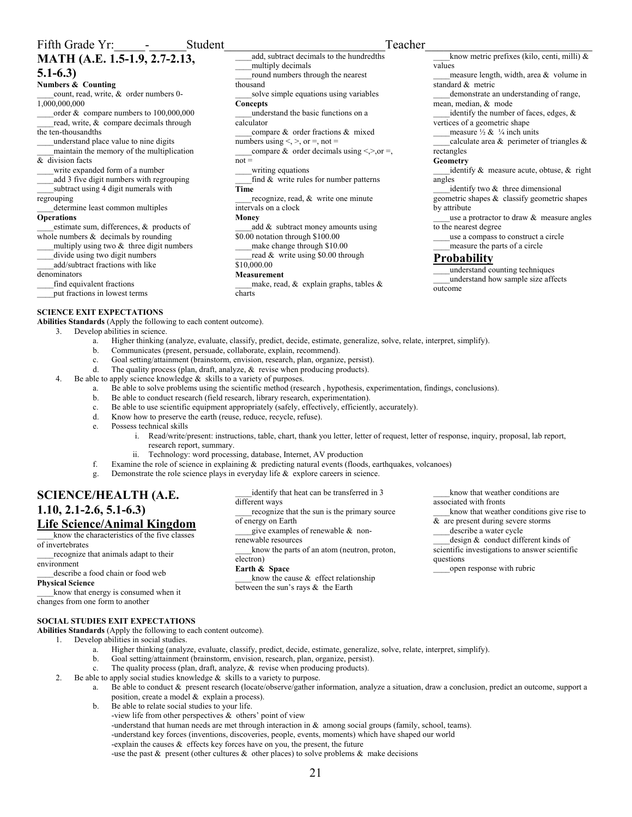## **MATH (A.E. 1.5-1.9, 2.7-2.13, 5.1-6.3)**

## **Numbers & Counting**

count, read, write, & order numbers 0-1,000,000,000

\_\_\_\_order & compare numbers to 100,000,000 read, write, & compare decimals through the ten-thousandths

\_\_\_\_understand place value to nine digits

\_\_\_\_maintain the memory of the multiplication & division facts

write expanded form of a number

add 3 five digit numbers with regrouping \_\_\_\_subtract using 4 digit numerals with regrouping

determine least common multiples

## **Operations**

\_\_\_\_estimate sum, differences, & products of whole numbers  $&$  decimals by rounding multiply using two  $\&$  three digit numbers

\_\_\_\_divide using two digit numbers

add/subtract fractions with like

denominators

find equivalent fractions \_\_\_\_put fractions in lowest terms

## **SCIENCE EXIT EXPECTATIONS**

**Abilities Standards** (Apply the following to each content outcome).

- 3. Develop abilities in science. a. Higher thinking (analyze, evaluate, classify, predict, decide, estimate, generalize, solve, relate, interpret, simplify).
	- b. Communicates (present, persuade, collaborate, explain, recommend).
	- c. Goal setting/attainment (brainstorm, envision, research, plan, organize, persist).
	- d. The quality process (plan, draft, analyze, & revise when producing products).
- 4. Be able to apply science knowledge & skills to a variety of purposes.
	- a. Be able to solve problems using the scientific method (research , hypothesis, experimentation, findings, conclusions).

add, subtract decimals to the hundredths

round numbers through the nearest

\_\_\_\_understand the basic functions on a

compare & order fractions & mixed

\_compare & order decimals using <, >>,or =,

find  $&$  write rules for number patterns

recognize, read, & write one minute

\_\_\_\_add & subtract money amounts using

make, read,  $\&$  explain graphs, tables  $\&$ 

\_\_\_\_solve simple equations using variables

multiply decimals

numbers using  $\lt$ ,  $\gt$ , or  $=$ , not  $=$ 

\$0.00 notation through \$100.00 \_\_\_\_make change through \$10.00 read & write using \$0.00 through

writing equations

intervals on a clock

thousand

**Concepts** 

calculator

 $not =$ 

**Time** 

**Money** 

\$10,000.00 **Measurement** 

charts

- b. Be able to conduct research (field research, library research, experimentation).
- c. Be able to use scientific equipment appropriately (safely, effectively, efficiently, accurately).
- d. Know how to preserve the earth (reuse, reduce, recycle, refuse).
- e. Possess technical skills

## i. Read/write/present: instructions, table, chart, thank you letter, letter of request, letter of response, inquiry, proposal, lab report, research report, summary.

- Technology: word processing, database, Internet, AV production
- f. Examine the role of science in explaining & predicting natural events (floods, earthquakes, volcanoes)

different ways

electron) **Earth & Space** 

of energy on Earth

renewable resources

g. Demonstrate the role science plays in everyday life & explore careers in science.

## **SCIENCE/HEALTH (A.E. 1.10, 2.1-2.6, 5.1-6.3) Life Science/Animal Kingdom**

\_\_\_\_know the characteristics of the five classes of invertebrates

\_\_\_\_recognize that animals adapt to their environment

## \_\_\_\_describe a food chain or food web

**Physical Science** 

\_\_\_\_know that energy is consumed when it changes from one form to another

## **SOCIAL STUDIES EXIT EXPECTATIONS**

**Abilities Standards** (Apply the following to each content outcome).

- 1. Develop abilities in social studies.
	- a. Higher thinking (analyze, evaluate, classify, predict, decide, estimate, generalize, solve, relate, interpret, simplify).

between the sun's rays & the Earth

 $\pm$ know the cause  $\&$  effect relationship

- b. Goal setting/attainment (brainstorm, envision, research, plan, organize, persist).
- c. The quality process (plan, draft, analyze, & revise when producing products).
- 2. Be able to apply social studies knowledge  $\&$  skills to a variety to purpose.
	- a. Be able to conduct & present research (locate/observe/gather information, analyze a situation, draw a conclusion, predict an outcome, support a position, create a model & explain a process).
	- b. Be able to relate social studies to your life.
		- -view life from other perspectives & others' point of view

-understand that human needs are met through interaction in  $\&$  among social groups (family, school, teams).

-understand key forces (inventions, discoveries, people, events, moments) which have shaped our world

-explain the causes  $\&$  effects key forces have on you, the present, the future

-use the past  $\&$  present (other cultures  $\&$  other places) to solve problems  $\&$  make decisions

values \_\_\_\_measure length, width, area & volume in standard & metric \_\_\_\_demonstrate an understanding of range, mean, median, & mode identify the number of faces, edges,  $\&$ vertices of a geometric shape \_measure  $\frac{1}{2}$  &  $\frac{1}{4}$  inch units calculate area  $\&$  perimeter of triangles  $\&$ rectangles **Geometry**  identify & measure acute, obtuse, & right angles identify two  $&$  three dimensional geometric shapes & classify geometric shapes by attribute use a protractor to draw  $\&$  measure angles to the nearest degree \_\_\_\_use a compass to construct a circle \_\_\_\_measure the parts of a circle

\_\_\_\_know metric prefixes (kilo, centi, milli) &

## **Probability**

\_\_\_\_understand counting techniques \_\_\_\_understand how sample size affects outcome

associated with fronts \_\_\_\_know that weather conditions give rise to & are present during severe storms describe a water cycle \_\_\_\_design & conduct different kinds of scientific investigations to answer scientific questions

open response with rubric

identify that heat can be transferred in 3 \_\_\_\_recognize that the sun is the primary source give examples of renewable  $\&$  non-\_\_\_\_know the parts of an atom (neutron, proton, know that weather conditions are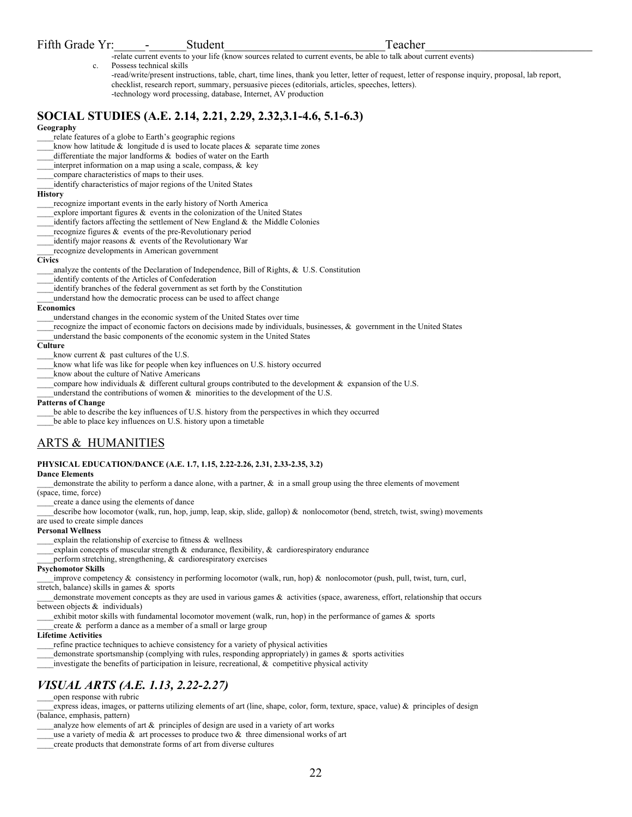## Fifth Grade Yr: - Student Teacher

-relate current events to your life (know sources related to current events, be able to talk about current events) c. Possess technical skills

-read/write/present instructions, table, chart, time lines, thank you letter, letter of request, letter of response inquiry, proposal, lab report, checklist, research report, summary, persuasive pieces (editorials, articles, speeches, letters). -technology word processing, database, Internet, AV production

## **SOCIAL STUDIES (A.E. 2.14, 2.21, 2.29, 2.32,3.1-4.6, 5.1-6.3)**

## **Geography**

relate features of a globe to Earth's geographic regions

- know how latitude  $\&$  longitude d is used to locate places  $\&$  separate time zones
- differentiate the major landforms & bodies of water on the Earth
- $_1$ interpret information on a map using a scale, compass,  $\&$  key
- compare characteristics of maps to their uses.
- \_\_\_\_identify characteristics of major regions of the United States

### **History**

- \_\_\_\_recognize important events in the early history of North America
- explore important figures  $\&$  events in the colonization of the United States
- identify factors affecting the settlement of New England  $\&$  the Middle Colonies
- recognize figures  $\&$  events of the pre-Revolutionary period
- identify major reasons  $\&$  events of the Revolutionary War
- \_\_\_\_recognize developments in American government

#### **Civics**

analyze the contents of the Declaration of Independence, Bill of Rights,  $\&$  U.S. Constitution

- \_\_\_\_identify contents of the Articles of Confederation
- identify branches of the federal government as set forth by the Constitution
- \_\_\_\_understand how the democratic process can be used to affect change

#### **Economics**

- \_\_\_\_understand changes in the economic system of the United States over time
- recognize the impact of economic factors on decisions made by individuals, businesses,  $\&$  government in the United States
- \_\_\_\_understand the basic components of the economic system in the United States

### **Culture**

know current  $\&$  past cultures of the U.S.

- know what life was like for people when key influences on U.S. history occurred
- \_\_\_\_know about the culture of Native Americans
- compare how individuals  $\&$  different cultural groups contributed to the development  $\&$  expansion of the U.S.
- understand the contributions of women  $\&$  minorities to the development of the U.S.

#### **Patterns of Change**

be able to describe the key influences of U.S. history from the perspectives in which they occurred

be able to place key influences on U.S. history upon a timetable

## ARTS & HUMANITIES

## **PHYSICAL EDUCATION/DANCE (A.E. 1.7, 1.15, 2.22-2.26, 2.31, 2.33-2.35, 3.2)**

**Dance Elements** 

demonstrate the ability to perform a dance alone, with a partner,  $\&$  in a small group using the three elements of movement (space, time, force)

\_\_\_\_create a dance using the elements of dance

describe how locomotor (walk, run, hop, jump, leap, skip, slide, gallop) & nonlocomotor (bend, stretch, twist, swing) movements are used to create simple dances

#### **Personal Wellness**

explain the relationship of exercise to fitness & wellness

explain concepts of muscular strength  $\&$  endurance, flexibility,  $\&$  cardiorespiratory endurance

perform stretching, strengthening,  $\&$  cardiorespiratory exercises

#### **Psychomotor Skills**

\_\_\_\_improve competency & consistency in performing locomotor (walk, run, hop) & nonlocomotor (push, pull, twist, turn, curl, stretch, balance) skills in games & sports

demonstrate movement concepts as they are used in various games & activities (space, awareness, effort, relationship that occurs between objects & individuals)

- exhibit motor skills with fundamental locomotor movement (walk, run, hop) in the performance of games  $\&$  sports
- create  $&$  perform a dance as a member of a small or large group

## **Lifetime Activities**

refine practice techniques to achieve consistency for a variety of physical activities

- demonstrate sportsmanship (complying with rules, responding appropriately) in games  $\&$  sports activities
- investigate the benefits of participation in leisure, recreational,  $\&$  competitive physical activity

## *VISUAL ARTS (A.E. 1.13, 2.22-2.27)*

## \_\_\_\_open response with rubric

express ideas, images, or patterns utilizing elements of art (line, shape, color, form, texture, space, value)  $\&$  principles of design (balance, emphasis, pattern)

analyze how elements of art  $&$  principles of design are used in a variety of art works

use a variety of media  $\&$  art processes to produce two  $\&$  three dimensional works of art

\_\_\_\_create products that demonstrate forms of art from diverse cultures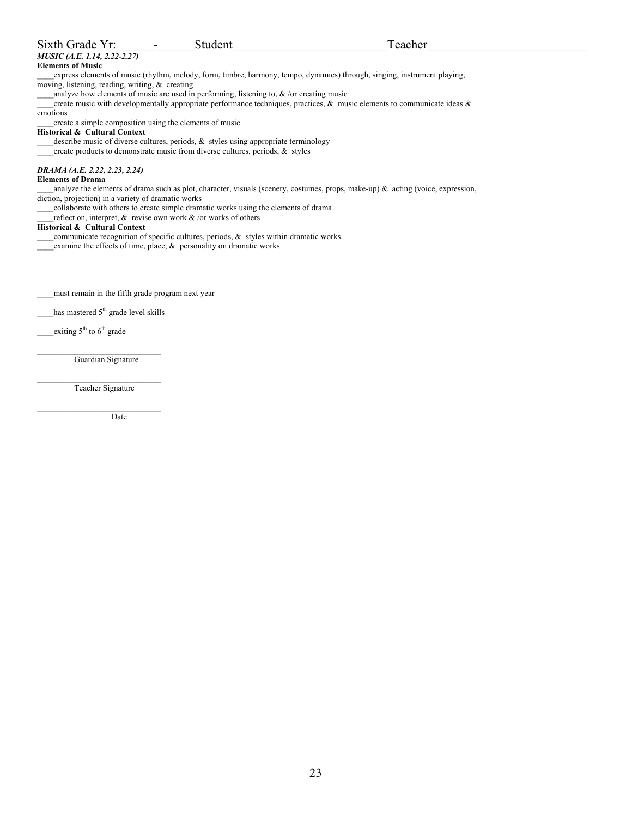| Sixth Grade Yr:                                     | Student                                                                                     | Teacher                                                                                                                         |  |
|-----------------------------------------------------|---------------------------------------------------------------------------------------------|---------------------------------------------------------------------------------------------------------------------------------|--|
| MUSIC (A.E. 1.14, 2.22-2.27)                        |                                                                                             |                                                                                                                                 |  |
| <b>Elements of Music</b>                            |                                                                                             |                                                                                                                                 |  |
|                                                     |                                                                                             | express elements of music (rhythm, melody, form, timbre, harmony, tempo, dynamics) through, singing, instrument playing,        |  |
| moving, listening, reading, writing, $\&$ creating  |                                                                                             |                                                                                                                                 |  |
|                                                     | analyze how elements of music are used in performing, listening to, $\&$ /or creating music |                                                                                                                                 |  |
|                                                     |                                                                                             | create music with developmentally appropriate performance techniques, practices, $\&$ music elements to communicate ideas $\&$  |  |
| emotions                                            |                                                                                             |                                                                                                                                 |  |
|                                                     | create a simple composition using the elements of music                                     |                                                                                                                                 |  |
| <b>Historical &amp; Cultural Context</b>            |                                                                                             |                                                                                                                                 |  |
|                                                     | describe music of diverse cultures, periods, $\&$ styles using appropriate terminology      |                                                                                                                                 |  |
|                                                     | create products to demonstrate music from diverse cultures, periods, & styles               |                                                                                                                                 |  |
| DRAMA (A.E. 2.22, 2.23, 2.24)                       |                                                                                             |                                                                                                                                 |  |
| <b>Elements of Drama</b>                            |                                                                                             |                                                                                                                                 |  |
|                                                     |                                                                                             | analyze the elements of drama such as plot, character, visuals (scenery, costumes, props, make-up) & acting (voice, expression, |  |
| diction, projection) in a variety of dramatic works |                                                                                             |                                                                                                                                 |  |
|                                                     | collaborate with others to create simple dramatic works using the elements of drama         |                                                                                                                                 |  |
|                                                     | reflect on, interpret, & revise own work $\&$ /or works of others                           |                                                                                                                                 |  |
| <b>Historical &amp; Cultural Context</b>            |                                                                                             |                                                                                                                                 |  |
|                                                     | communicate recognition of specific cultures, periods, $\&$ styles within dramatic works    |                                                                                                                                 |  |
|                                                     | examine the effects of time, place, $\&$ personality on dramatic works                      |                                                                                                                                 |  |
|                                                     |                                                                                             |                                                                                                                                 |  |
|                                                     |                                                                                             |                                                                                                                                 |  |
|                                                     |                                                                                             |                                                                                                                                 |  |
| must remain in the fifth grade program next year    |                                                                                             |                                                                                                                                 |  |
| has mastered $5th$ grade level skills               |                                                                                             |                                                                                                                                 |  |
|                                                     |                                                                                             |                                                                                                                                 |  |
| exiting $5th$ to $6th$ grade                        |                                                                                             |                                                                                                                                 |  |

 $\mathcal{L}_\text{max}$ Guardian Signature

\_\_\_\_\_\_\_\_\_\_\_\_\_\_\_\_\_\_\_\_\_\_\_\_\_\_\_\_\_\_ Teacher Signature  $\mathcal{L}_\text{max}$ 

Date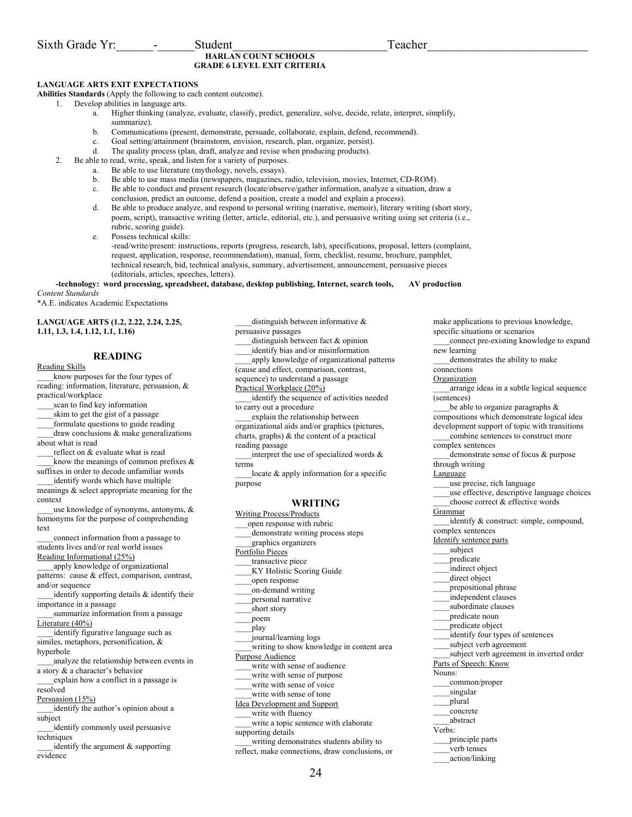## **HARLAN COUNT SCHOOLS GRADE 6 LEVEL EXIT CRITERIA**

## **LANGUAGE ARTS EXIT EXPECTATIONS**

**Abilities Standards** (Apply the following to each content outcome).

1. Develop abilities in language arts.

- a. Higher thinking (analyze, evaluate, classify, predict, generalize, solve, decide, relate, interpret, simplify, summarize).
- b. Communications (present, demonstrate, persuade, collaborate, explain, defend, recommend).
- c. Goal setting/attainment (brainstorm, envision, research, plan, organize, persist).
- d. The quality process (plan, draft, analyze and revise when producing products).
- 2. Be able to read, write, speak, and listen for a variety of purposes.
	- a. Be able to use literature (mythology, novels, essays).
	- b. Be able to use mass media (newspapers, magazines, radio, television, movies, Internet, CD-ROM).
	- c. Be able to conduct and present research (locate/observe/gather information, analyze a situation, draw a conclusion, predict an outcome, defend a position, create a model and explain a process).
	- d. Be able to produce analyze, and respond to personal writing (narrative, memoir), literary writing (short story, poem, script), transactive writing (letter, article, editorial, etc.), and persuasive writing using set criteria (i.e., rubric, scoring guide).

e. Possess technical skills:

-read/write/present: instructions, reports (progress, research, lab), specifications, proposal, letters (complaint, request, application, response, recommendation), manual, form, checklist, resume, brochure, pamphlet, technical research, bid, technical analysis, summary, advertisement, announcement, persuasive pieces (editorials, articles, speeches, letters).

#### **-technology: word processing, spreadsheet, database, desktop publishing, Internet, search tools, AV production**  *Content Standards*

\*A.E. indicates Academic Expectations

**LANGUAGE ARTS (1.2, 2.22, 2.24, 2.25, 1.11, 1.3, 1.4, 1.12, 1.1, 1.16)** 

## **READING**

Reading Skills know purposes for the four types of

reading: information, literature, persuasion, & practical/workplace scan to find key information

skim to get the gist of a passage

\_\_\_\_formulate questions to guide reading

 $d$ raw conclusions  $\&$  make generalizations about what is read

reflect on & evaluate what is read know the meanings of common prefixes  $\&$ 

suffixes in order to decode unfamiliar words identify words which have multiple

meanings & select appropriate meaning for the context

use knowledge of synonyms, antonyms,  $\&$ homonyms for the purpose of comprehending text

\_\_\_\_connect information from a passage to students lives and/or real world issues Reading Informational (25%)

apply knowledge of organizational patterns: cause & effect, comparison, contrast, and/or sequence

identify supporting details & identify their importance in a passage

\_\_\_\_summarize information from a passage Literature (40%)

\_\_\_\_identify figurative language such as similes, metaphors, personification, & hyperbole

\_\_\_\_analyze the relationship between events in a story & a character's behavior

\_\_\_\_explain how a conflict in a passage is resolved

Persuasion (15%)

identify the author's opinion about a subject

\_\_\_\_identify commonly used persuasive techniques

identify the argument  $&$  supporting evidence

persuasive passages distinguish between fact & opinion \_\_\_\_identify bias and/or misinformation \_\_\_\_apply knowledge of organizational patterns (cause and effect, comparison, contrast, sequence) to understand a passage Practical Workplace (20%) identify the sequence of activities needed to carry out a procedure \_\_\_\_explain the relationship between

distinguish between informative  $\&$ 

organizational aids and/or graphics (pictures, charts, graphs) & the content of a practical reading passage

\_\_\_\_interpret the use of specialized words & terms

 $locale \& apply information for a specific$ purpose

## **WRITING**

Writing Process/Products \_\_\_open response with rubric demonstrate writing process steps \_\_\_\_graphics organizers Portfolio Pieces \_\_\_\_transactive piece \_\_\_\_KY Holistic Scoring Guide \_\_\_\_open response \_\_\_\_on-demand writing \_\_\_\_personal narrative short story \_\_\_\_poem \_\_\_\_play \_\_\_\_journal/learning logs \_\_\_\_writing to show knowledge in content area Purpose Audience \_\_\_\_write with sense of audience write with sense of purpose write with sense of voice write with sense of tone Idea Development and Support write with fluency write a topic sentence with elaborate supporting details writing demonstrates students ability to reflect, make connections, draw conclusions, or

make applications to previous knowledge, specific situations or scenarios \_\_\_\_connect pre-existing knowledge to expand new learning demonstrates the ability to make connections Organization \_\_\_\_arrange ideas in a subtle logical sequence (sentences) be able to organize paragraphs  $\&$ compositions which demonstrate logical idea development support of topic with transitions combine sentences to construct more complex sentences demonstrate sense of focus & purpose through writing Language \_\_\_\_use precise, rich language use effective, descriptive language choices choose correct & effective words **Grammar** identify & construct: simple, compound, complex sentences Identify sentence parts subject \_\_\_\_predicate indirect object direct object prepositional phrase \_\_\_\_independent clauses subordinate clauses \_\_\_\_predicate noun \_\_\_\_predicate object identify four types of sentences \_\_\_\_subject verb agreement subject verb agreement in inverted order Parts of Speech: Know Nouns: \_\_\_\_common/proper singular \_\_\_\_plural \_\_\_\_concrete \_\_\_\_abstract Verbs: \_\_\_\_principle parts \_\_\_\_verb tenses \_\_\_\_action/linking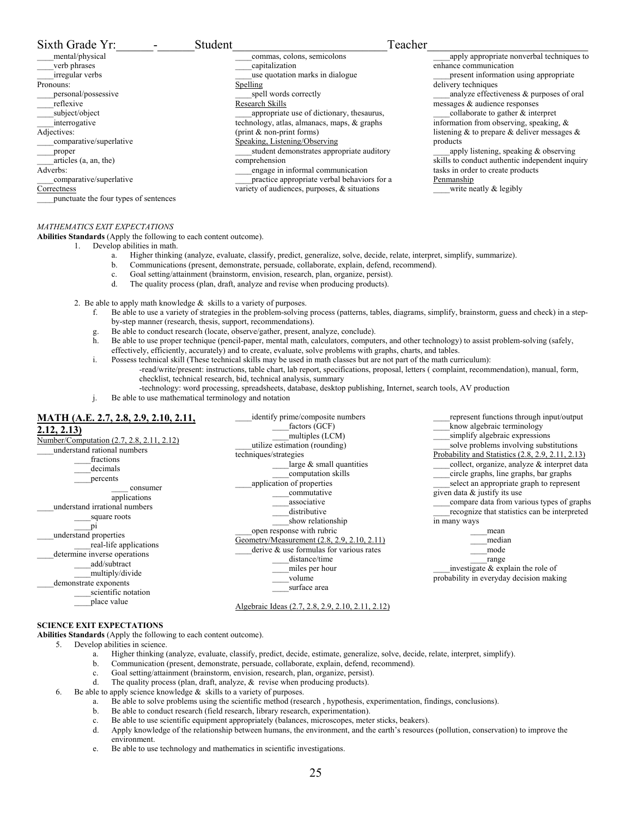#### Sixth Grade Yr: The Student Teacher \_\_\_\_mental/physical \_\_\_\_verb phrases \_\_\_\_irregular verbs Pronouns: \_\_\_\_personal/possessive reflexive \_\_\_\_subject/object interrogative Adjectives: \_\_\_\_comparative/superlative \_\_\_\_proper \_\_\_\_articles (a, an, the) Adverbs: \_\_\_\_comparative/superlative **Correctness** \_\_\_\_punctuate the four types of sentences \_\_\_\_commas, colons, semicolons \_\_\_\_capitalization use quotation marks in dialogue Spelling spell words correctly Research Skills appropriate use of dictionary, thesaurus, technology, atlas, almanacs, maps, & graphs (print & non-print forms) Speaking, Listening/Observing student demonstrates appropriate auditory comprehension \_\_\_\_engage in informal communication practice appropriate verbal behaviors for a variety of audiences, purposes, & situations apply appropriate nonverbal techniques to enhance communication present information using appropriate delivery techniques analyze effectiveness & purposes of oral messages & audience responses \_\_\_\_collaborate to gather & interpret information from observing, speaking, & listening & to prepare & deliver messages & products apply listening, speaking & observing skills to conduct authentic independent inquiry tasks in order to create products **Penmanship** write neatly  $&$  legibly

## *MATHEMATICS EXIT EXPECTATIONS*

**Abilities Standards** (Apply the following to each content outcome).

- 1. Develop abilities in math.
	- a. Higher thinking (analyze, evaluate, classify, predict, generalize, solve, decide, relate, interpret, simplify, summarize).
	- b. Communications (present, demonstrate, persuade, collaborate, explain, defend, recommend).
	- c. Goal setting/attainment (brainstorm, envision, research, plan, organize, persist).
	- The quality process (plan, draft, analyze and revise when producing products).
- 2. Be able to apply math knowledge  $\&$  skills to a variety of purposes.
	- f. Be able to use a variety of strategies in the problem-solving process (patterns, tables, diagrams, simplify, brainstorm, guess and check) in a stepby-step manner (research, thesis, support, recommendations).
	- g. Be able to conduct research (locate, observe/gather, present, analyze, conclude).
	- h. Be able to use proper technique (pencil-paper, mental math, calculators, computers, and other technology) to assist problem-solving (safely, effectively, efficiently, accurately) and to create, evaluate, solve problems with graphs, charts, and tables.
	- i. Possess technical skill (These technical skills may be used in math classes but are not part of the math curriculum):
		- -read/write/present: instructions, table chart, lab report, specifications, proposal, letters ( complaint, recommendation), manual, form, checklist, technical research, bid, technical analysis, summary
			- -technology: word processing, spreadsheets, database, desktop publishing, Internet, search tools, AV production
	- j. Be able to use mathematical terminology and notation

| MATH (A.E. 2.7, 2.8, 2.9, 2.10, 2.11,<br>2.12, 2.13<br>Number/Computation (2.7, 2.8, 2.11, 2.12)<br>understand rational numbers<br>fractions<br>decimals<br>percents<br>consumer<br>applications<br>understand irrational numbers<br>square roots<br>understand properties<br>real-life applications<br>determine inverse operations<br>add/subtract<br>multiply/divide<br>demonstrate exponents<br>scientific notation<br>place value | identify prime/composite numbers<br>factors (GCF)<br>multiples (LCM)<br>utilize estimation (rounding)<br>techniques/strategies<br>large $&$ small quantities<br>computation skills<br>application of properties<br>commutative<br>associative<br>distributive<br>show relationship<br>open response with rubric<br>Geometry/Measurement (2.8, 2.9, 2.10, 2.11)<br>derive $\&$ use formulas for various rates<br>distance/time<br>miles per hour<br>volume<br>surface area | represent functions through input/output<br>know algebraic terminology<br>simplify algebraic expressions<br>solve problems involving substitutions<br>Probability and Statistics (2.8, 2.9, 2.11, 2.13)<br>collect, organize, analyze & interpret data<br>circle graphs, line graphs, bar graphs<br>select an appropriate graph to represent<br>given data $\&$ justify its use<br>compare data from various types of graphs<br>recognize that statistics can be interpreted<br>in many ways<br>mean<br>median<br>mode<br>range<br>investigate $\&$ explain the role of<br>probability in everyday decision making |
|----------------------------------------------------------------------------------------------------------------------------------------------------------------------------------------------------------------------------------------------------------------------------------------------------------------------------------------------------------------------------------------------------------------------------------------|---------------------------------------------------------------------------------------------------------------------------------------------------------------------------------------------------------------------------------------------------------------------------------------------------------------------------------------------------------------------------------------------------------------------------------------------------------------------------|--------------------------------------------------------------------------------------------------------------------------------------------------------------------------------------------------------------------------------------------------------------------------------------------------------------------------------------------------------------------------------------------------------------------------------------------------------------------------------------------------------------------------------------------------------------------------------------------------------------------|
|                                                                                                                                                                                                                                                                                                                                                                                                                                        | Algebraic Ideas (2.7, 2.8, 2.9, 2.10, 2.11, 2.12)                                                                                                                                                                                                                                                                                                                                                                                                                         |                                                                                                                                                                                                                                                                                                                                                                                                                                                                                                                                                                                                                    |

#### **SCIENCE EXIT EXPECTATIONS**

**Abilities Standards** (Apply the following to each content outcome).

- 5. Develop abilities in science.
	- a. Higher thinking (analyze, evaluate, classify, predict, decide, estimate, generalize, solve, decide, relate, interpret, simplify).
	- b. Communication (present, demonstrate, persuade, collaborate, explain, defend, recommend).
	- c. Goal setting/attainment (brainstorm, envision, research, plan, organize, persist).
	- d. The quality process (plan, draft, analyze, & revise when producing products).
- 6. Be able to apply science knowledge  $\&$  skills to a variety of purposes.
	- a. Be able to solve problems using the scientific method (research , hypothesis, experimentation, findings, conclusions).
	- b. Be able to conduct research (field research, library research, experimentation).
	- c. Be able to use scientific equipment appropriately (balances, microscopes, meter sticks, beakers).
	- d. Apply knowledge of the relationship between humans, the environment, and the earth's resources (pollution, conservation) to improve the environment.
	- e. Be able to use technology and mathematics in scientific investigations.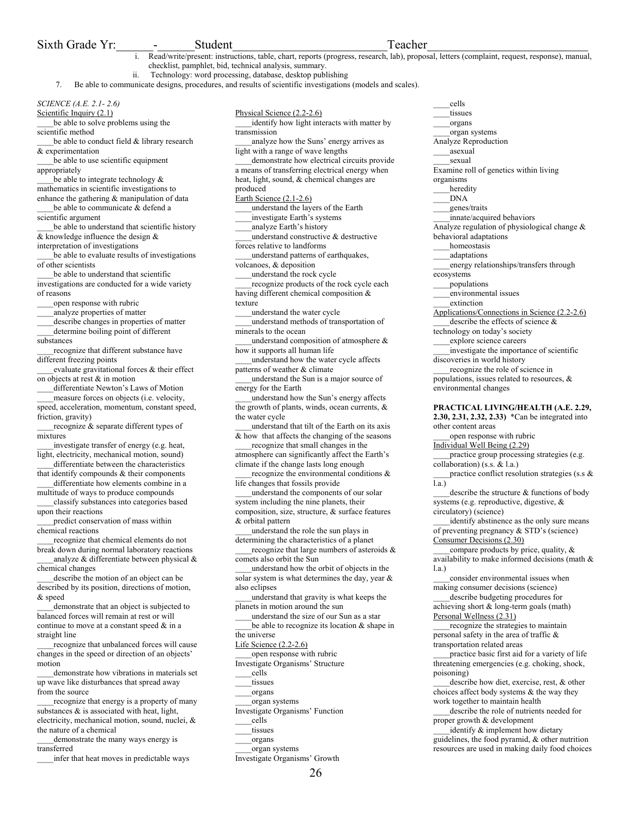## Sixth Grade Yr: The Student Contract Student Contract Contract Contract Contract Contract Contract Contract Contract Contract Contract Contract Contract Contract Contract Contract Contract Contract Contract Contract Contra

- i. Read/write/present: instructions, table, chart, reports (progress, research, lab), proposal, letters (complaint, request, response), manual, checklist, pamphlet, bid, technical analysis, summary.
	- ii. Technology: word processing, database, desktop publishing

7. Be able to communicate designs, procedures, and results of scientific investigations (models and scales).

## *SCIENCE (A.E. 2.1- 2.6)*

Scientific Inquiry (2.1) be able to solve problems using the scientific method

be able to conduct field & library research & experimentation

be able to use scientific equipment appropriately

be able to integrate technology  $\&$ mathematics in scientific investigations to enhance the gathering & manipulation of data be able to communicate & defend a

scientific argument

be able to understand that scientific history  $\overline{\&$  knowledge influence the design  $\&$ interpretation of investigations

be able to evaluate results of investigations of other scientists

be able to understand that scientific investigations are conducted for a wide variety of reasons

\_\_\_\_open response with rubric

\_\_\_\_analyze properties of matter

describe changes in properties of matter \_\_\_\_determine boiling point of different substances

recognize that different substance have different freezing points

\_\_\_\_evaluate gravitational forces & their effect on objects at rest & in motion

differentiate Newton's Laws of Motion measure forces on objects (i.e. velocity,

speed, acceleration, momentum, constant speed, friction, gravity)

recognize & separate different types of mixtures

\_\_\_\_investigate transfer of energy (e.g. heat, light, electricity, mechanical motion, sound) differentiate between the characteristics

that identify compounds & their components differentiate how elements combine in a

multitude of ways to produce compounds \_\_\_\_classify substances into categories based

upon their reactions predict conservation of mass within chemical reactions

\_\_\_\_recognize that chemical elements do not break down during normal laboratory reactions

analyze  $\&$  differentiate between physical  $\&$ chemical changes

describe the motion of an object can be described by its position, directions of motion, & speed

\_\_\_\_demonstrate that an object is subjected to balanced forces will remain at rest or will continue to move at a constant speed & in a straight line

\_\_\_\_recognize that unbalanced forces will cause changes in the speed or direction of an objects' motion

\_\_\_\_demonstrate how vibrations in materials set up wave like disturbances that spread away from the source

recognize that energy is a property of many substances  $\&$  is associated with heat, light, electricity, mechanical motion, sound, nuclei, & the nature of a chemical

demonstrate the many ways energy is transferred

\_\_\_\_infer that heat moves in predictable ways

Physical Science (2.2-2.6) identify how light interacts with matter by transmission analyze how the Suns' energy arrives as light with a range of wave lengths demonstrate how electrical circuits provide a means of transferring electrical energy when heat, light, sound, & chemical changes are produced Earth Science (2.1-2.6) \_\_\_\_understand the layers of the Earth \_\_\_\_investigate Earth's systems \_\_\_\_analyze Earth's history \_\_\_\_understand constructive & destructive forces relative to landforms \_\_\_\_understand patterns of earthquakes, volcanoes, & deposition \_\_\_\_understand the rock cycle recognize products of the rock cycle each having different chemical composition & texture \_\_\_\_understand the water cycle \_\_\_\_understand methods of transportation of minerals to the ocean understand composition of atmosphere  $\&$ how it supports all human life \_\_\_\_understand how the water cycle affects patterns of weather & climate \_\_\_\_understand the Sun is a major source of energy for the Earth \_\_\_\_understand how the Sun's energy affects the growth of plants, winds, ocean currents, & the water cycle \_\_\_\_understand that tilt of the Earth on its axis & how that affects the changing of the seasons \_\_\_\_recognize that small changes in the atmosphere can significantly affect the Earth's climate if the change lasts long enough recognize the environmental conditions  $\&$ life changes that fossils provide \_\_\_\_understand the components of our solar system including the nine planets, their composition, size, structure, & surface features & orbital pattern \_\_\_\_understand the role the sun plays in determining the characteristics of a planet recognize that large numbers of asteroids & comets also orbit the Sun \_\_\_\_understand how the orbit of objects in the solar system is what determines the day, year & also eclipses \_\_\_\_understand that gravity is what keeps the planets in motion around the sun \_\_\_\_understand the size of our Sun as a star be able to recognize its location  $&$  shape in the universe

Life Science (2.2-2.6)

open response with rubric

Investigate Organisms' Structure \_\_\_\_cells

tissues

- \_\_\_\_organs
- \_\_\_\_organ systems

Investigate Organisms' Function

\_\_\_\_cells

- tissues
- 

\_\_\_\_organs \_\_\_\_organ systems

Investigate Organisms' Growth

\_\_\_\_cells tissues \_\_\_\_organs \_\_\_\_organ systems Analyze Reproduction \_\_\_\_asexual sexual Examine roll of genetics within living organisms heredity \_\_\_\_DNA \_\_\_\_genes/traits \_\_\_\_innate/acquired behaviors Analyze regulation of physiological change & behavioral adaptations \_\_\_\_homeostasis \_\_\_\_adaptations \_\_\_\_energy relationships/transfers through ecosystems \_\_\_\_populations \_\_\_\_environmental issues \_\_\_\_extinction Applications/Connections in Science (2.2-2.6) describe the effects of science  $\&$ technology on today's society \_\_\_\_explore science careers \_\_\_\_investigate the importance of scientific discoveries in world history \_\_\_\_recognize the role of science in populations, issues related to resources, & environmental changes **PRACTICAL LIVING/HEALTH (A.E. 2.29, 2.30, 2.31, 2.32, 2.33)** \*Can be integrated into other content areas open response with rubric Individual Well Being (2.29) \_\_\_\_practice group processing strategies (e.g. collaboration) (s.s. & l.a.) practice conflict resolution strategies (s.s  $\&$ 

 $\overline{1}a.$ )

describe the structure  $&$  functions of body systems (e.g. reproductive, digestive, & circulatory) (science)

identify abstinence as the only sure means of preventing pregnancy & STD's (science)

Consumer Decisions (2.30) compare products by price, quality, & availability to make informed decisions (math & l.a.)

consider environmental issues when making consumer decisions (science)

\_\_\_\_describe budgeting procedures for achieving short & long-term goals (math) Personal Wellness (2.31)

recognize the strategies to maintain personal safety in the area of traffic & transportation related areas

practice basic first aid for a variety of life threatening emergencies (e.g. choking, shock, poisoning)

describe how diet, exercise, rest, & other choices affect body systems & the way they work together to maintain health

describe the role of nutrients needed for proper growth & development

identify & implement how dietary guidelines, the food pyramid, & other nutrition resources are used in making daily food choices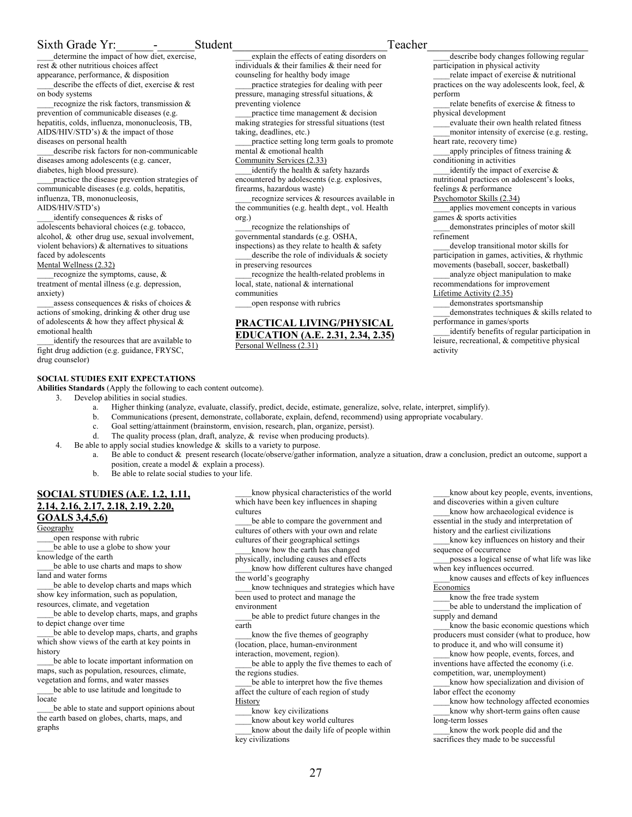## Sixth Grade Yr: The Student Contract Student Contract Contract Contract Contract Contract Contract Contract Contract Contract Contract Contract Contract Contract Contract Contract Contract Contract Contract Contract Contra

determine the impact of how diet, exercise, rest & other nutritious choices affect appearance, performance, & disposition describe the effects of diet, exercise & rest on body systems

recognize the risk factors, transmission  $\&$ prevention of communicable diseases (e.g. hepatitis, colds, influenza, mononucleosis, TB, AIDS/HIV/STD's) & the impact of those diseases on personal health

\_\_\_\_describe risk factors for non-communicable diseases among adolescents (e.g. cancer, diabetes, high blood pressure).

practice the disease prevention strategies of communicable diseases (e.g. colds, hepatitis, influenza, TB, mononucleosis, AIDS/HIV/STD's)

identify consequences & risks of adolescents behavioral choices (e.g. tobacco, alcohol, & other drug use, sexual involvement, violent behaviors) & alternatives to situations faced by adolescents

#### Mental Wellness (2.32)

recognize the symptoms, cause, & treatment of mental illness (e.g. depression, anxiety)

assess consequences  $\&$  risks of choices  $\&$ actions of smoking, drinking & other drug use of adolescents  $\&$  how they affect physical  $\&$ emotional health

identify the resources that are available to fight drug addiction (e.g. guidance, FRYSC, drug counselor)

## **SOCIAL STUDIES EXIT EXPECTATIONS**

**Abilities Standards** (Apply the following to each content outcome).

- 3. Develop abilities in social studies.
	- a. Higher thinking (analyze, evaluate, classify, predict, decide, estimate, generalize, solve, relate, interpret, simplify).

Personal Wellness (2.31)

- b. Communications (present, demonstrate, collaborate, explain, defend, recommend) using appropriate vocabulary.
- c. Goal setting/attainment (brainstorm, envision, research, plan, organize, persist).
- d. The quality process (plan, draft, analyze, & revise when producing products).
- 4. Be able to apply social studies knowledge & skills to a variety to purpose.
	- a. Be able to conduct & present research (locate/observe/gather information, analyze a situation, draw a conclusion, predict an outcome, support a position, create a model & explain a process).

\_\_\_\_explain the effects of eating disorders on individuals & their families & their need for counseling for healthy body image

\_\_\_\_practice strategies for dealing with peer pressure, managing stressful situations, &

practice time management & decision making strategies for stressful situations (test

identify the health  $&$  safety hazards encountered by adolescents (e.g. explosives,

\_\_\_\_recognize the relationships of governmental standards (e.g. OSHA, inspections) as they relate to health & safety describe the role of individuals  $\&$  society

local, state, national & international

\_\_\_\_open response with rubrics

\_\_\_\_practice setting long term goals to promote

recognize services & resources available in the communities (e.g. health dept., vol. Health

recognize the health-related problems in

**PRACTICAL LIVING/PHYSICAL EDUCATION (A.E. 2.31, 2.34, 2.35)**

preventing violence

taking, deadlines, etc.)

mental & emotional health Community Services (2.33)

firearms, hazardous waste)

in preserving resources

communities

org.)

b. Be able to relate social studies to your life.

## **SOCIAL STUDIES (A.E. 1.2, 1.11, 2.14, 2.16, 2.17, 2.18, 2.19, 2.20, GOALS 3,4,5,6)**

**Geography** 

\_\_\_\_open response with rubric

be able to use a globe to show your knowledge of the earth

be able to use charts and maps to show land and water forms

be able to develop charts and maps which show key information, such as population, resources, climate, and vegetation

\_\_\_\_be able to develop charts, maps, and graphs to depict change over time

\_\_\_\_be able to develop maps, charts, and graphs which show views of the earth at key points in history

be able to locate important information on maps, such as population, resources, climate, vegetation and forms, and water masses

be able to use latitude and longitude to locate

be able to state and support opinions about the earth based on globes, charts, maps, and graphs

know physical characteristics of the world which have been key influences in shaping cultures

\_\_\_\_be able to compare the government and cultures of others with your own and relate cultures of their geographical settings

\_\_\_\_know how the earth has changed physically, including causes and effects

know how different cultures have changed the world's geography

\_\_\_\_know techniques and strategies which have been used to protect and manage the environment

be able to predict future changes in the earth

know the five themes of geography (location, place, human-environment

interaction, movement, region).

be able to apply the five themes to each of the regions studies.

be able to interpret how the five themes affect the culture of each region of study **History** 

know key civilizations

\_\_\_\_know about key world cultures know about the daily life of people within key civilizations

describe body changes following regular participation in physical activity

relate impact of exercise & nutritional practices on the way adolescents look, feel, & perform

relate benefits of exercise & fitness to physical development

\_\_\_\_evaluate their own health related fitness monitor intensity of exercise (e.g. resting, heart rate, recovery time)

apply principles of fitness training & conditioning in activities

identify the impact of exercise  $\&$ nutritional practices on adolescent's looks,

## feelings & performance

Psychomotor Skills (2.34)

\_\_\_\_applies movement concepts in various games & sports activities

\_\_\_\_demonstrates principles of motor skill refinement

develop transitional motor skills for participation in games, activities, & rhythmic movements (baseball, soccer, basketball) \_\_\_\_analyze object manipulation to make recommendations for improvement

Lifetime Activity (2.35)

demonstrates sportsmanship demonstrates techniques  $\&$  skills related to performance in games/sports

identify benefits of regular participation in leisure, recreational, & competitive physical activity

know about key people, events, inventions, and discoveries within a given culture

\_\_\_\_know how archaeological evidence is essential in the study and interpretation of

history and the earliest civilizations

\_\_\_\_know key influences on history and their sequence of occurrence

\_\_\_\_posses a logical sense of what life was like when key influences occurred.

\_\_\_\_know causes and effects of key influences **Economics** 

know the free trade system

\_\_\_\_be able to understand the implication of supply and demand

know the basic economic questions which producers must consider (what to produce, how to produce it, and who will consume it)

know how people, events, forces, and inventions have affected the economy (i.e. competition, war, unemployment)

know how specialization and division of labor effect the economy

\_\_\_\_know how technology affected economies know why short-term gains often cause long-term losses

know the work people did and the sacrifices they made to be successful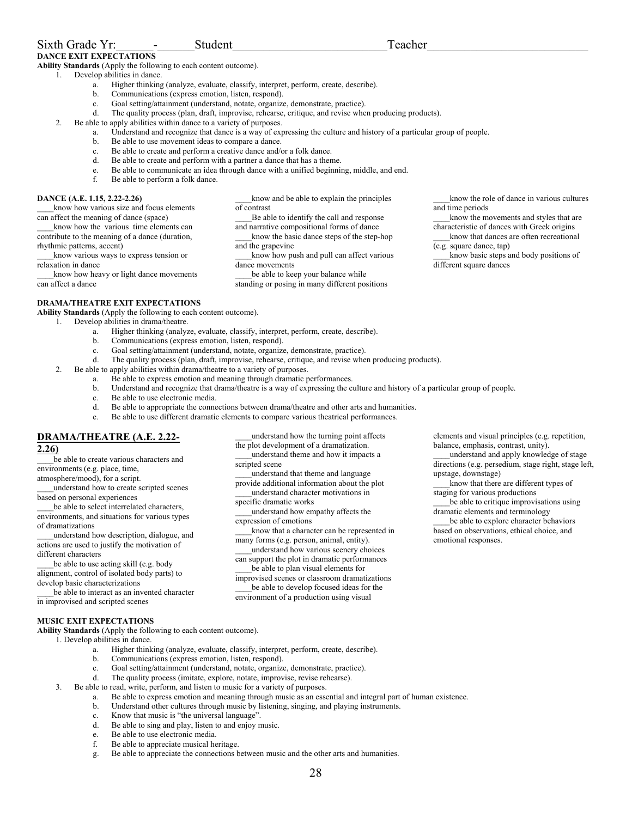**Ability Standards** (Apply the following to each content outcome).

- 1. Develop abilities in dance.
	- a. Higher thinking (analyze, evaluate, classify, interpret, perform, create, describe).
	- b. Communications (express emotion, listen, respond).
	- c. Goal setting/attainment (understand, notate, organize, demonstrate, practice).
	- d. The quality process (plan, draft, improvise, rehearse, critique, and revise when producing products).
- 2. Be able to apply abilities within dance to a variety of purposes.
	- a. Understand and recognize that dance is a way of expressing the culture and history of a particular group of people.
	- b. Be able to use movement ideas to compare a dance.
	- c. Be able to create and perform a creative dance and/or a folk dance.
	- d. Be able to create and perform with a partner a dance that has a theme.
	- e. Be able to communicate an idea through dance with a unified beginning, middle, and end.
	- f. Be able to perform a folk dance.

### **DANCE (A.E. 1.15, 2.22-2.26)**

\_\_\_\_know how various size and focus elements can affect the meaning of dance (space) know how the various time elements can

contribute to the meaning of a dance (duration, rhythmic patterns, accent) \_\_\_\_know various ways to express tension or relaxation in dance

know how heavy or light dance movements

can affect a dance

\_\_\_\_know and be able to explain the principles of contrast Be able to identify the call and response and narrative compositional forms of dance \_\_\_\_know the basic dance steps of the step-hop

and the grapevine \_\_\_\_know how push and pull can affect various dance movements

be able to keep your balance while standing or posing in many different positions

\_\_\_\_know the role of dance in various cultures and time periods

know the movements and styles that are characteristic of dances with Greek origins

\_\_\_\_know basic steps and body positions of different square dances

## **DRAMA/THEATRE EXIT EXPECTATIONS**

**Ability Standards** (Apply the following to each content outcome).

- 1. Develop abilities in drama/theatre.
	- a. Higher thinking (analyze, evaluate, classify, interpret, perform, create, describe).
	- b. Communications (express emotion, listen, respond).
	- c. Goal setting/attainment (understand, notate, organize, demonstrate, practice).
	- d. The quality process (plan, draft, improvise, rehearse, critique, and revise when producing products).
- 2. Be able to apply abilities within drama/theatre to a variety of purposes.
	- a. Be able to express emotion and meaning through dramatic performances.
	- b. Understand and recognize that drama/theatre is a way of expressing the culture and history of a particular group of people.
	- c. Be able to use electronic media.
	- d. Be able to appropriate the connections between drama/theatre and other arts and humanities.
	- e. Be able to use different dramatic elements to compare various theatrical performances.

## **DRAMA/THEATRE (A.E. 2.22-**

## **2.26)**

be able to create various characters and environments (e.g. place, time,

atmosphere/mood), for a script.

\_\_\_\_understand how to create scripted scenes based on personal experiences

be able to select interrelated characters, environments, and situations for various types of dramatizations

\_\_\_\_understand how description, dialogue, and actions are used to justify the motivation of different characters

be able to use acting skill (e.g. body alignment, control of isolated body parts) to develop basic characterizations

be able to interact as an invented character in improvised and scripted scenes

\_\_\_\_understand how the turning point affects the plot development of a dramatization. \_\_\_\_understand theme and how it impacts a scripted scene

\_\_\_\_understand that theme and language provide additional information about the plot \_\_\_\_understand character motivations in

specific dramatic works

\_\_\_\_understand how empathy affects the expression of emotions

know that a character can be represented in many forms (e.g. person, animal, entity).

\_\_\_\_understand how various scenery choices can support the plot in dramatic performances

be able to plan visual elements for improvised scenes or classroom dramatizations

be able to develop focused ideas for the environment of a production using visual

elements and visual principles (e.g. repetition, balance, emphasis, contrast, unity).

\_\_\_\_understand and apply knowledge of stage directions (e.g. persedium, stage right, stage left, upstage, downstage)

\_\_\_\_know that there are different types of staging for various productions

be able to critique improvisations using dramatic elements and terminology

be able to explore character behaviors based on observations, ethical choice, and emotional responses.

## **MUSIC EXIT EXPECTATIONS**

**Ability Standards** (Apply the following to each content outcome).

- 1. Develop abilities in dance.
	- a. Higher thinking (analyze, evaluate, classify, interpret, perform, create, describe).
	- b. Communications (express emotion, listen, respond).
	- c. Goal setting/attainment (understand, notate, organize, demonstrate, practice).
	- d. The quality process (imitate, explore, notate, improvise, revise rehearse).
	- 3. Be able to read, write, perform, and listen to music for a variety of purposes.
		- a. Be able to express emotion and meaning through music as an essential and integral part of human existence.
		- b. Understand other cultures through music by listening, singing, and playing instruments.
		- c. Know that music is "the universal language".
		- d. Be able to sing and play, listen to and enjoy music.
		- e. Be able to use electronic media.
		- f. Be able to appreciate musical heritage.
		- g. Be able to appreciate the connections between music and the other arts and humanities.

know that dances are often recreational (e.g. square dance, tap)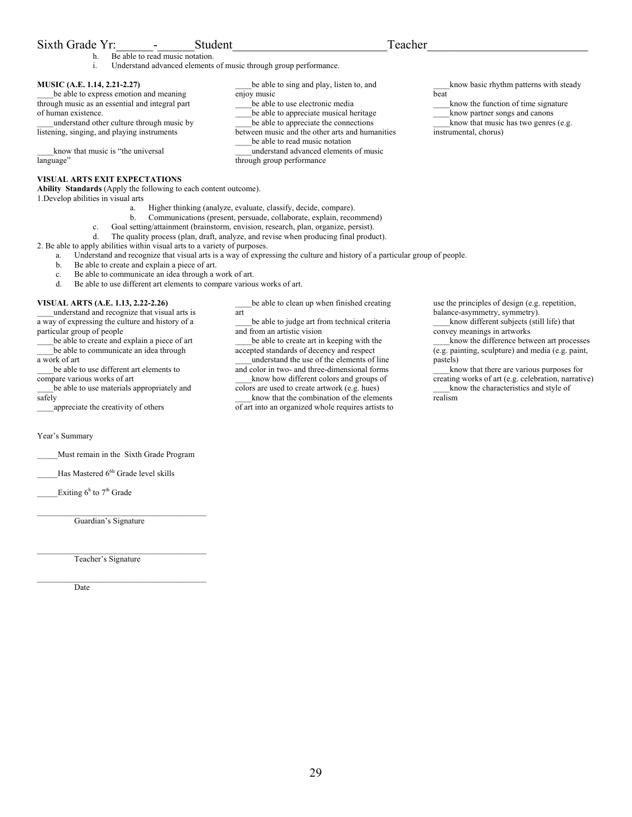## Sixth Grade Yr: The Student Teacher

- h. Be able to read music notation.
- i. Understand advanced elements of music through group performance.

## **MUSIC (A.E. 1.14, 2.21-2.27)**

be able to express emotion and meaning through music as an essential and integral part of human existence.

\_\_\_\_understand other culture through music by listening, singing, and playing instruments

know that music is "the universal language"

## **VISUAL ARTS EXIT EXPECTATIONS**

**Ability Standards** (Apply the following to each content outcome). 1.Develop abilities in visual arts

- a. Higher thinking (analyze, evaluate, classify, decide, compare).
- b. Communications (present, persuade, collaborate, explain, recommend)

enjoy music

- c. Goal setting/attainment (brainstorm, envision, research, plan, organize, persist).
- d. The quality process (plan, draft, analyze, and revise when producing final product).

2. Be able to apply abilities within visual arts to a variety of purposes.

- a. Understand and recognize that visual arts is a way of expressing the culture and history of a particular group of people.
- b. Be able to create and explain a piece of art.
- c. Be able to communicate an idea through a work of art.<br>
Re able to use different art elements to compare various
- Be able to use different art elements to compare various works of art.

## **VISUAL ARTS (A.E. 1.13, 2.22-2.26)**

\_\_\_\_understand and recognize that visual arts is a way of expressing the culture and history of a particular group of people

be able to create and explain a piece of art be able to communicate an idea through

a work of art \_\_\_\_be able to use different art elements to

compare various works of art be able to use materials appropriately and safely

\_\_\_\_appreciate the creativity of others

Year's Summary

\_\_\_\_\_Must remain in the Sixth Grade Program

Has Mastered 6<sup>6h</sup> Grade level skills

Exiting  $6^h$  to  $7^h$  Grade

 $\mathcal{L}_\text{max}$ Guardian's Signature

 $\mathcal{L}_\text{max}$ Teacher's Signature

\_\_\_\_\_\_\_\_\_\_\_\_\_\_\_\_\_\_\_\_\_\_\_\_\_\_\_\_\_\_\_\_\_\_\_\_\_\_\_\_\_

Date

be able to clean up when finished creating art

be able to sing and play, listen to, and

be able to use electronic media be able to appreciate musical heritage be able to appreciate the connections between music and the other arts and humanities be able to read music notation \_\_\_\_understand advanced elements of music

through group performance

\_\_\_\_be able to judge art from technical criteria and from an artistic vision

be able to create art in keeping with the accepted standards of decency and respect

\_\_\_\_understand the use of the elements of line and color in two- and three-dimensional forms

know how different colors and groups of colors are used to create artwork (e.g. hues)

know that the combination of the elements of art into an organized whole requires artists to

know basic rhythm patterns with steady beat

know the function of time signature

\_\_\_\_know partner songs and canons know that music has two genres (e.g.

instrumental, chorus)

use the principles of design (e.g. repetition, balance-asymmetry, symmetry).

know different subjects (still life) that convey meanings in artworks

\_\_\_\_know the difference between art processes (e.g. painting, sculpture) and media (e.g. paint, pastels)

\_\_\_\_know that there are various purposes for creating works of art (e.g. celebration, narrative) know the characteristics and style of realism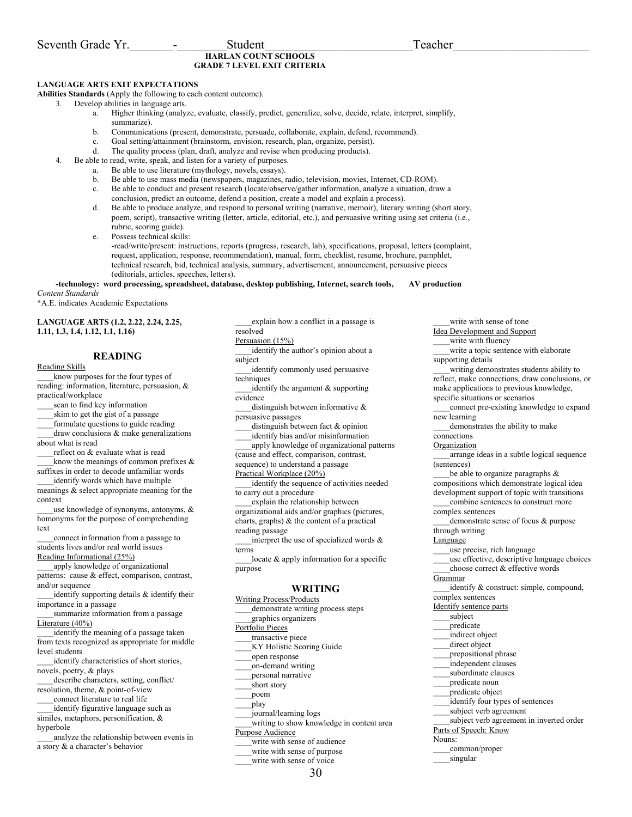## **HARLAN COUNT SCHOOLS GRADE 7 LEVEL EXIT CRITERIA**

## **LANGUAGE ARTS EXIT EXPECTATIONS**

**Abilities Standards** (Apply the following to each content outcome).

3. Develop abilities in language arts.

- a. Higher thinking (analyze, evaluate, classify, predict, generalize, solve, decide, relate, interpret, simplify, summarize).
- b. Communications (present, demonstrate, persuade, collaborate, explain, defend, recommend).
- c. Goal setting/attainment (brainstorm, envision, research, plan, organize, persist).
- d. The quality process (plan, draft, analyze and revise when producing products).
- 4. Be able to read, write, speak, and listen for a variety of purposes.
	- a. Be able to use literature (mythology, novels, essays).
	- b. Be able to use mass media (newspapers, magazines, radio, television, movies, Internet, CD-ROM).
	- c. Be able to conduct and present research (locate/observe/gather information, analyze a situation, draw a conclusion, predict an outcome, defend a position, create a model and explain a process).
	- d. Be able to produce analyze, and respond to personal writing (narrative, memoir), literary writing (short story, poem, script), transactive writing (letter, article, editorial, etc.), and persuasive writing using set criteria (i.e., rubric, scoring guide).

e. Possess technical skills:

-read/write/present: instructions, reports (progress, research, lab), specifications, proposal, letters (complaint, request, application, response, recommendation), manual, form, checklist, resume, brochure, pamphlet, technical research, bid, technical analysis, summary, advertisement, announcement, persuasive pieces (editorials, articles, speeches, letters).

#### **-technology: word processing, spreadsheet, database, desktop publishing, Internet, search tools, AV production**  *Content Standards*

\*A.E. indicates Academic Expectations

**LANGUAGE ARTS (1.2, 2.22, 2.24, 2.25, 1.11, 1.3, 1.4, 1.12, 1.1, 1.16)** 

## **READING**

Reading Skills

know purposes for the four types of reading: information, literature, persuasion, & practical/workplace

scan to find key information

skim to get the gist of a passage

\_\_\_\_formulate questions to guide reading  $d$ raw conclusions  $\&$  make generalizations about what is read

reflect on & evaluate what is read know the meanings of common prefixes  $\&$ 

suffixes in order to decode unfamiliar words identify words which have multiple

meanings & select appropriate meaning for the context

use knowledge of synonyms, antonyms,  $\&$ homonyms for the purpose of comprehending text

\_\_\_\_connect information from a passage to students lives and/or real world issues Reading Informational (25%)

apply knowledge of organizational patterns: cause & effect, comparison, contrast, and/or sequence

identify supporting details & identify their importance in a passage

\_\_\_\_summarize information from a passage Literature (40%)

identify the meaning of a passage taken from texts recognized as appropriate for middle level students

identify characteristics of short stories, novels, poetry, & plays

\_\_\_\_describe characters, setting, conflict/ resolution, theme, & point-of-view

\_\_\_\_connect literature to real life

\_\_\_\_identify figurative language such as similes, metaphors, personification, &

hyperbole

\_\_\_\_analyze the relationship between events in a story & a character's behavior

explain how a conflict in a passage is resolved Persuasion (15%) identify the author's opinion about a subject

\_\_\_\_identify commonly used persuasive techniques

identify the argument  $&$  supporting evidence

distinguish between informative  $\&$ persuasive passages

\_\_\_\_distinguish between fact & opinion

\_\_\_\_identify bias and/or misinformation

\_\_\_\_apply knowledge of organizational patterns (cause and effect, comparison, contrast,

sequence) to understand a passage

Practical Workplace (20%)

\_\_\_\_identify the sequence of activities needed to carry out a procedure

explain the relationship between organizational aids and/or graphics (pictures, charts, graphs) & the content of a practical reading passage

 $_1$ interpret the use of specialized words  $\&$ terms

locate  $\&$  apply information for a specific purpose

## **WRITING**

Writing Process/Products demonstrate writing process steps

\_\_\_\_graphics organizers

Portfolio Pieces

transactive piece

\_\_\_\_KY Holistic Scoring Guide

\_\_\_\_open response

\_\_\_\_on-demand writing

- \_\_\_\_personal narrative
- \_\_\_\_short story
- \_\_\_\_poem
- \_\_\_\_play

\_\_\_\_journal/learning logs

writing to show knowledge in content area Purpose Audience

write with sense of audience

- write with sense of purpose
- write with sense of voice

write with sense of tone Idea Development and Support write with fluency write a topic sentence with elaborate supporting details \_\_\_\_writing demonstrates students ability to reflect, make connections, draw conclusions, or make applications to previous knowledge, specific situations or scenarios \_\_\_\_connect pre-existing knowledge to expand new learning demonstrates the ability to make connections **Organization** \_\_\_\_arrange ideas in a subtle logical sequence (sentences) be able to organize paragraphs  $\&$ compositions which demonstrate logical idea development support of topic with transitions combine sentences to construct more complex sentences \_\_\_\_demonstrate sense of focus & purpose through writing **Language** \_\_\_\_use precise, rich language \_\_\_\_use effective, descriptive language choices choose correct & effective words Grammar \_\_\_\_identify & construct: simple, compound, complex sentences Identify sentence parts subject \_\_\_\_predicate \_\_\_\_indirect object direct object prepositional phrase \_\_\_\_independent clauses subordinate clauses \_\_\_\_predicate noun predicate object identify four types of sentences subject verb agreement \_\_\_\_subject verb agreement in inverted order Parts of Speech: Know Nouns: \_\_\_\_common/proper

singular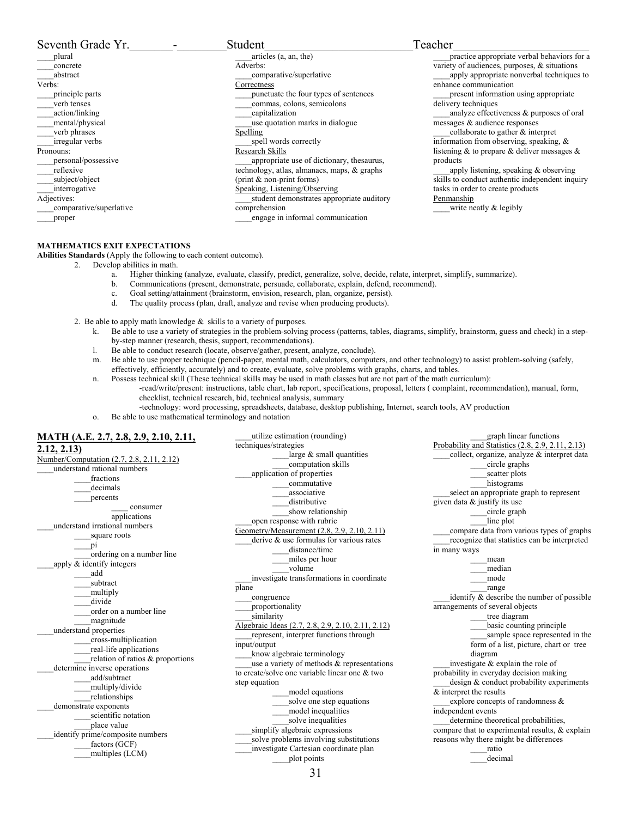| Seventh Grade Yr.       | Student                                     | Teacher                                              |
|-------------------------|---------------------------------------------|------------------------------------------------------|
| plural                  | articles (a, an, the)                       | practice appropriate verbal behaviors for a          |
| concrete                | Adverbs:                                    | variety of audiences, purposes, & situations         |
| abstract                | comparative/superlative                     | apply appropriate nonverbal techniques to            |
| Verbs:                  | Correctness                                 | enhance communication                                |
| principle parts         | punctuate the four types of sentences       | present information using appropriate                |
| verb tenses             | commas, colons, semicolons                  | delivery techniques                                  |
| action/linking          | capitalization                              | analyze effectiveness & purposes of oral             |
| mental/physical         | use quotation marks in dialogue             | messages & audience responses                        |
| verb phrases            | Spelling                                    | collaborate to gather & interpret                    |
| irregular verbs         | spell words correctly                       | information from observing, speaking, $\&$           |
| Pronouns:               | Research Skills                             | listening $\&$ to prepare $\&$ deliver messages $\&$ |
| personal/possessive     | appropriate use of dictionary, the saurus,  | products                                             |
| reflexive               | technology, atlas, almanacs, maps, & graphs | apply listening, speaking $\&$ observing             |
| subject/object          | (print $&$ non-print forms)                 | skills to conduct authentic independent inquiry      |
| interrogative           | Speaking, Listening/Observing               | tasks in order to create products                    |
| Adjectives:             | student demonstrates appropriate auditory   | Penmanship                                           |
| comparative/superlative | comprehension                               | write neatly $\&$ legibly                            |
| proper                  | engage in informal communication            |                                                      |

## **MATHEMATICS EXIT EXPECTATIONS**

**Abilities Standards** (Apply the following to each content outcome).

- 2. Develop abilities in math.
	- a. Higher thinking (analyze, evaluate, classify, predict, generalize, solve, decide, relate, interpret, simplify, summarize).
	- b. Communications (present, demonstrate, persuade, collaborate, explain, defend, recommend).
	- c. Goal setting/attainment (brainstorm, envision, research, plan, organize, persist).
	- d. The quality process (plan, draft, analyze and revise when producing products).
- 2. Be able to apply math knowledge & skills to a variety of purposes.
	- k. Be able to use a variety of strategies in the problem-solving process (patterns, tables, diagrams, simplify, brainstorm, guess and check) in a stepby-step manner (research, thesis, support, recommendations).
	- l. Be able to conduct research (locate, observe/gather, present, analyze, conclude).
	- m. Be able to use proper technique (pencil-paper, mental math, calculators, computers, and other technology) to assist problem-solving (safely, effectively, efficiently, accurately) and to create, evaluate, solve problems with graphs, charts, and tables.
	- n. Possess technical skill (These technical skills may be used in math classes but are not part of the math curriculum):

utilize estimation (rounding)

techniques/strategies

- -read/write/present: instructions, table chart, lab report, specifications, proposal, letters ( complaint, recommendation), manual, form, checklist, technical research, bid, technical analysis, summary
	- -technology: word processing, spreadsheets, database, desktop publishing, Internet, search tools, AV production
- o. Be able to use mathematical terminology and notation

## **MATH (A.E. 2.7, 2.8, 2.9, 2.10, 2.11, 2.12, 2.13)**

Number/Computation (2.7, 2.8, 2.11, 2.12) \_\_\_\_understand rational numbers fractions \_\_\_\_decimals percents \_\_\_\_ consumer applications \_\_\_\_understand irrational numbers square roots  $pi$  \_\_\_\_ordering on a number line apply  $\overline{\&}$  identify integers \_\_\_\_add \_\_\_\_subtract multiply divide order on a number line \_\_\_\_magnitude \_\_\_\_understand properties \_\_\_\_cross-multiplication \_\_\_\_real-life applications relation of ratios & proportions determine inverse operations \_\_\_\_add/subtract multiply/divide \_\_\_\_relationships demonstrate exponents \_\_\_\_scientific notation place value identify prime/composite numbers factors (GCF) \_\_\_\_multiples (LCM)

large & small quantities \_\_\_\_computation skills \_\_\_\_application of properties \_\_\_\_commutative associative distributive show relationship \_\_\_\_open response with rubric Geometry/Measurement (2.8, 2.9, 2.10, 2.11) \_\_\_\_derive & use formulas for various rates distance/time \_\_\_\_miles per hour \_\_\_\_volume \_\_\_\_investigate transformations in coordinate plane \_\_\_\_congruence \_\_\_\_proportionality similarity Algebraic Ideas (2.7, 2.8, 2.9, 2.10, 2.11, 2.12) represent, interpret functions through input/output \_\_\_\_know algebraic terminology use a variety of methods & representations to create/solve one variable linear one & two step equation \_\_\_\_model equations \_\_\_\_solve one step equations \_\_\_\_model inequalities \_\_\_\_solve inequalities simplify algebraic expressions solve problems involving substitutions \_\_\_\_investigate Cartesian coordinate plan \_\_\_\_plot points

Probability and Statistics (2.8, 2.9, 2.11, 2.13) collect, organize, analyze & interpret data \_\_\_\_circle graphs scatter plots histograms select an appropriate graph to represent given data & justify its use \_\_\_\_circle graph line plot \_\_\_\_compare data from various types of graphs \_\_\_\_recognize that statistics can be interpreted in many ways \_\_\_\_mean \_\_\_\_median \_\_\_\_mode \_\_\_\_range identify  $\&$  describe the number of possible arrangements of several objects \_\_\_\_tree diagram \_\_\_\_basic counting principle sample space represented in the form of a list, picture, chart or tree diagram \_\_\_\_investigate & explain the role of probability in everyday decision making design & conduct probability experiments & interpret the results explore concepts of randomness & independent events \_\_\_\_determine theoretical probabilities, compare that to experimental results, & explain reasons why there might be differences \_\_\_\_ratio

\_\_\_\_graph linear functions

\_\_\_\_decimal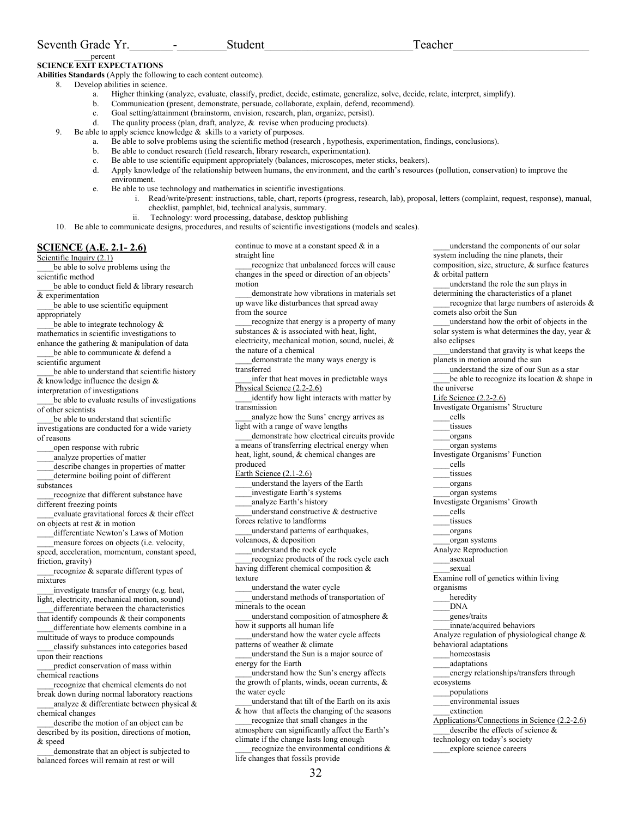## Seventh Grade Yr. The contract of the Student Contract of Teacher

\_\_\_\_percent

#### **SCIENCE EXIT EXPECTATIONS Abilities Standards** (Apply the following to each content outcome).

- 8. Develop abilities in science.
	- a. Higher thinking (analyze, evaluate, classify, predict, decide, estimate, generalize, solve, decide, relate, interpret, simplify).
	- b. Communication (present, demonstrate, persuade, collaborate, explain, defend, recommend).
	- c. Goal setting/attainment (brainstorm, envision, research, plan, organize, persist).
	- d. The quality process (plan, draft, analyze,  $\&$  revise when producing products).
	- 9. Be able to apply science knowledge & skills to a variety of purposes.
		- a. Be able to solve problems using the scientific method (research , hypothesis, experimentation, findings, conclusions).
		- b. Be able to conduct research (field research, library research, experimentation).
		- c. Be able to use scientific equipment appropriately (balances, microscopes, meter sticks, beakers).<br>Apply knowledge of the relationship between humans, the environment, and the earth's resource
		- d. Apply knowledge of the relationship between humans, the environment, and the earth's resources (pollution, conservation) to improve the environment.
		- e. Be able to use technology and mathematics in scientific investigations.
		- i. Read/write/present: instructions, table, chart, reports (progress, research, lab), proposal, letters (complaint, request, response), manual, checklist, pamphlet, bid, technical analysis, summary.
			- ii. Technology: word processing, database, desktop publishing

10. Be able to communicate designs, procedures, and results of scientific investigations (models and scales).

## **SCIENCE (A.E. 2.1- 2.6)**

Scientific Inquiry (2.1)

be able to solve problems using the scientific method

- be able to conduct field & library research & experimentation
- be able to use scientific equipment appropriately
- be able to integrate technology  $\&$ mathematics in scientific investigations to
- enhance the gathering & manipulation of data be able to communicate & defend a
- scientific argument
- be able to understand that scientific history  $\overline{\&$  knowledge influence the design  $\&$
- interpretation of investigations

be able to evaluate results of investigations of other scientists

- be able to understand that scientific investigations are conducted for a wide variety of reasons
- open response with rubric
- \_\_\_\_analyze properties of matter
- \_\_\_\_describe changes in properties of matter \_\_\_\_determine boiling point of different
- substances

recognize that different substance have different freezing points

evaluate gravitational forces  $\&$  their effect on objects at rest & in motion

differentiate Newton's Laws of Motion measure forces on objects (i.e. velocity, speed, acceleration, momentum, constant speed, friction, gravity)

recognize & separate different types of mixtures

\_\_\_\_investigate transfer of energy (e.g. heat, light, electricity, mechanical motion, sound)

- differentiate between the characteristics that identify compounds & their components differentiate how elements combine in a
- multitude of ways to produce compounds \_\_\_\_classify substances into categories based
- upon their reactions

predict conservation of mass within chemical reactions

\_\_\_\_recognize that chemical elements do not break down during normal laboratory reactions

analyze  $\&$  differentiate between physical  $\&$ chemical changes

describe the motion of an object can be described by its position, directions of motion, & speed

demonstrate that an object is subjected to balanced forces will remain at rest or will

continue to move at a constant speed & in a straight line

recognize that unbalanced forces will cause changes in the speed or direction of an objects' motion

demonstrate how vibrations in materials set up wave like disturbances that spread away from the source

recognize that energy is a property of many substances  $\&$  is associated with heat, light, electricity, mechanical motion, sound, nuclei, & the nature of a chemical

demonstrate the many ways energy is transferred

\_\_\_\_infer that heat moves in predictable ways Physical Science (2.2-2.6)

identify how light interacts with matter by transmission

analyze how the Suns' energy arrives as light with a range of wave lengths

demonstrate how electrical circuits provide a means of transferring electrical energy when heat, light, sound, & chemical changes are produced

Earth Science (2.1-2.6)

\_\_\_\_understand the layers of the Earth

\_\_\_\_investigate Earth's systems

- \_\_\_\_analyze Earth's history \_\_\_\_understand constructive & destructive
- forces relative to landforms \_\_\_\_understand patterns of earthquakes,

volcanoes, & deposition

\_\_\_\_understand the rock cycle

recognize products of the rock cycle each having different chemical composition & texture

\_\_\_\_understand the water cycle

- \_\_\_\_understand methods of transportation of minerals to the ocean
- understand composition of atmosphere  $\&$ how it supports all human life
- \_\_\_\_understand how the water cycle affects patterns of weather & climate

\_\_\_\_understand the Sun is a major source of energy for the Earth

\_\_\_\_understand how the Sun's energy affects the growth of plants, winds, ocean currents, & the water cycle

\_\_\_\_understand that tilt of the Earth on its axis  $\overline{\&}$  how that affects the changing of the seasons

\_\_\_\_recognize that small changes in the atmosphere can significantly affect the Earth's climate if the change lasts long enough

recognize the environmental conditions & life changes that fossils provide

system including the nine planets, their composition, size, structure, & surface features & orbital pattern \_\_\_\_understand the role the sun plays in determining the characteristics of a planet recognize that large numbers of asteroids  $\&$ comets also orbit the Sun \_\_\_\_understand how the orbit of objects in the solar system is what determines the day, year & also eclipses \_\_\_\_understand that gravity is what keeps the planets in motion around the sun \_\_\_\_understand the size of our Sun as a star be able to recognize its location  $&$  shape in the universe Life Science (2.2-2.6) Investigate Organisms' Structure \_\_\_\_cells tissues \_\_\_\_organs \_\_\_\_organ systems Investigate Organisms' Function \_\_\_\_cells tissues \_\_\_\_organs \_\_\_\_organ systems Investigate Organisms' Growth \_\_\_\_cells tissues \_\_\_\_organs \_\_\_\_organ systems Analyze Reproduction \_\_\_\_asexual \_\_\_\_sexual Examine roll of genetics within living organisms heredity \_\_\_\_DNA \_\_\_\_genes/traits \_\_\_\_innate/acquired behaviors Analyze regulation of physiological change & behavioral adaptations \_\_\_\_homeostasis \_\_\_\_adaptations \_\_\_\_energy relationships/transfers through ecosystems \_\_\_\_populations \_\_\_\_environmental issues \_\_\_\_extinction Applications/Connections in Science (2.2-2.6) describe the effects of science  $\&$ technology on today's society

\_\_\_\_understand the components of our solar

\_\_\_\_explore science careers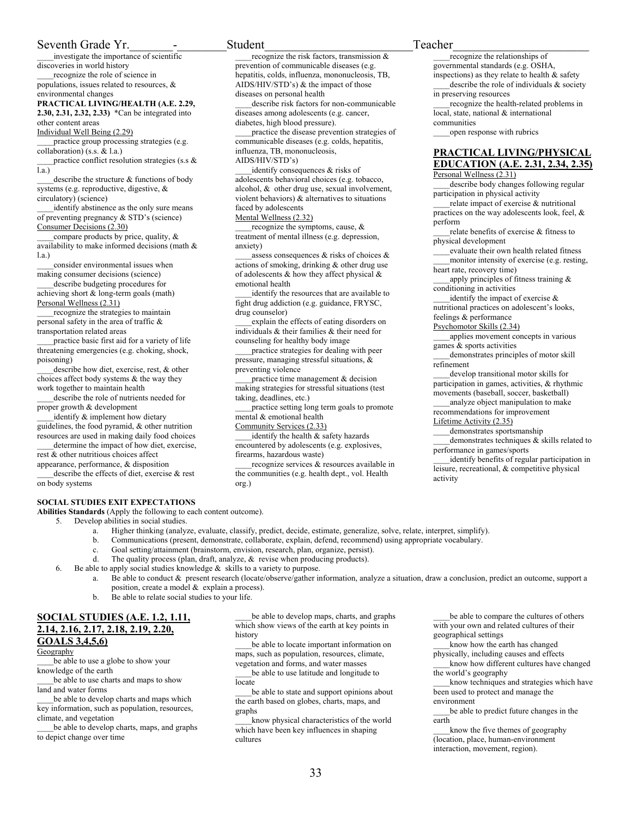## Seventh Grade Yr. The contract of the Student Teacher

\_\_\_\_investigate the importance of scientific discoveries in world history

recognize the role of science in populations, issues related to resources, & environmental changes

**PRACTICAL LIVING/HEALTH (A.E. 2.29,** 

**2.30, 2.31, 2.32, 2.33)** \*Can be integrated into other content areas

Individual Well Being (2.29)

practice group processing strategies (e.g. collaboration) (s.s. & l.a.)

practice conflict resolution strategies (s.s  $\&$  $\overline{1a}$ 

describe the structure  $&$  functions of body systems (e.g. reproductive, digestive, & circulatory) (science)

identify abstinence as the only sure means of preventing pregnancy & STD's (science) Consumer Decisions (2.30)

compare products by price, quality, & availability to make informed decisions (math & l.a.)

consider environmental issues when making consumer decisions (science)

describe budgeting procedures for achieving short & long-term goals (math) Personal Wellness (2.31)

\_\_\_\_recognize the strategies to maintain personal safety in the area of traffic & transportation related areas

practice basic first aid for a variety of life threatening emergencies (e.g. choking, shock, poisoning)

describe how diet, exercise, rest, & other choices affect body systems & the way they work together to maintain health

describe the role of nutrients needed for proper growth & development

identify  $\&$  implement how dietary guidelines, the food pyramid, & other nutrition resources are used in making daily food choices determine the impact of how diet, exercise,

rest & other nutritious choices affect appearance, performance, & disposition

describe the effects of diet, exercise & rest on body systems

## **SOCIAL STUDIES EXIT EXPECTATIONS**

**Abilities Standards** (Apply the following to each content outcome).

5. Develop abilities in social studies.

- a. Higher thinking (analyze, evaluate, classify, predict, decide, estimate, generalize, solve, relate, interpret, simplify).
- b. Communications (present, demonstrate, collaborate, explain, defend, recommend) using appropriate vocabulary.
- c. Goal setting/attainment (brainstorm, envision, research, plan, organize, persist).

org.)

d. The quality process (plan, draft, analyze, & revise when producing products).

6. Be able to apply social studies knowledge  $\&$  skills to a variety to purpose.

- a. Be able to conduct & present research (locate/observe/gather information, analyze a situation, draw a conclusion, predict an outcome, support a position, create a model & explain a process).
- b. Be able to relate social studies to your life.

## **SOCIAL STUDIES (A.E. 1.2, 1.11, 2.14, 2.16, 2.17, 2.18, 2.19, 2.20, GOALS 3,4,5,6)**

**Geography** 

be able to use a globe to show your knowledge of the earth

be able to use charts and maps to show land and water forms

be able to develop charts and maps which key information, such as population, resources, climate, and vegetation

be able to develop charts, maps, and graphs to depict change over time

be able to develop maps, charts, and graphs which show views of the earth at key points in history

\_\_\_\_be able to locate important information on maps, such as population, resources, climate, vegetation and forms, and water masses

be able to use latitude and longitude to locate

be able to state and support opinions about the earth based on globes, charts, maps, and graphs

\_\_\_\_know physical characteristics of the world which have been key influences in shaping cultures

be able to compare the cultures of others with your own and related cultures of their geographical settings

know how the earth has changed physically, including causes and effects

\_\_\_\_know how different cultures have changed the world's geography

\_\_\_\_know techniques and strategies which have been used to protect and manage the environment

be able to predict future changes in the earth

know the five themes of geography (location, place, human-environment interaction, movement, region).

recognize the risk factors, transmission & prevention of communicable diseases (e.g. hepatitis, colds, influenza, mononucleosis, TB, AIDS/HIV/STD's) & the impact of those

describe risk factors for non-communicable

\_\_\_\_practice the disease prevention strategies of communicable diseases (e.g. colds, hepatitis,

diseases among adolescents (e.g. cancer, diabetes, high blood pressure).

identify consequences & risks of adolescents behavioral choices (e.g. tobacco, alcohol, & other drug use, sexual involvement, violent behaviors) & alternatives to situations

recognize the symptoms, cause, & treatment of mental illness (e.g. depression,

assess consequences & risks of choices & actions of smoking, drinking & other drug use of adolescents & how they affect physical &

identify the resources that are available to fight drug addiction (e.g. guidance, FRYSC,

\_\_\_\_explain the effects of eating disorders on individuals & their families & their need for counseling for healthy body image

practice strategies for dealing with peer pressure, managing stressful situations, &

practice time management & decision making strategies for stressful situations (test

identify the health & safety hazards encountered by adolescents (e.g. explosives,

\_\_\_\_practice setting long term goals to promote

recognize services & resources available in the communities (e.g. health dept., vol. Health

diseases on personal health

influenza, TB, mononucleosis,

AIDS/HIV/STD's)

faced by adolescents Mental Wellness (2.32)

emotional health

drug counselor)

preventing violence

taking, deadlines, etc.)

mental & emotional health Community Services (2.33)

firearms, hazardous waste)

anxiety)

apply principles of fitness training & conditioning in activities identify the impact of exercise  $\&$ nutritional practices on adolescent's looks,

\_\_\_\_recognize the relationships of governmental standards (e.g. OSHA, inspections) as they relate to health  $\&$  safety describe the role of individuals  $\&$  society

local, state, national & international

\_\_\_\_open response with rubrics

recognize the health-related problems in

**PRACTICAL LIVING/PHYSICAL EDUCATION (A.E. 2.31, 2.34, 2.35)**

describe body changes following regular

relate impact of exercise & nutritional practices on the way adolescents look, feel, &

relate benefits of exercise & fitness to

evaluate their own health related fitness \_\_\_\_monitor intensity of exercise (e.g. resting,

in preserving resources

Personal Wellness (2.31)

physical development

heart rate, recovery time)

participation in physical activity

communities

perform

feelings & performance

Psychomotor Skills (2.34)

\_\_\_\_applies movement concepts in various games & sports activities

demonstrates principles of motor skill refinement

\_\_\_\_develop transitional motor skills for participation in games, activities, & rhythmic

movements (baseball, soccer, basketball) \_\_\_\_analyze object manipulation to make recommendations for improvement

Lifetime Activity (2.35)

demonstrates sportsmanship demonstrates techniques  $&$  skills related to performance in games/sports

identify benefits of regular participation in leisure, recreational, & competitive physical activity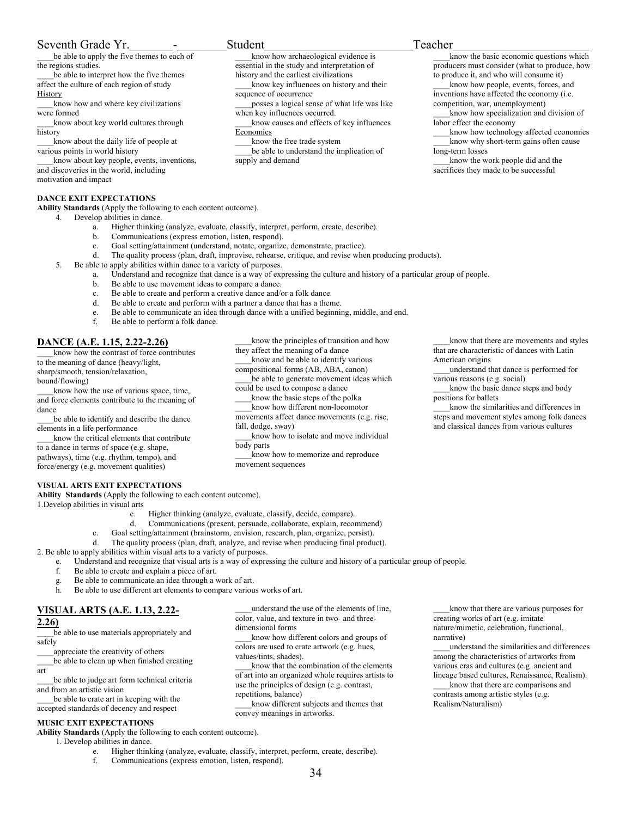## Seventh Grade Yr. The contract of the Student Teacher

be able to apply the five themes to each of the regions studies.

be able to interpret how the five themes affect the culture of each region of study

**History** 

know how and where key civilizations were formed

know about key world cultures through history

know about the daily life of people at various points in world history

know about key people, events, inventions, and discoveries in the world, including motivation and impact

**DANCE EXIT EXPECTATIONS Ability Standards** (Apply the following to each content outcome).

- 4. Develop abilities in dance.
	- a. Higher thinking (analyze, evaluate, classify, interpret, perform, create, describe).
	- b. Communications (express emotion, listen, respond).
	- c. Goal setting/attainment (understand, notate, organize, demonstrate, practice).
	- d. The quality process (plan, draft, improvise, rehearse, critique, and revise when producing products).

sequence of occurrence

Economics

supply and demand

when key influences occurred.

know the free trade system

- 5. Be able to apply abilities within dance to a variety of purposes.
	- a. Understand and recognize that dance is a way of expressing the culture and history of a particular group of people.

\_\_\_\_know how archaeological evidence is essential in the study and interpretation of history and the earliest civilizations

know key influences on history and their

\_\_\_\_posses a logical sense of what life was like

\_\_\_\_know causes and effects of key influences

be able to understand the implication of

- b. Be able to use movement ideas to compare a dance.
- c. Be able to create and perform a creative dance and/or a folk dance.
- d. Be able to create and perform with a partner a dance that has a theme.
- e. Be able to communicate an idea through dance with a unified beginning, middle, and end.
- f. Be able to perform a folk dance.

## **DANCE (A.E. 1.15, 2.22-2.26)**

know how the contrast of force contributes to the meaning of dance (heavy/light, sharp/smooth, tension/relaxation, bound/flowing) know how the use of various space, time,

and force elements contribute to the meaning of dance

be able to identify and describe the dance elements in a life performance

\_\_\_\_know the critical elements that contribute to a dance in terms of space (e.g. shape, pathways), time (e.g. rhythm, tempo), and force/energy (e.g. movement qualities)

### \_\_\_\_know the principles of transition and how they affect the meaning of a dance \_\_\_\_know and be able to identify various compositional forms (AB, ABA, canon)

be able to generate movement ideas which could be used to compose a dance

know the basic steps of the polka \_\_\_\_know how different non-locomotor movements affect dance movements (e.g. rise,

fall, dodge, sway)

know how to isolate and move individual body parts

\_\_\_\_know how to memorize and reproduce movement sequences

know the basic economic questions which producers must consider (what to produce, how to produce it, and who will consume it) know how people, events, forces, and

inventions have affected the economy (i.e. competition, war, unemployment)

know how specialization and division of labor effect the economy

\_\_\_\_know how technology affected economies know why short-term gains often cause long-term losses

know the work people did and the sacrifices they made to be successful

\_\_\_\_know that there are movements and styles that are characteristic of dances with Latin American origins

\_\_\_\_understand that dance is performed for various reasons (e.g. social)

know the basic dance steps and body positions for ballets

\_\_\_\_know the similarities and differences in steps and movement styles among folk dances and classical dances from various cultures

## **VISUAL ARTS EXIT EXPECTATIONS**

**Ability Standards** (Apply the following to each content outcome).

1.Develop abilities in visual arts

- c. Higher thinking (analyze, evaluate, classify, decide, compare).
- d. Communications (present, persuade, collaborate, explain, recommend)
- c. Goal setting/attainment (brainstorm, envision, research, plan, organize, persist).
- d. The quality process (plan, draft, analyze, and revise when producing final product).

2. Be able to apply abilities within visual arts to a variety of purposes.

e. Understand and recognize that visual arts is a way of expressing the culture and history of a particular group of people.

dimensional forms

values/tints, shades).

repetitions, balance)

convey meanings in artworks.

- f. Be able to create and explain a piece of art.
- g. Be able to communicate an idea through a work of art.
- h. Be able to use different art elements to compare various works of art.

## **VISUAL ARTS (A.E. 1.13, 2.22-**

### **2.26)**

be able to use materials appropriately and safely

\_\_\_\_appreciate the creativity of others

\_\_\_\_be able to clean up when finished creating art

\_\_\_\_be able to judge art form technical criteria and from an artistic vision

\_\_\_\_be able to crate art in keeping with the accepted standards of decency and respect

## **MUSIC EXIT EXPECTATIONS**

**Ability Standards** (Apply the following to each content outcome).

- 1. Develop abilities in dance.
	- e. Higher thinking (analyze, evaluate, classify, interpret, perform, create, describe).
	- f. Communications (express emotion, listen, respond).

\_\_\_\_understand the use of the elements of line, color, value, and texture in two- and three-

know how different colors and groups of colors are used to crate artwork (e.g. hues,

know that the combination of the elements of art into an organized whole requires artists to use the principles of design (e.g. contrast,

\_\_\_\_know different subjects and themes that

\_\_\_\_know that there are various purposes for creating works of art (e.g. imitate nature/mimetic, celebration, functional, narrative)

\_\_\_\_understand the similarities and differences among the characteristics of artworks from various eras and cultures (e.g. ancient and lineage based cultures, Renaissance, Realism). \_\_\_\_know that there are comparisons and contrasts among artistic styles (e.g.

Realism/Naturalism)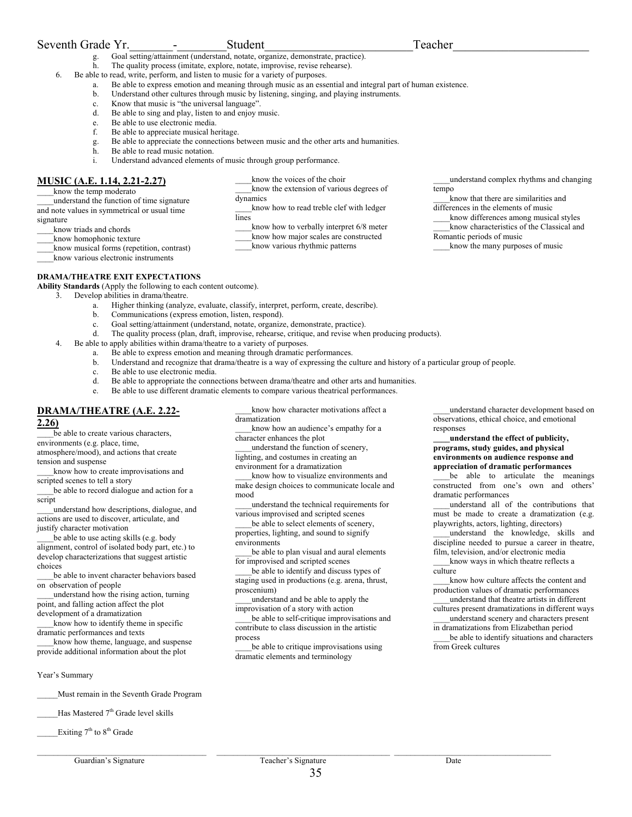## Seventh Grade Yr. The contract of the Student Teacher

- g. Goal setting/attainment (understand, notate, organize, demonstrate, practice).
- h. The quality process (imitate, explore, notate, improvise, revise rehearse).
- 6. Be able to read, write, perform, and listen to music for a variety of purposes.
	- a. Be able to express emotion and meaning through music as an essential and integral part of human existence.

know the voices of the choir

know the extension of various degrees of

know how to read treble clef with ledger

\_\_\_\_know how to verbally interpret 6/8 meter \_\_\_\_know how major scales are constructed \_\_\_\_know various rhythmic patterns

- b. Understand other cultures through music by listening, singing, and playing instruments.
- c. Know that music is "the universal language".
- d. Be able to sing and play, listen to and enjoy music.
- e. Be able to use electronic media.
- f. Be able to appreciate musical heritage.
- g. Be able to appreciate the connections between music and the other arts and humanities.

dynamics

lines

- h. Be able to read music notation.
- i. Understand advanced elements of music through group performance.

## **MUSIC (A.E. 1.14, 2.21-2.27)**

know the temp moderato

\_\_\_\_understand the function of time signature and note values in symmetrical or usual time signature \_\_\_\_know triads and chords

\_\_\_\_know homophonic texture

\_\_\_\_know musical forms (repetition, contrast) \_\_\_\_know various electronic instruments

**DRAMA/THEATRE EXIT EXPECTATIONS** 

**Ability Standards** (Apply the following to each content outcome).

- 3. Develop abilities in drama/theatre.
	- a. Higher thinking (analyze, evaluate, classify, interpret, perform, create, describe).
	- b. Communications (express emotion, listen, respond).
	- c. Goal setting/attainment (understand, notate, organize, demonstrate, practice).
	- d. The quality process (plan, draft, improvise, rehearse, critique, and revise when producing products).
	- 4. Be able to apply abilities within drama/theatre to a variety of purposes.
		- a. Be able to express emotion and meaning through dramatic performances.
			- b. Understand and recognize that drama/theatre is a way of expressing the culture and history of a particular group of people.
			- c. Be able to use electronic media.
			- d. Be able to appropriate the connections between drama/theatre and other arts and humanities.
			- e. Be able to use different dramatic elements to compare various theatrical performances.

## **DRAMA/THEATRE (A.E. 2.22- 2.26)**

be able to create various characters, environments (e.g. place, time,

atmosphere/mood), and actions that create tension and suspense

know how to create improvisations and scripted scenes to tell a story

be able to record dialogue and action for a script

\_\_\_\_understand how descriptions, dialogue, and actions are used to discover, articulate, and justify character motivation

be able to use acting skills (e.g. body alignment, control of isolated body part, etc.) to develop characterizations that suggest artistic choices

\_\_\_\_be able to invent character behaviors based on observation of people

\_\_\_\_understand how the rising action, turning point, and falling action affect the plot development of a dramatization

\_\_\_\_know how to identify theme in specific dramatic performances and texts

\_\_\_\_know how theme, language, and suspense provide additional information about the plot

Year's Summary

\_\_\_\_\_Must remain in the Seventh Grade Program

Has Mastered 7<sup>th</sup> Grade level skills

Exiting 7<sup>th</sup> to 8<sup>th</sup> Grade

know how character motivations affect a dramatization

know how an audience's empathy for a character enhances the plot

\_\_\_\_understand the function of scenery, lighting, and costumes in creating an

environment for a dramatization

know how to visualize environments and make design choices to communicate locale and mood

\_\_\_\_understand the technical requirements for various improvised and scripted scenes

be able to select elements of scenery, properties, lighting, and sound to signify environments

be able to plan visual and aural elements for improvised and scripted scenes

be able to identify and discuss types of staging used in productions (e.g. arena, thrust, proscenium)

\_\_\_\_understand and be able to apply the improvisation of a story with action

be able to self-critique improvisations and contribute to class discussion in the artistic process

\_\_\_\_be able to critique improvisations using dramatic elements and terminology

\_\_\_\_understand complex rhythms and changing tempo

\_\_\_\_know that there are similarities and differences in the elements of music

know differences among musical styles \_\_\_\_know characteristics of the Classical and

Romantic periods of music

know the many purposes of music

\_\_\_\_understand character development based on observations, ethical choice, and emotional responses

### **\_\_\_\_understand the effect of publicity, programs, study guides, and physical environments on audience response and appreciation of dramatic performances**

\_\_\_\_be able to articulate the meanings constructed from one's own and others' dramatic performances

\_\_\_\_understand all of the contributions that must be made to create a dramatization (e.g. playwrights, actors, lighting, directors)

\_\_\_\_understand the knowledge, skills and discipline needed to pursue a career in theatre, film, television, and/or electronic media know ways in which theatre reflects a

culture

know how culture affects the content and production values of dramatic performances \_\_\_\_understand that theatre artists in different

cultures present dramatizations in different ways \_\_\_\_understand scenery and characters present in dramatizations from Elizabethan period

be able to identify situations and characters from Greek cultures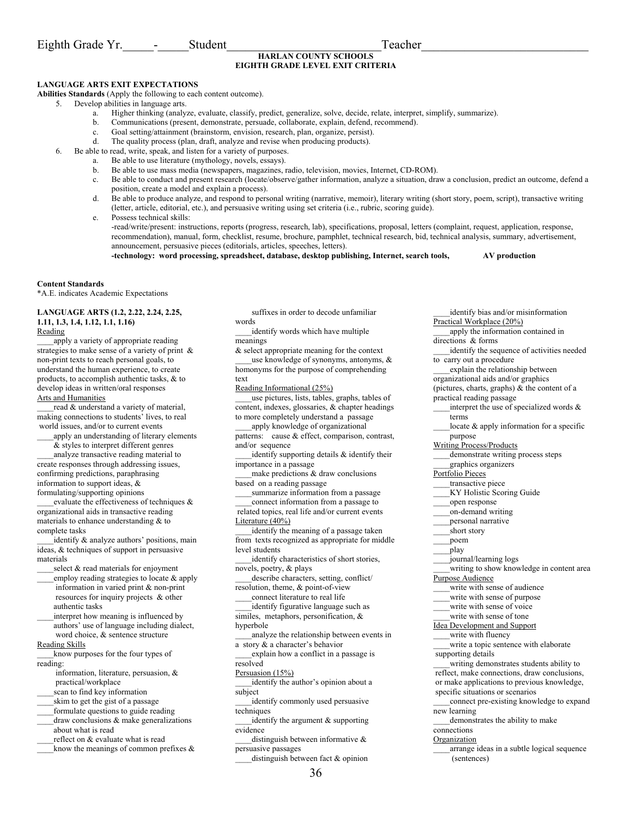## **HARLAN COUNTY SCHOOLS EIGHTH GRADE LEVEL EXIT CRITERIA**

## **LANGUAGE ARTS EXIT EXPECTATIONS**

**Abilities Standards** (Apply the following to each content outcome).

- 5. Develop abilities in language arts.
	- a. Higher thinking (analyze, evaluate, classify, predict, generalize, solve, decide, relate, interpret, simplify, summarize).
	- b. Communications (present, demonstrate, persuade, collaborate, explain, defend, recommend).
	- c. Goal setting/attainment (brainstorm, envision, research, plan, organize, persist).
	- d. The quality process (plan, draft, analyze and revise when producing products).
- 6. Be able to read, write, speak, and listen for a variety of purposes.
	- a. Be able to use literature (mythology, novels, essays).
		- b. Be able to use mass media (newspapers, magazines, radio, television, movies, Internet, CD-ROM).
	- c. Be able to conduct and present research (locate/observe/gather information, analyze a situation, draw a conclusion, predict an outcome, defend a position, create a model and explain a process).
	- d. Be able to produce analyze, and respond to personal writing (narrative, memoir), literary writing (short story, poem, script), transactive writing (letter, article, editorial, etc.), and persuasive writing using set criteria (i.e., rubric, scoring guide).

e. Possess technical skills:

-read/write/present: instructions, reports (progress, research, lab), specifications, proposal, letters (complaint, request, application, response, recommendation), manual, form, checklist, resume, brochure, pamphlet, technical research, bid, technical analysis, summary, advertisement, announcement, persuasive pieces (editorials, articles, speeches, letters).

**-technology: word processing, spreadsheet, database, desktop publishing, Internet, search tools, AV production** 

### **Content Standards**

\*A.E. indicates Academic Expectations

#### **LANGUAGE ARTS (1.2, 2.22, 2.24, 2.25, 1.11, 1.3, 1.4, 1.12, 1.1, 1.16)**  Reading

apply a variety of appropriate reading strategies to make sense of a variety of print & non-print texts to reach personal goals, to understand the human experience, to create products, to accomplish authentic tasks, & to develop ideas in written/oral responses Arts and Humanities

read & understand a variety of material, making connections to students' lives, to real world issues, and/or to current events

apply an understanding of literary elements & styles to interpret different genres

\_\_\_\_analyze transactive reading material to create responses through addressing issues, confirming predictions, paraphrasing information to support ideas, & formulating/supporting opinions

\_\_\_\_evaluate the effectiveness of techniques & organizational aids in transactive reading materials to enhance understanding & to complete tasks

identify & analyze authors' positions, main ideas, & techniques of support in persuasive materials

- select & read materials for enjoyment employ reading strategies to locate & apply information in varied print & non-print
- resources for inquiry projects & other authentic tasks interpret how meaning is influenced by
- authors' use of language including dialect, word choice, & sentence structure Reading Skills

know purposes for the four types of reading:

 information, literature, persuasion, & practical/workplace

scan to find key information \_\_\_\_skim to get the gist of a passage

- formulate questions to guide reading
- \_\_\_\_draw conclusions & make generalizations about what is read

reflect on & evaluate what is read

know the meanings of common prefixes  $\&$ 

 suffixes in order to decode unfamiliar words

identify words which have multiple meanings

& select appropriate meaning for the context use knowledge of synonyms, antonyms,  $\&$ 

homonyms for the purpose of comprehending text Reading Informational (25%)

\_\_\_\_use pictures, lists, tables, graphs, tables of content, indexes, glossaries, & chapter headings to more completely understand a passage

\_\_\_\_apply knowledge of organizational patterns: cause & effect, comparison, contrast,

and/or sequence

identify supporting details & identify their importance in a passage

make predictions  $&$  draw conclusions based on a reading passage

summarize information from a passage \_\_\_\_connect information from a passage to

 related topics, real life and/or current events Literature (40%)

identify the meaning of a passage taken from texts recognized as appropriate for middle level students

identify characteristics of short stories, novels, poetry, & plays

\_\_\_\_describe characters, setting, conflict/ resolution, theme, & point-of-view

\_\_\_\_connect literature to real life

identify figurative language such as similes, metaphors, personification, & hyperbole

\_\_\_\_analyze the relationship between events in a story & a character's behavior

\_\_\_\_explain how a conflict in a passage is resolved

Persuasion (15%)

identify the author's opinion about a subject

identify commonly used persuasive techniques

identify the argument & supporting evidence

distinguish between informative & persuasive passages

distinguish between fact & opinion

apply the information contained in directions & forms identify the sequence of activities needed to carry out a procedure \_\_\_\_explain the relationship between organizational aids and/or graphics (pictures, charts, graphs) & the content of a practical reading passage interpret the use of specialized words  $\&$  terms locate  $\&$  apply information for a specific purpose Writing Process/Products demonstrate writing process steps \_\_\_\_graphics organizers Portfolio Pieces \_\_\_\_transactive piece \_\_\_\_KY Holistic Scoring Guide \_\_\_\_open response \_\_\_\_on-demand writing \_\_\_\_personal narrative short story \_\_\_\_poem \_\_\_\_play \_\_\_\_journal/learning logs writing to show knowledge in content area Purpose Audience \_\_\_\_write with sense of audience write with sense of purpose write with sense of voice write with sense of tone Idea Development and Support write with fluency write a topic sentence with elaborate supporting details \_\_\_\_writing demonstrates students ability to reflect, make connections, draw conclusions, or make applications to previous knowledge, specific situations or scenarios \_\_\_\_connect pre-existing knowledge to expand new learning \_\_\_\_demonstrates the ability to make connections **Organization** \_\_\_\_arrange ideas in a subtle logical sequence (sentences)

\_\_\_\_identify bias and/or misinformation

Practical Workplace (20%)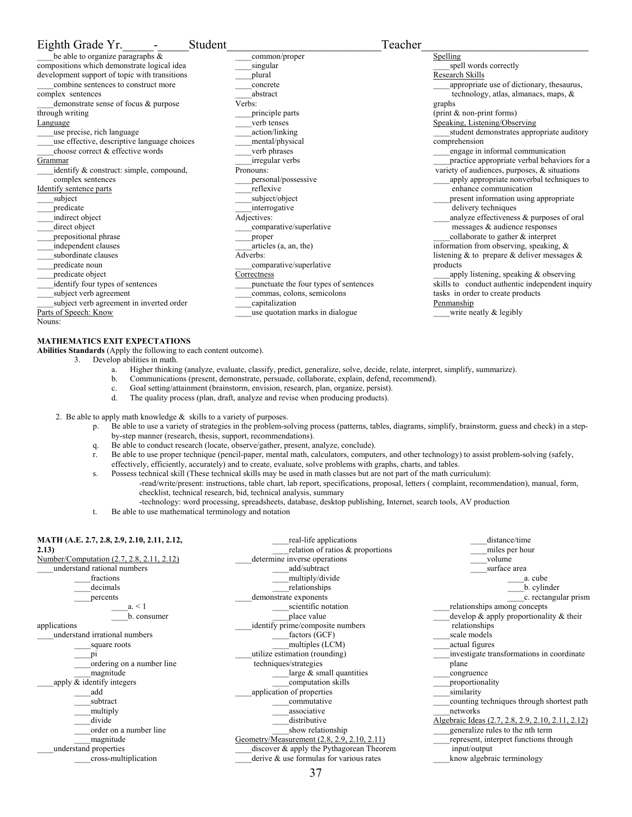| Eighth Grade Yr.                              | Student     |                                       | Teacher |                                                      |
|-----------------------------------------------|-------------|---------------------------------------|---------|------------------------------------------------------|
| be able to organize paragraphs $\&$           |             | common/proper                         |         | Spelling                                             |
| compositions which demonstrate logical idea   | singular    |                                       |         | spell words correctly                                |
| development support of topic with transitions | plural      |                                       |         | Research Skills                                      |
| combine sentences to construct more           | concrete    |                                       |         | appropriate use of dictionary, thesaurus,            |
| complex sentences                             | abstract    |                                       |         | technology, atlas, almanacs, maps, $\&$              |
| demonstrate sense of focus & purpose          | Verbs:      |                                       |         | graphs                                               |
| through writing                               |             | principle parts                       |         | $(\text{print} \& \text{non-print forms})$           |
| Language                                      |             | verb tenses                           |         | Speaking, Listening/Observing                        |
| use precise, rich language                    |             | action/linking                        |         | student demonstrates appropriate auditory            |
| use effective, descriptive language choices   |             | mental/physical                       |         | comprehension                                        |
| choose correct & effective words              |             | verb phrases                          |         | engage in informal communication                     |
| Grammar                                       |             | irregular verbs                       |         | practice appropriate verbal behaviors for a          |
| identify & construct: simple, compound,       | Pronouns:   |                                       |         | variety of audiences, purposes, $\&$ situations      |
| complex sentences                             |             | personal/possessive                   |         | apply appropriate nonverbal techniques to            |
| Identify sentence parts                       | reflexive   |                                       |         | enhance communication                                |
| subject                                       |             | subject/object                        |         | present information using appropriate                |
| predicate                                     |             | interrogative                         |         | delivery techniques                                  |
| indirect object                               | Adjectives: |                                       |         | analyze effectiveness & purposes of oral             |
| direct object                                 |             | comparative/superlative               |         | messages & audience responses                        |
| prepositional phrase                          | proper      |                                       |         | collaborate to gather & interpret                    |
| independent clauses                           |             | articles (a, an, the)                 |         | information from observing, speaking, $\&$           |
| subordinate clauses                           | Adverbs:    |                                       |         | listening $\&$ to prepare $\&$ deliver messages $\&$ |
| predicate noun                                |             | comparative/superlative               |         | products                                             |
| predicate object                              | Correctness |                                       |         | apply listening, speaking $&$ observing              |
| identify four types of sentences              |             | punctuate the four types of sentences |         | skills to conduct authentic independent inquiry      |
| subject verb agreement                        |             | commas, colons, semicolons            |         | tasks in order to create products                    |
| subject verb agreement in inverted order      |             | capitalization                        |         | Penmanship                                           |
| Parts of Speech: Know                         |             | use quotation marks in dialogue       |         | write neatly $&$ legibly                             |
| Nouns:                                        |             |                                       |         |                                                      |

## **MATHEMATICS EXIT EXPECTATIONS**

**Abilities Standards** (Apply the following to each content outcome).

- 3. Develop abilities in math.
	- a. Higher thinking (analyze, evaluate, classify, predict, generalize, solve, decide, relate, interpret, simplify, summarize).
	- b. Communications (present, demonstrate, persuade, collaborate, explain, defend, recommend).
	- c. Goal setting/attainment (brainstorm, envision, research, plan, organize, persist).
	- d. The quality process (plan, draft, analyze and revise when producing products).
- 2. Be able to apply math knowledge  $\&$  skills to a variety of purposes.
	- p. Be able to use a variety of strategies in the problem-solving process (patterns, tables, diagrams, simplify, brainstorm, guess and check) in a stepby-step manner (research, thesis, support, recommendations).
	- q. Be able to conduct research (locate, observe/gather, present, analyze, conclude).
	- r. Be able to use proper technique (pencil-paper, mental math, calculators, computers, and other technology) to assist problem-solving (safely, effectively, efficiently, accurately) and to create, evaluate, solve problems with graphs, charts, and tables.
	- s. Possess technical skill (These technical skills may be used in math classes but are not part of the math curriculum): -read/write/present: instructions, table chart, lab report, specifications, proposal, letters ( complaint, recommendation), manual, form, checklist, technical research, bid, technical analysis, summary
		- -technology: word processing, spreadsheets, database, desktop publishing, Internet, search tools, AV production
	- t. Be able to use mathematical terminology and notation

| MATH (A.E. 2.7, 2.8, 2.9, 2.10, 2.11, 2.12,<br>2.13)<br>Number/Computation (2.7, 2.8, 2.11, 2.12)<br>understand rational numbers<br>fractions<br>decimals | real-life applications<br>relation of ratios & proportions<br>determine inverse operations<br>add/subtract<br>multiply/divide<br>relationships | distance/time<br>miles per hour<br>volume<br>surface area<br>a. cube<br>b. cylinder |
|-----------------------------------------------------------------------------------------------------------------------------------------------------------|------------------------------------------------------------------------------------------------------------------------------------------------|-------------------------------------------------------------------------------------|
| percents                                                                                                                                                  | demonstrate exponents                                                                                                                          | c. rectangular prism                                                                |
| $a_{\cdot}$ < 1                                                                                                                                           | scientific notation                                                                                                                            | relationships among concepts                                                        |
| b. consumer                                                                                                                                               | place value                                                                                                                                    | develop $\&$ apply proportionality $\&$ their                                       |
| applications                                                                                                                                              | identify prime/composite numbers                                                                                                               | relationships                                                                       |
| understand irrational numbers                                                                                                                             | factors (GCF)                                                                                                                                  | scale models                                                                        |
| square roots                                                                                                                                              | multiples (LCM)                                                                                                                                | actual figures                                                                      |
|                                                                                                                                                           | utilize estimation (rounding)                                                                                                                  | investigate transformations in coordinate                                           |
| ordering on a number line                                                                                                                                 | techniques/strategies                                                                                                                          | plane                                                                               |
| magnitude                                                                                                                                                 | large $\&$ small quantities                                                                                                                    | congruence                                                                          |
| apply & identify integers                                                                                                                                 | computation skills                                                                                                                             | proportionality                                                                     |
| add                                                                                                                                                       | application of properties                                                                                                                      | similarity                                                                          |
| subtract                                                                                                                                                  | commutative                                                                                                                                    | counting techniques through shortest path                                           |
| multiply                                                                                                                                                  | associative                                                                                                                                    | networks                                                                            |
| divide                                                                                                                                                    | distributive                                                                                                                                   | Algebraic Ideas (2.7, 2.8, 2.9, 2.10, 2.11, 2.12)                                   |
| order on a number line                                                                                                                                    | show relationship                                                                                                                              | generalize rules to the nth term                                                    |
| magnitude                                                                                                                                                 | Geometry/Measurement (2.8, 2.9, 2.10, 2.11)                                                                                                    | represent, interpret functions through                                              |
| understand properties                                                                                                                                     | discover & apply the Pythagorean Theorem                                                                                                       | input/output                                                                        |
| cross-multiplication                                                                                                                                      | derive & use formulas for various rates                                                                                                        | know algebraic terminology                                                          |
|                                                                                                                                                           |                                                                                                                                                |                                                                                     |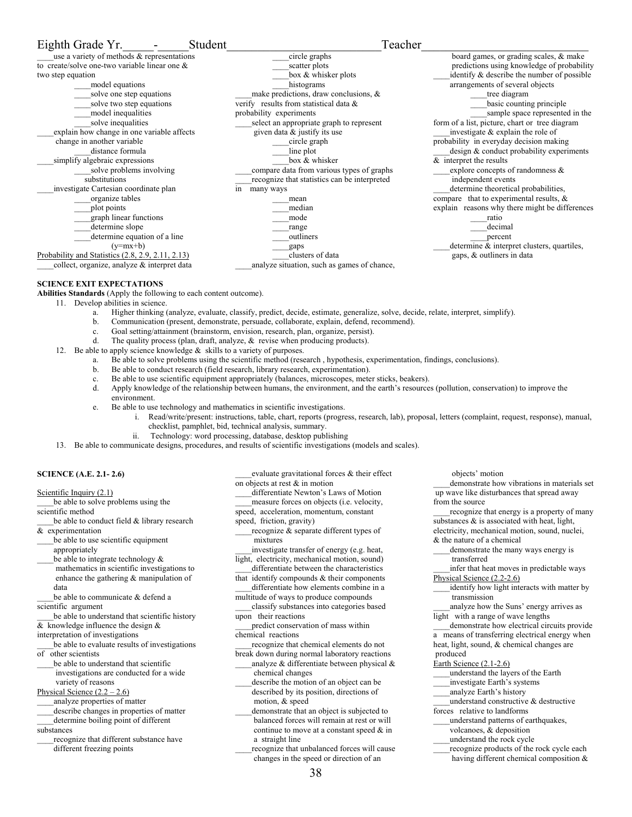#### Eighth Grade Yr. The Student Student Teacher use a variety of methods & representations to create/solve one-two variable linear one & two step equation \_\_\_\_model equations \_\_\_\_solve one step equations solve two step equations \_\_\_\_model inequalities solve inequalities \_\_\_\_explain how change in one variable affects change in another variable distance formula simplify algebraic expressions solve problems involving substitutions \_\_\_\_investigate Cartesian coordinate plan \_\_\_\_organize tables \_\_\_\_plot points \_\_\_\_graph linear functions determine slope determine equation of a line  $(y=mx+b)$ Probability and Statistics (2.8, 2.9, 2.11, 2.13) \_\_\_\_collect, organize, analyze & interpret data \_\_\_\_circle graphs scatter plots box & whisker plots histograms \_\_\_\_make predictions, draw conclusions, & verify results from statistical data & probability experiments select an appropriate graph to represent given data & justify its use \_\_\_\_circle graph line plot box & whisker \_\_\_\_compare data from various types of graphs \_\_\_\_recognize that statistics can be interpreted in many ways \_\_\_\_mean \_\_\_\_median \_\_\_\_mode \_\_\_\_range \_\_\_\_outliners \_\_\_\_gaps \_\_\_\_clusters of data \_\_\_\_analyze situation, such as games of chance, board games, or grading scales, & make predictions using knowledge of probability identify & describe the number of possible arrangements of several objects \_\_\_\_tree diagram basic counting principle \_\_\_\_sample space represented in the form of a list, picture, chart or tree diagram  $\Delta$  investigate  $\&$  explain the role of probability in everyday decision making design & conduct probability experiments & interpret the results explore concepts of randomness  $\&$  independent events determine theoretical probabilities, compare that to experimental results, & explain reasons why there might be differences \_\_\_\_ratio decimal \_\_\_\_percent determine & interpret clusters, quartiles, gaps, & outliners in data

## **SCIENCE EXIT EXPECTATIONS**

**Abilities Standards** (Apply the following to each content outcome).

- 11. Develop abilities in science.
	- a. Higher thinking (analyze, evaluate, classify, predict, decide, estimate, generalize, solve, decide, relate, interpret, simplify).
	- b. Communication (present, demonstrate, persuade, collaborate, explain, defend, recommend).
	- c. Goal setting/attainment (brainstorm, envision, research, plan, organize, persist).
	- d. The quality process (plan, draft, analyze, & revise when producing products).
- 12. Be able to apply science knowledge  $\&$  skills to a variety of purposes.
	- a. Be able to solve problems using the scientific method (research , hypothesis, experimentation, findings, conclusions).
	- b. Be able to conduct research (field research, library research, experimentation).
	- c. Be able to use scientific equipment appropriately (balances, microscopes, meter sticks, beakers).
	- d. Apply knowledge of the relationship between humans, the environment, and the earth's resources (pollution, conservation) to improve the environment.
	- e. Be able to use technology and mathematics in scientific investigations.
		- i. Read/write/present: instructions, table, chart, reports (progress, research, lab), proposal, letters (complaint, request, response), manual, checklist, pamphlet, bid, technical analysis, summary.
			- ii. Technology: word processing, database, desktop publishing
- 13. Be able to communicate designs, procedures, and results of scientific investigations (models and scales).

#### **SCIENCE (A.E. 2.1- 2.6)**

Scientific Inquiry (2.1)

be able to solve problems using the scientific method

be able to conduct field & library research & experimentation

\_\_\_\_be able to use scientific equipment appropriately

be able to integrate technology  $\&$ 

 mathematics in scientific investigations to enhance the gathering & manipulation of data

be able to communicate & defend a scientific argument

be able to understand that scientific history & knowledge influence the design &

interpretation of investigations

\_\_\_\_be able to evaluate results of investigations of other scientists

be able to understand that scientific investigations are conducted for a wide variety of reasons

Physical Science  $(2.2 – 2.6)$ 

\_\_\_\_analyze properties of matter

describe changes in properties of matter

\_\_\_\_determine boiling point of different substances

recognize that different substance have different freezing points

- evaluate gravitational forces & their effect on objects at rest & in motion \_\_\_\_differentiate Newton's Laws of Motion
- \_\_\_\_measure forces on objects (i.e. velocity,

speed, acceleration, momentum, constant

- speed, friction, gravity)
- recognize & separate different types of mixtures

\_\_\_\_investigate transfer of energy (e.g. heat, light, electricity, mechanical motion, sound)

differentiate between the characteristics that identify compounds & their components

- differentiate how elements combine in a multitude of ways to produce compounds
- \_\_\_\_classify substances into categories based upon their reactions
- predict conservation of mass within chemical reactions

recognize that chemical elements do not

break down during normal laboratory reactions analyze  $\&$  differentiate between physical  $\&$ chemical changes

describe the motion of an object can be described by its position, directions of motion, & speed

demonstrate that an object is subjected to balanced forces will remain at rest or will continue to move at a constant speed & in a straight line

recognize that unbalanced forces will cause changes in the speed or direction of an

\_\_\_\_demonstrate how vibrations in materials set up wave like disturbances that spread away

from the source recognize that energy is a property of many substances  $\&$  is associated with heat, light, electricity, mechanical motion, sound, nuclei,

demonstrate the many ways energy is transferred

infer that heat moves in predictable ways Physical Science (2.2-2.6)

identify how light interacts with matter by transmission

\_\_\_\_analyze how the Suns' energy arrives as light with a range of wave lengths

\_\_\_\_demonstrate how electrical circuits provide a means of transferring electrical energy when heat, light, sound, & chemical changes are produced

## Earth Science (2.1-2.6)

\_\_\_\_understand the layers of the Earth

- \_\_\_\_investigate Earth's systems
- \_\_\_\_analyze Earth's history
- \_\_\_\_understand constructive & destructive forces relative to landforms
- \_\_\_\_understand patterns of earthquakes,
- volcanoes, & deposition
- \_\_\_\_understand the rock cycle
- recognize products of the rock cycle each having different chemical composition &

objects' motion

& the nature of a chemical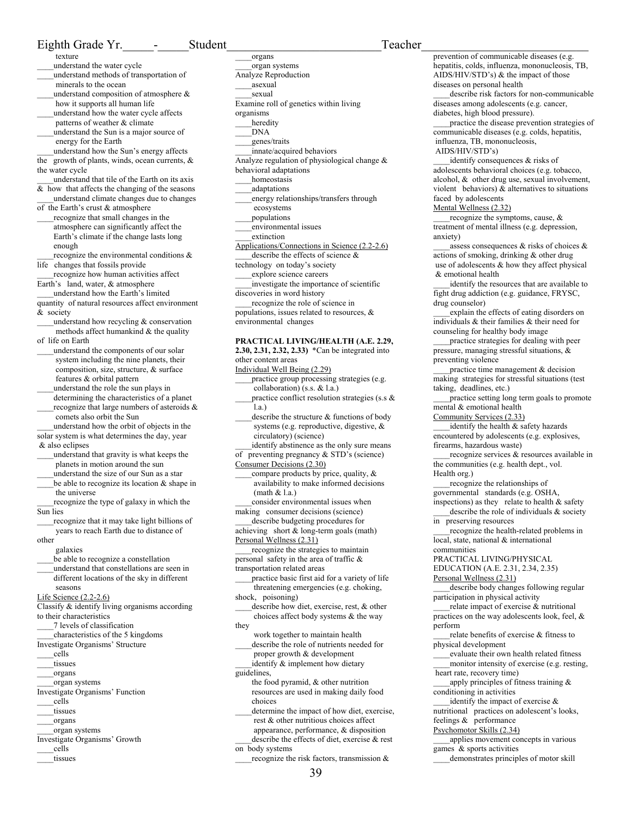## Eighth Grade Yr. The Student Teacher texture

### \_\_\_\_understand the water cycle

- \_\_\_\_understand methods of transportation of minerals to the ocean
- \_\_\_\_understand composition of atmosphere & how it supports all human life
- \_\_\_\_understand how the water cycle affects patterns of weather & climate
- \_\_\_\_understand the Sun is a major source of energy for the Earth
- \_\_\_\_understand how the Sun's energy affects the growth of plants, winds, ocean currents, &
- the water cycle \_\_\_\_understand that tile of the Earth on its axis
- & how that affects the changing of the seasons \_\_\_\_understand climate changes due to changes
- of the Earth's crust & atmosphere \_\_\_\_recognize that small changes in the atmosphere can significantly affect the Earth's climate if the change lasts long enough
- recognize the environmental conditions & life changes that fossils provide

\_\_\_\_recognize how human activities affect Earth's land, water, & atmosphere

- \_\_\_\_understand how the Earth's limited quantity of natural resources affect environment & society
- \_\_\_\_understand how recycling & conservation methods affect humankind & the quality of life on Earth
- understand the components of our solar system including the nine planets, their composition, size, structure, & surface features & orbital pattern
- \_\_\_\_understand the role the sun plays in determining the characteristics of a planet recognize that large numbers of asteroids  $\&$ comets also orbit the Sun

\_\_\_\_understand how the orbit of objects in the

solar system is what determines the day, year & also eclipses

- \_\_\_\_understand that gravity is what keeps the planets in motion around the sun \_\_\_\_understand the size of our Sun as a star
- be able to recognize its location  $&$  shape in the universe
- recognize the type of galaxy in which the Sun lies
- \_\_\_\_recognize that it may take light billions of years to reach Earth due to distance of

other

galaxies

- be able to recognize a constellation
- \_\_\_\_understand that constellations are seen in different locations of the sky in different seasons

Life Science (2.2-2.6)

- Classify & identify living organisms according to their characteristics
- \_\_\_\_7 levels of classification
- \_\_\_\_characteristics of the 5 kingdoms
- Investigate Organisms' Structure
- \_\_\_\_cells
- \_\_\_\_tissues
- \_\_\_\_organs
- \_\_\_\_organ systems
- Investigate Organisms' Function \_\_\_\_cells
- tissues
- \_\_\_\_organs
- \_\_\_\_organ systems
- Investigate Organisms' Growth
- \_\_\_\_cells
- tissues

\_\_\_\_organs \_\_\_\_organ systems Analyze Reproduction \_\_\_\_asexual \_\_\_\_sexual Examine roll of genetics within living organisms heredity \_\_\_\_DNA \_\_\_\_genes/traits \_\_\_\_innate/acquired behaviors Analyze regulation of physiological change & behavioral adaptations homeostasis \_\_\_\_adaptations \_\_\_\_energy relationships/transfers through ecosystems \_\_\_\_populations \_\_\_\_environmental issues \_\_\_\_extinction Applications/Connections in Science (2.2-2.6) describe the effects of science  $\&$ technology on today's society \_\_\_\_explore science careers \_\_\_\_investigate the importance of scientific discoveries in word history \_\_\_\_recognize the role of science in populations, issues related to resources, & environmental changes **PRACTICAL LIVING/HEALTH (A.E. 2.29,** 

**2.30, 2.31, 2.32, 2.33)** \*Can be integrated into other content areas

Individual Well Being (2.29)

- \_\_\_\_practice group processing strategies (e.g. collaboration) (s.s. & l.a.)
- practice conflict resolution strategies (s.s  $\&$ l.a.)
- describe the structure  $&$  functions of body systems (e.g. reproductive, digestive, & circulatory) (science)
- identify abstinence as the only sure means of preventing pregnancy & STD's (science)
- Consumer Decisions (2.30)
- compare products by price, quality,  $\&$  availability to make informed decisions (math  $& 1$ .a.)

consider environmental issues when making consumer decisions (science)

- \_\_\_\_describe budgeting procedures for achieving short & long-term goals (math)
- Personal Wellness (2.31)
- \_\_\_\_recognize the strategies to maintain personal safety in the area of traffic &

transportation related areas

\_\_\_\_practice basic first aid for a variety of life threatening emergencies (e.g. choking, shock, poisoning)

- \_\_\_\_describe how diet, exercise, rest, & other
- choices affect body systems & the way they
- work together to maintain health describe the role of nutrients needed for proper growth & development
- identify & implement how dietary guidelines,
	- the food pyramid, & other nutrition resources are used in making daily food choices

determine the impact of how diet, exercise, rest & other nutritious choices affect appearance, performance, & disposition

\_\_\_\_describe the effects of diet, exercise & rest on body systems

recognize the risk factors, transmission &

prevention of communicable diseases (e.g. hepatitis, colds, influenza, mononucleosis, TB, AIDS/HIV/STD's) & the impact of those diseases on personal health describe risk factors for non-communicable diseases among adolescents (e.g. cancer, diabetes, high blood pressure). \_\_\_\_practice the disease prevention strategies of communicable diseases (e.g. colds, hepatitis, influenza, TB, mononucleosis, AIDS/HIV/STD's) identify consequences & risks of adolescents behavioral choices (e.g. tobacco, alcohol, & other drug use, sexual involvement, violent behaviors) & alternatives to situations faced by adolescents Mental Wellness (2.32) recognize the symptoms, cause,  $\&$ treatment of mental illness (e.g. depression, anxiety) assess consequences  $\&$  risks of choices  $\&$ actions of smoking, drinking & other drug use of adolescents & how they affect physical & emotional health identify the resources that are available to fight drug addiction (e.g. guidance, FRYSC, drug counselor) \_\_\_\_explain the effects of eating disorders on individuals & their families & their need for counseling for healthy body image \_\_\_\_practice strategies for dealing with peer pressure, managing stressful situations, & preventing violence \_\_\_\_practice time management & decision making strategies for stressful situations (test taking, deadlines, etc.) \_\_\_\_practice setting long term goals to promote mental & emotional health Community Services (2.33) identify the health & safety hazards encountered by adolescents (e.g. explosives, firearms, hazardous waste) recognize services & resources available in the communities (e.g. health dept., vol. Health org.) \_\_\_\_recognize the relationships of governmental standards (e.g. OSHA, inspections) as they relate to health  $&$  safety describe the role of individuals  $\&$  society in preserving resources \_\_\_\_recognize the health-related problems in local, state, national & international communities PRACTICAL LIVING/PHYSICAL EDUCATION (A.E. 2.31, 2.34, 2.35) Personal Wellness (2.31) \_\_\_\_describe body changes following regular participation in physical activity relate impact of exercise & nutritional practices on the way adolescents look, feel, & perform relate benefits of exercise & fitness to physical development evaluate their own health related fitness \_\_\_\_monitor intensity of exercise (e.g. resting, heart rate, recovery time) apply principles of fitness training & conditioning in activities identify the impact of exercise  $\&$ nutritional practices on adolescent's looks, feelings & performance Psychomotor Skills (2.34) \_\_\_\_applies movement concepts in various games & sports activities \_\_\_\_demonstrates principles of motor skill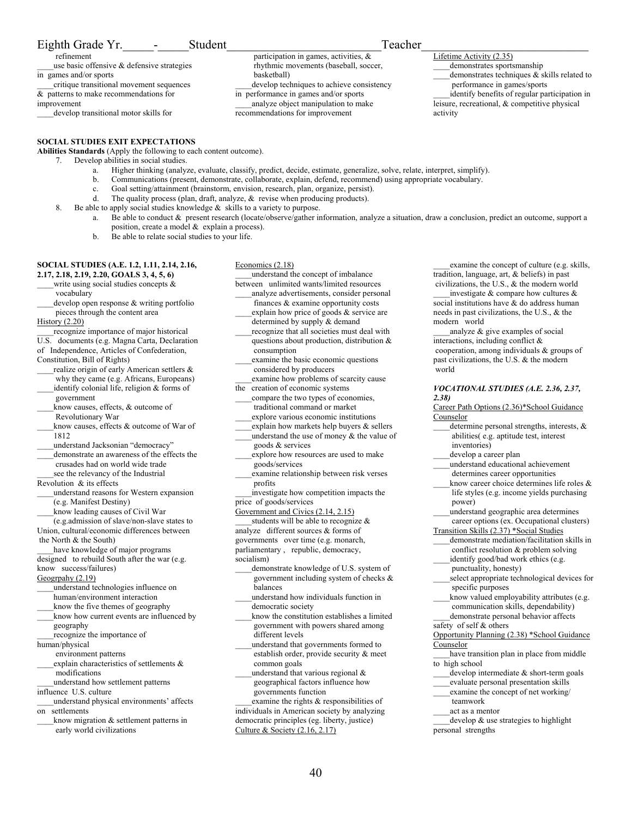## Eighth Grade Yr. The Student Teacher

 refinement use basic offensive  $\&$  defensive strategies

in games and/or sports \_\_\_\_critique transitional movement sequences

& patterns to make recommendations for improvement

\_\_\_\_develop transitional motor skills for

## **SOCIAL STUDIES EXIT EXPECTATIONS**

**Abilities Standards** (Apply the following to each content outcome).

- 7. Develop abilities in social studies.
	- a. Higher thinking (analyze, evaluate, classify, predict, decide, estimate, generalize, solve, relate, interpret, simplify).

basketball)

- b. Communications (present, demonstrate, collaborate, explain, defend, recommend) using appropriate vocabulary.
- c. Goal setting/attainment (brainstorm, envision, research, plan, organize, persist).
- d. The quality process (plan, draft, analyze, & revise when producing products).
- 8. Be able to apply social studies knowledge & skills to a variety to purpose.
	- a. Be able to conduct & present research (locate/observe/gather information, analyze a situation, draw a conclusion, predict an outcome, support a position, create a model & explain a process).
	- b. Be able to relate social studies to your life.

#### **SOCIAL STUDIES (A.E. 1.2, 1.11, 2.14, 2.16, 2.17, 2.18, 2.19, 2.20, GOALS 3, 4, 5, 6)**

write using social studies concepts  $\&$ 

vocabulary

develop open response & writing portfolio pieces through the content area

#### History (2.20)

recognize importance of major historical U.S. documents (e.g. Magna Carta, Declaration of Independence, Articles of Confederation,

Constitution, Bill of Rights) realize origin of early American settlers & why they came (e.g. Africans, Europeans) identify colonial life, religion & forms of

- government know causes, effects, & outcome of
- Revolutionary War
- know causes, effects & outcome of War of 1812

\_\_\_\_understand Jacksonian "democracy"

\_\_\_\_demonstrate an awareness of the effects the crusades had on world wide trade see the relevancy of the Industrial

Revolution  $\&$  its effects

- \_\_\_\_understand reasons for Western expansion (e.g. Manifest Destiny)
- \_\_\_\_know leading causes of Civil War

 (e.g.admission of slave/non-slave states to Union, cultural/economic differences between the North & the South)

have knowledge of major programs

designed to rebuild South after the war (e.g. know success/failures)

Geogrpahy (2.19)

- \_\_\_\_understand technologies influence on human/environment interaction
- know the five themes of geography
- \_\_\_\_know how current events are influenced by geography
- recognize the importance of

human/physical environment patterns

explain characteristics of settlements & modifications

\_\_\_\_understand how settlement patterns influence U.S. culture

- \_\_\_\_understand physical environments' affects on settlements
- \_\_\_\_know migration & settlement patterns in early world civilizations

Economics (2.18) \_\_\_\_understand the concept of imbalance

between unlimited wants/limited resources \_\_\_\_analyze advertisements, consider personal

 participation in games, activities, & rhythmic movements (baseball, soccer,

in performance in games and/or sports analyze object manipulation to make

recommendations for improvement

develop techniques to achieve consistency

- finances & examine opportunity costs explain how price of goods  $\&$  service are
- determined by supply & demand recognize that all societies must deal with
- questions about production, distribution & consumption examine the basic economic questions

considered by producers

examine how problems of scarcity cause the creation of economic systems

- compare the two types of economies, traditional command or market
- \_\_\_\_explore various economic institutions
- \_\_\_\_explain how markets help buyers & sellers
- understand the use of money  $&$  the value of goods & services
- \_\_\_\_explore how resources are used to make goods/services
- \_\_\_\_examine relationship between risk verses profits

\_\_\_\_investigate how competition impacts the price of goods/services

Government and Civics (2.14, 2.15)

- students will be able to recognize  $\&$
- analyze different sources & forms of
- governments over time (e.g. monarch,

parliamentary , republic, democracy,

- socialism)
	- demonstrate knowledge of U.S. system of government including system of checks & balances
	- \_\_\_\_understand how individuals function in democratic society
- \_\_\_\_know the constitution establishes a limited government with powers shared among different levels

\_\_\_\_understand that governments formed to establish order, provide security & meet common goals

understand that various regional  $&$  geographical factors influence how governments function

examine the rights & responsibilities of individuals in American society by analyzing democratic principles (eg. liberty, justice) Culture & Society (2.16, 2.17)

examine the concept of culture (e.g. skills, tradition, language, art, & beliefs) in past civilizations, the U.S., & the modern world

investigate  $\&$  compare how cultures  $\&$ social institutions have & do address human needs in past civilizations, the U.S., & the modern world

analyze  $\&$  give examples of social interactions, including conflict & cooperation, among individuals & groups of past civilizations, the U.S. & the modern world

### *VOCATIONAL STUDIES (A.E. 2.36, 2.37, 2.38)*

Career Path Options (2.36)\*School Guidance Counselor

- determine personal strengths, interests, & abilities( e.g. aptitude test, interest inventories)
- develop a career plan
- \_\_\_\_understand educational achievement
- determines career opportunities know career choice determines life roles &
- life styles (e.g. income yields purchasing power) \_\_\_\_understand geographic area determines
- career options (ex. Occupational clusters)
- Transition Skills (2.37) \*Social Studies
- \_\_\_\_demonstrate mediation/facilitation skills in
- conflict resolution & problem solving
- identify good/bad work ethics (e.g. punctuality, honesty)
- \_\_\_\_select appropriate technological devices for specific purposes
- know valued employability attributes (e.g. communication skills, dependability)

\_\_\_\_demonstrate personal behavior affects

safety of self & others

Opportunity Planning (2.38) \*School Guidance **Counselor** 

- have transition plan in place from middle to high school
- $develop$  intermediate  $&$  short-term goals
- \_\_\_\_evaluate personal presentation skills
- \_\_\_\_examine the concept of net working/
- teamwork
- \_\_\_\_act as a mentor
- develop & use strategies to highlight personal strengths
- 
- Lifetime Activity (2.35) demonstrates sportsmanship

activity

performance in games/sports

demonstrates techniques  $\&$  skills related to

identify benefits of regular participation in leisure, recreational, & competitive physical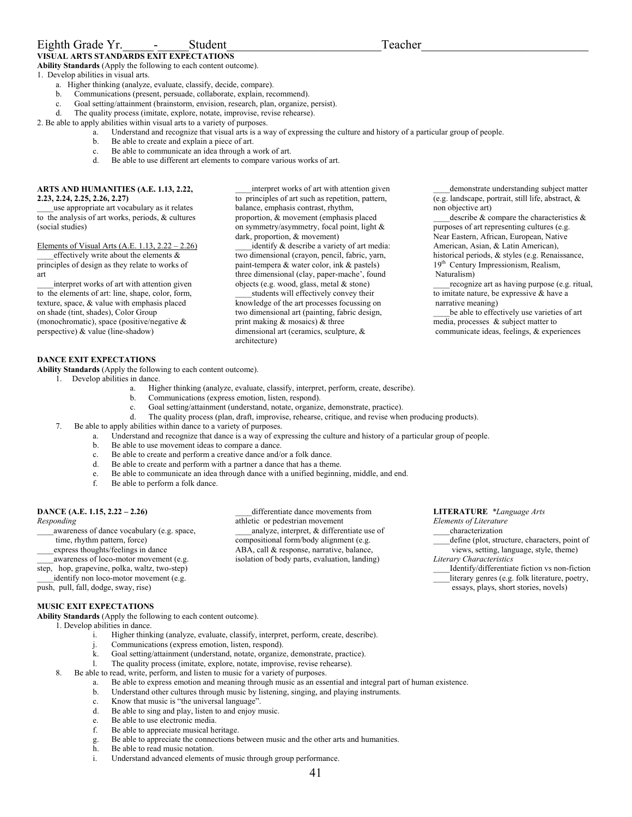## Eighth Grade Yr. The Student Contract Student Contract Contract Contract Contract Contract Contract Contract Contract Contract Contract Contract Contract Contract Contract Contract Contract Contract Contract Contract Contr

**VISUAL ARTS STANDARDS EXIT EXPECTATIONS Ability Standards** (Apply the following to each content outcome).

1. Develop abilities in visual arts.

- a. Higher thinking (analyze, evaluate, classify, decide, compare).
- b. Communications (present, persuade, collaborate, explain, recommend).
- c. Goal setting/attainment (brainstorm, envision, research, plan, organize, persist).
- d. The quality process (imitate, explore, notate, improvise, revise rehearse).

2. Be able to apply abilities within visual arts to a variety of purposes.

- a. Understand and recognize that visual arts is a way of expressing the culture and history of a particular group of people.
	- b. Be able to create and explain a piece of art.
	- c. Be able to communicate an idea through a work of art.
	- Be able to use different art elements to compare various works of art.

#### **ARTS AND HUMANITIES (A.E. 1.13, 2.22, 2.23, 2.24, 2.25, 2.26, 2.27)**

\_\_\_\_use appropriate art vocabulary as it relates to the analysis of art works, periods, & cultures (social studies)

### Elements of Visual Arts (A.E. 1.13, 2.22 – 2.26)

effectively write about the elements  $\&$ principles of design as they relate to works of art

interpret works of art with attention given to the elements of art: line, shape, color, form, texture, space, & value with emphasis placed on shade (tint, shades), Color Group (monochromatic), space (positive/negative & perspective) & value (line-shadow)

interpret works of art with attention given to principles of art such as repetition, pattern, balance, emphasis contrast, rhythm, proportion, & movement (emphasis placed on symmetry/asymmetry, focal point, light & dark, proportion, & movement)

identify & describe a variety of art media: two dimensional (crayon, pencil, fabric, yarn, paint-tempera & water color, ink & pastels) three dimensional (clay, paper-mache', found objects (e.g. wood, glass, metal & stone)

students will effectively convey their knowledge of the art processes focussing on two dimensional art (painting, fabric design, print making & mosaics) & three dimensional art (ceramics, sculpture, & architecture)

\_\_\_\_demonstrate understanding subject matter (e.g. landscape, portrait, still life, abstract, & non objective art)

describe  $\&$  compare the characteristics  $\&$ purposes of art representing cultures (e.g. Near Eastern, African, European, Native American, Asian, & Latin American), historical periods, & styles (e.g. Renaissance, 19th Century Impressionism, Realism, Naturalism)

recognize art as having purpose (e.g. ritual, to imitate nature, be expressive & have a narrative meaning)

be able to effectively use varieties of art media, processes & subject matter to communicate ideas, feelings, & experiences

## **DANCE EXIT EXPECTATIONS**

**Ability Standards** (Apply the following to each content outcome).

- 1. Develop abilities in dance.
	- a. Higher thinking (analyze, evaluate, classify, interpret, perform, create, describe).
	- b. Communications (express emotion, listen, respond).
	- c. Goal setting/attainment (understand, notate, organize, demonstrate, practice).
	- d. The quality process (plan, draft, improvise, rehearse, critique, and revise when producing products).

differentiate dance movements from

analyze, interpret, & differentiate use of compositional form/body alignment (e.g. ABA, call & response, narrative, balance, isolation of body parts, evaluation, landing)

- 7. Be able to apply abilities within dance to a variety of purposes.
	- a. Understand and recognize that dance is a way of expressing the culture and history of a particular group of people.

athletic or pedestrian movement

- b. Be able to use movement ideas to compare a dance.
- c. Be able to create and perform a creative dance and/or a folk dance.
- d. Be able to create and perform with a partner a dance that has a theme.
- e. Be able to communicate an idea through dance with a unified beginning, middle, and end.
- f. Be able to perform a folk dance.

## **DANCE (A.E. 1.15, 2.22 – 2.26)**

#### *Responding*

\_\_\_\_awareness of dance vocabulary (e.g. space,

- time, rhythm pattern, force)
- \_\_\_\_express thoughts/feelings in dance
- awareness of loco-motor movement (e.g.

step, hop, grapevine, polka, waltz, two-step)

identify non loco-motor movement (e.g.

push, pull, fall, dodge, sway, rise)

## **MUSIC EXIT EXPECTATIONS**

**Ability Standards** (Apply the following to each content outcome).

- 1. Develop abilities in dance.
	- i. Higher thinking (analyze, evaluate, classify, interpret, perform, create, describe).
	- Communications (express emotion, listen, respond).
	- k. Goal setting/attainment (understand, notate, organize, demonstrate, practice).
	- l. The quality process (imitate, explore, notate, improvise, revise rehearse).
	- Be able to read, write, perform, and listen to music for a variety of purposes.
		- a. Be able to express emotion and meaning through music as an essential and integral part of human existence.
		- b. Understand other cultures through music by listening, singing, and playing instruments.
		- c. Know that music is "the universal language".
		- d. Be able to sing and play, listen to and enjoy music.
		- e. Be able to use electronic media.
		- f. Be able to appreciate musical heritage.
		- g. Be able to appreciate the connections between music and the other arts and humanities.
		- h. Be able to read music notation.
		- i. Understand advanced elements of music through group performance.

**LITERATURE** *\*Language Arts* 

*Elements of Literature* 

- \_\_\_\_characterization
- \_\_\_\_define (plot, structure, characters, point of views, setting, language, style, theme)
- *Literary Characteristics*
- \_\_\_\_Identify/differentiate fiction vs non-fiction \_\_\_\_literary genres (e.g. folk literature, poetry,

essays, plays, short stories, novels)